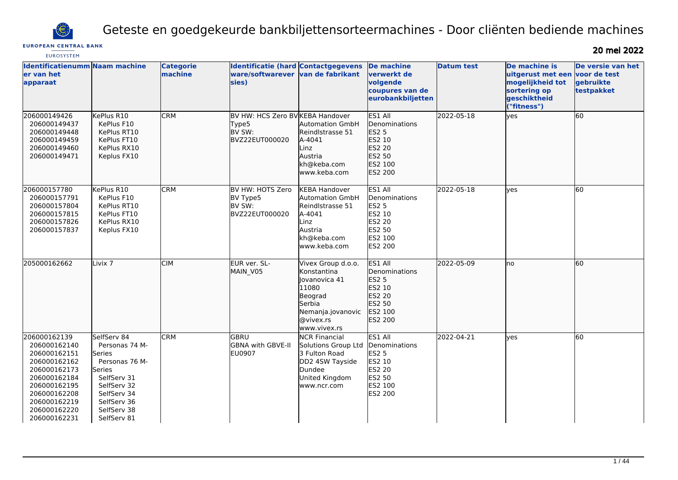

Geteste en goedgekeurde bankbiljettensorteermachines - Door cliënten bediende machines

# **EUROPEAN CENTRAL BANK EUROSYSTEM**

20 mei 2022

| <b>Identificatienumm Naam machine</b><br>er van het<br>apparaat                                                                                                              |                                                                                                                                                               | <b>Categorie</b><br>machine | Identificatie (hard Contactgegevens<br>ware/softwarever<br>sies)      | van de fabrikant                                                                                                                   | <b>De machine</b><br>verwerkt de<br>volgende<br>coupures van de<br>eurobankbiljetten                | <b>Datum test</b> | De machine is<br>uitgerust met een voor de test<br>mogelijkheid tot<br>sortering op<br>geschiktheid<br>("fitness") | De versie van het<br>gebruikte<br>testpakket |
|------------------------------------------------------------------------------------------------------------------------------------------------------------------------------|---------------------------------------------------------------------------------------------------------------------------------------------------------------|-----------------------------|-----------------------------------------------------------------------|------------------------------------------------------------------------------------------------------------------------------------|-----------------------------------------------------------------------------------------------------|-------------------|--------------------------------------------------------------------------------------------------------------------|----------------------------------------------|
| 206000149426<br>206000149437<br>206000149448<br>206000149459<br>206000149460<br>206000149471                                                                                 | KePlus R10<br>KePlus F10<br>KePlus RT10<br>KePlus FT10<br>KePlus RX10<br>Keplus FX10                                                                          | <b>CRM</b>                  | BV HW: HCS Zero BV KEBA Handover<br>Type5<br>BV SW:<br>BVZ22EUT000020 | Automation GmbH<br>Reindlstrasse 51<br>A-4041<br>Linz<br>Austria<br>kh@keba.com<br>www.keba.com                                    | ES1 All<br>Denominations<br>ES2 5<br>ES2 10<br>ES2 20<br>ES2 50<br>ES2 100<br>ES2 200               | 2022-05-18        | yes                                                                                                                | 60                                           |
| 206000157780<br>206000157791<br>206000157804<br>206000157815<br>206000157826<br>206000157837                                                                                 | KePlus R10<br>KePlus F10<br>KePlus RT10<br>KePlus FT10<br>KePlus RX10<br>Keplus FX10                                                                          | <b>CRM</b>                  | BV HW: HOTS Zero<br>BV Type5<br>BV SW:<br>BVZ22EUT000020              | <b>KEBA Handover</b><br><b>Automation GmbH</b><br>Reindlstrasse 51<br>A-4041<br>Linz<br>Austria<br>kh@keba.com<br>www.keba.com     | ES1 All<br>Denominations<br><b>ES2 5</b><br>ES2 10<br>ES2 20<br>ES2 50<br>ES2 100<br><b>ES2 200</b> | 2022-05-18        | <b>ves</b>                                                                                                         | 60                                           |
| 205000162662                                                                                                                                                                 | Livix <sub>7</sub>                                                                                                                                            | <b>CIM</b>                  | EUR ver. SL-<br>MAIN_V05                                              | Vivex Group d.o.o.<br>Konstantina<br>lovanovica 41<br>11080<br>Beograd<br>Serbia<br>Nemanja.jovanovic<br>@vivex.rs<br>www.vivex.rs | ES1 All<br>Denominations<br>ES2 5<br>ES2 10<br>ES2 20<br>ES2 50<br>ES2 100<br>ES2 200               | 2022-05-09        | Ino                                                                                                                | 60                                           |
| 206000162139<br>206000162140<br>206000162151<br>206000162162<br>206000162173<br>206000162184<br>206000162195<br>206000162208<br>206000162219<br>206000162220<br>206000162231 | SelfServ 84<br>Personas 74 M-<br>Series<br>Personas 76 M-<br>Series<br>SelfServ 31<br>SelfServ 32<br>SelfServ 34<br>SelfServ 36<br>SelfServ 38<br>SelfServ 81 | <b>CRM</b>                  | GBRU<br><b>GBNA with GBVE-II</b><br><b>EU0907</b>                     | <b>NCR Financial</b><br>Solutions Group Ltd<br>3 Fulton Road<br>DD2 4SW Tayside<br>Dundee<br>United Kingdom<br>www.ncr.com         | ES1 All<br>Denominations<br><b>ES2 5</b><br>ES2 10<br><b>ES2 20</b><br>ES2 50<br>ES2 100<br>ES2 200 | 2022-04-21        | <b>ves</b>                                                                                                         | 60                                           |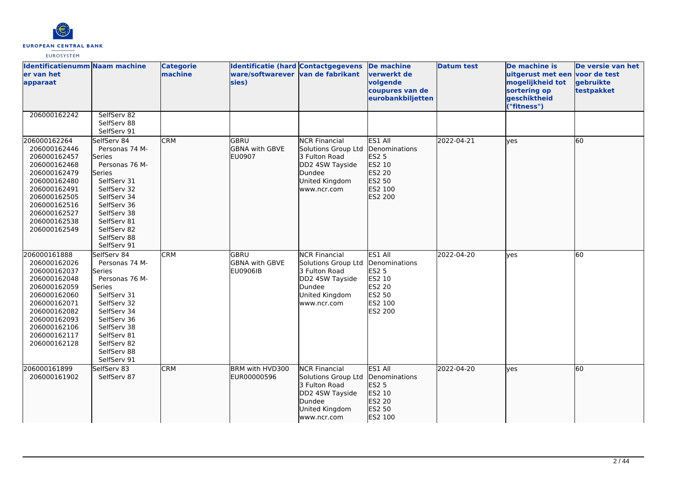

| <b>Identificatienumm Naam machine</b><br>er van het<br>apparaat                                                                                                                              |                                                                                                                                                                                                                          | <b>Categorie</b><br>machine | <b>Identificatie (hard Contactgegevens</b><br>ware/softwarever van de fabrikant<br>sies) |                                                                                                                            | De machine<br>verwerkt de<br>volgende<br>coupures van de<br>eurobankbiljetten                | <b>Datum test</b> | De machine is<br>uitgerust met een voor de test<br>mogelijkheid tot<br>sortering op<br>geschiktheid<br>("fitness") | De versie van het<br>gebruikte<br>testpakket |
|----------------------------------------------------------------------------------------------------------------------------------------------------------------------------------------------|--------------------------------------------------------------------------------------------------------------------------------------------------------------------------------------------------------------------------|-----------------------------|------------------------------------------------------------------------------------------|----------------------------------------------------------------------------------------------------------------------------|----------------------------------------------------------------------------------------------|-------------------|--------------------------------------------------------------------------------------------------------------------|----------------------------------------------|
| 206000162242                                                                                                                                                                                 | SelfServ 82<br>SelfServ 88<br>SelfServ 91                                                                                                                                                                                |                             |                                                                                          |                                                                                                                            |                                                                                              |                   |                                                                                                                    |                                              |
| 206000162264<br>206000162446<br>206000162457<br>206000162468<br>206000162479<br>206000162480<br>206000162491<br>206000162505<br>206000162516<br>206000162527<br>206000162538<br>206000162549 | SelfServ 84<br>Personas 74 M-<br><b>Series</b><br>Personas 76 M-<br>lSeries<br>SelfServ 31<br>SelfServ 32<br>SelfServ 34<br>SelfServ 36<br>SelfServ 38<br>SelfServ 81<br>SelfServ 82<br>SelfServ 88<br>SelfServ 91       | <b>CRM</b>                  | lgbru<br><b>GBNA</b> with GBVE<br>EU0907                                                 | <b>NCR Financial</b><br>Solutions Group Ltd<br>3 Fulton Road<br>DD2 4SW Tayside<br>Dundee<br>United Kingdom<br>www.ncr.com | ES1 All<br>Denominations<br>ES2 5<br>ES2 10<br>ES2 20<br>ES2 50<br>ES2 100<br>ES2 200        | 2022-04-21        | lves                                                                                                               | 60                                           |
| 206000161888<br>206000162026<br>206000162037<br>206000162048<br>206000162059<br>206000162060<br>206000162071<br>206000162082<br>206000162093<br>206000162106<br>206000162117<br>206000162128 | SelfServ 84<br>Personas 74 M-<br><b>Series</b><br>Personas 76 M-<br><b>Series</b><br>SelfServ 31<br>SelfServ 32<br>SelfServ 34<br>SelfServ 36<br>SelfServ 38<br>SelfServ 81<br>SelfServ 82<br>SelfServ 88<br>SelfServ 91 | <b>CRM</b>                  | GBRU<br><b>GBNA with GBVE</b><br><b>EU0906IB</b>                                         | <b>NCR Financial</b><br>Solutions Group Ltd<br>3 Fulton Road<br>DD2 4SW Tayside<br>Dundee<br>United Kingdom<br>www.ncr.com | ES1 All<br>Denominations<br><b>ES2 5</b><br>ES2 10<br>ES2 20<br>ES2 50<br>ES2 100<br>ES2 200 | 2022-04-20        | lves                                                                                                               | 60                                           |
| 206000161899<br>206000161902                                                                                                                                                                 | SelfServ 83<br>SelfServ 87                                                                                                                                                                                               | <b>CRM</b>                  | BRM with HVD300<br>EUR00000596                                                           | <b>NCR Financial</b><br>Solutions Group Ltd<br>3 Fulton Road<br>DD2 4SW Tayside<br>Dundee<br>United Kingdom<br>www.ncr.com | ES1 All<br>Denominations<br><b>ES2 5</b><br>ES2 10<br>ES2 20<br>ES2 50<br>ES2 100            | 2022-04-20        | lyes                                                                                                               | 60                                           |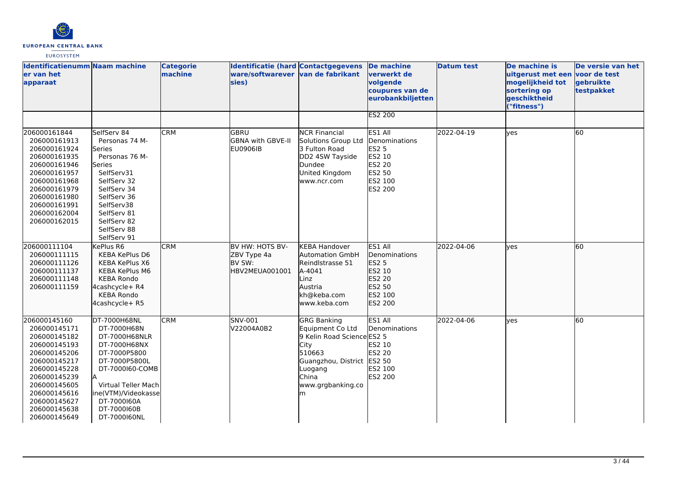

| Identificatienumm Naam machine<br>er van het<br>apparaat                                                                                                                                                     |                                                                                                                                                                                                                     | <b>Categorie</b><br>machine | <b>Identificatie (hard Contactgegevens</b><br>ware/softwarever van de fabrikant<br>sies) |                                                                                                                                                                    | <b>De machine</b><br>verwerkt de<br>volgende<br>coupures van de<br>eurobankbiljetten         | <b>Datum test</b> | De machine is<br>uitgerust met een voor de test<br>mogelijkheid tot<br>sortering op<br>geschiktheid<br>("fitness") | De versie van het<br>gebruikte<br>testpakket |
|--------------------------------------------------------------------------------------------------------------------------------------------------------------------------------------------------------------|---------------------------------------------------------------------------------------------------------------------------------------------------------------------------------------------------------------------|-----------------------------|------------------------------------------------------------------------------------------|--------------------------------------------------------------------------------------------------------------------------------------------------------------------|----------------------------------------------------------------------------------------------|-------------------|--------------------------------------------------------------------------------------------------------------------|----------------------------------------------|
|                                                                                                                                                                                                              |                                                                                                                                                                                                                     |                             |                                                                                          |                                                                                                                                                                    | <b>ES2 200</b>                                                                               |                   |                                                                                                                    |                                              |
| 206000161844<br>206000161913<br>206000161924<br>206000161935<br>206000161946<br>206000161957<br>206000161968<br>206000161979<br>206000161980<br>206000161991<br>206000162004<br>206000162015                 | SelfServ 84<br>Personas 74 M-<br>Series<br>Personas 76 M-<br>Series<br>SelfServ31<br>SelfServ 32<br>SelfServ 34<br>SelfServ 36<br>SelfServ38<br>SelfServ 81<br>SelfServ 82<br>SelfServ 88<br>SelfServ 91            | <b>CRM</b>                  | <b>GBRU</b><br>GBNA with GBVE-II<br><b>EU0906IB</b>                                      | <b>NCR Financial</b><br>Solutions Group Ltd<br>3 Fulton Road<br>DD2 4SW Tayside<br>Dundee<br>United Kingdom<br>www.ncr.com                                         | ES1 All<br>Denominations<br>ES2 5<br>ES2 10<br><b>ES2 20</b><br>ES2 50<br>ES2 100<br>ES2 200 | 2022-04-19        | <b>ves</b>                                                                                                         | 60                                           |
| 206000111104<br>206000111115<br>206000111126<br>206000111137<br>206000111148<br>206000111159                                                                                                                 | KePlus R6<br>KEBA KePlus D6<br>KEBA KePlus X6<br><b>KEBA KePlus M6</b><br><b>KEBA Rondo</b><br>4cashcycle+ R4<br><b>KEBA Rondo</b><br>4cashcycle+ R5                                                                | <b>CRM</b>                  | BV HW: HOTS BV-<br>ZBV Type 4a<br>BV SW:<br>HBV2MEUA001001                               | <b>KEBA Handover</b><br><b>Automation GmbH</b><br>Reindlstrasse 51<br>A-4041<br>Linz<br>Austria<br>kh@keba.com<br>www.keba.com                                     | ES1 All<br>Denominations<br>ES2 5<br>ES2 10<br>ES2 20<br>ES2 50<br>ES2 100<br>ES2 200        | 2022-04-06        | <b>l</b> ves                                                                                                       | 60                                           |
| 206000145160<br>206000145171<br>206000145182<br>206000145193<br>206000145206<br>206000145217<br>206000145228<br>206000145239<br>206000145605<br>206000145616<br>206000145627<br>206000145638<br>206000145649 | DT-7000H68NL<br>DT-7000H68N<br>DT-7000H68NLR<br>DT-7000H68NX<br>DT-7000P5800<br>DT-7000P5800L<br>DT-7000160-COMB<br><b>Virtual Teller Mach</b><br>ine(VTM)/Videokasse<br>DT-7000160A<br>DT-7000160B<br>DT-7000160NL | <b>CRM</b>                  | SNV-001<br>V22004A0B2                                                                    | <b>GRG Banking</b><br>Equipment Co Ltd<br>9 Kelin Road Science ES2 5<br>City<br>510663<br>Guangzhou, District ES2 50<br>Luogang<br>China<br>www.grgbanking.co<br>m | ES1 All<br>Denominations<br>ES2 10<br><b>ES2 20</b><br>ES2 100<br>ES2 200                    | 2022-04-06        | <b>l</b> ves                                                                                                       | 60                                           |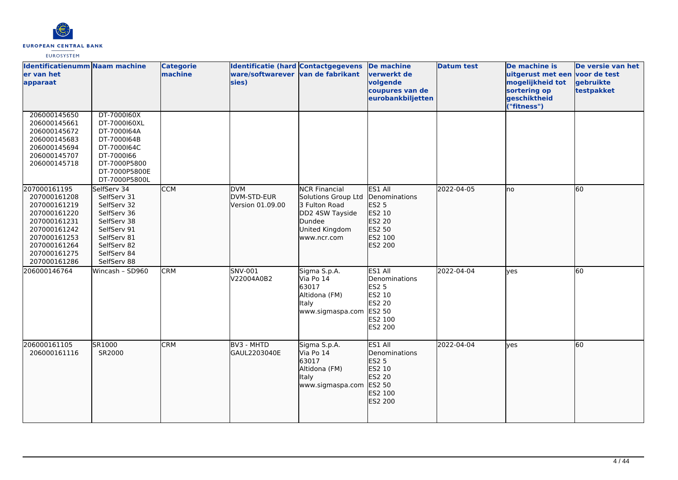

| <b>Identificatienumm Naam machine</b><br>ler van het<br>apparaat                                                                                             |                                                                                                                                                    | <b>Categorie</b><br>machine | <b>Identificatie (hard Contactgegevens</b><br>ware/softwarever van de fabrikant<br>sies) |                                                                                                                            | De machine<br>verwerkt de<br>volgende<br>coupures van de<br>eurobankbiljetten                | <b>Datum test</b> | De machine is<br>uitgerust met een voor de test<br>mogelijkheid tot<br>sortering op<br>geschiktheid<br>"fitness") | De versie van het<br>gebruikte<br>testpakket |
|--------------------------------------------------------------------------------------------------------------------------------------------------------------|----------------------------------------------------------------------------------------------------------------------------------------------------|-----------------------------|------------------------------------------------------------------------------------------|----------------------------------------------------------------------------------------------------------------------------|----------------------------------------------------------------------------------------------|-------------------|-------------------------------------------------------------------------------------------------------------------|----------------------------------------------|
| 206000145650<br>206000145661<br>206000145672<br>206000145683<br>206000145694<br>206000145707<br>206000145718                                                 | DT-7000160X<br>DT-7000160XL<br>DT-7000164A<br>DT-7000164B<br>DT-7000164C<br>DT-7000166<br>DT-7000P5800<br>DT-7000P5800E<br>DT-7000P5800L           |                             |                                                                                          |                                                                                                                            |                                                                                              |                   |                                                                                                                   |                                              |
| 207000161195<br>207000161208<br>207000161219<br>207000161220<br>207000161231<br>207000161242<br>207000161253<br>207000161264<br>207000161275<br>207000161286 | SelfServ 34<br>SelfServ 31<br>SelfServ 32<br>SelfServ 36<br>SelfServ 38<br>SelfServ 91<br>SelfServ 81<br>SelfServ 82<br>SelfServ 84<br>SelfServ 88 | <b>CCM</b>                  | <b>DVM</b><br>DVM-STD-EUR<br>Version 01.09.00                                            | <b>NCR Financial</b><br>Solutions Group Ltd<br>3 Fulton Road<br>DD2 4SW Tayside<br>Dundee<br>United Kingdom<br>www.ncr.com | ES1 All<br>Denominations<br><b>ES2 5</b><br>ES2 10<br>ES2 20<br>ES2 50<br>ES2 100<br>ES2 200 | 2022-04-05        | Ino                                                                                                               | 60                                           |
| 206000146764                                                                                                                                                 | Wincash - SD960                                                                                                                                    | <b>CRM</b>                  | SNV-001<br>V22004A0B2                                                                    | Sigma S.p.A.<br>Via Po 14<br>63017<br>Altidona (FM)<br>Italy<br>www.sigmaspa.com                                           | ES1 All<br>Denominations<br>ES2 5<br>ES2 10<br><b>ES2 20</b><br>ES2 50<br>ES2 100<br>ES2 200 | 2022-04-04        | <b>ves</b>                                                                                                        | 60                                           |
| 206000161105<br>206000161116                                                                                                                                 | SR1000<br>SR2000                                                                                                                                   | <b>CRM</b>                  | BV3 - MHTD<br>GAUL2203040E                                                               | Sigma S.p.A.<br>Via Po 14<br>63017<br>Altidona (FM)<br><b>Italy</b><br>www.sigmaspa.com                                    | ES1 All<br>Denominations<br>ES2 5<br>ES2 10<br>ES2 20<br>ES2 50<br>ES2 100<br>ES2 200        | 2022-04-04        | lyes                                                                                                              | 60                                           |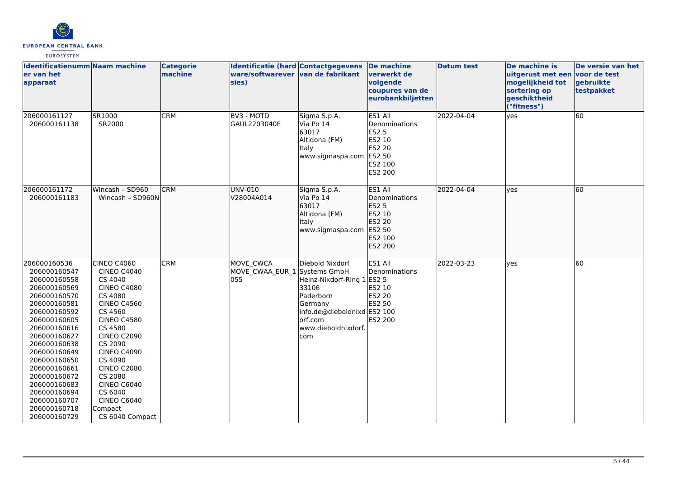

| <b>Identificatienumm Naam machine</b><br>er van het<br>apparaat                                                                                                                                                                                                                                                              |                                                                                                                                                                                                                                                                                                                                  | <b>Categorie</b><br>machine | Identificatie (hard Contactgegevens<br>ware/softwarever van de fabrikant<br>sies) |                                                                                                                                                                   | De machine<br>verwerkt de<br>volgende<br>coupures van de<br>eurobankbiljetten                       | <b>Datum test</b> | De machine is<br>uitgerust met een voor de test<br>mogelijkheid tot<br>sortering op<br>geschiktheid<br>("fitness") | De versie van het<br>gebruikte<br>testpakket |
|------------------------------------------------------------------------------------------------------------------------------------------------------------------------------------------------------------------------------------------------------------------------------------------------------------------------------|----------------------------------------------------------------------------------------------------------------------------------------------------------------------------------------------------------------------------------------------------------------------------------------------------------------------------------|-----------------------------|-----------------------------------------------------------------------------------|-------------------------------------------------------------------------------------------------------------------------------------------------------------------|-----------------------------------------------------------------------------------------------------|-------------------|--------------------------------------------------------------------------------------------------------------------|----------------------------------------------|
| 206000161127<br>206000161138                                                                                                                                                                                                                                                                                                 | SR1000<br>SR2000                                                                                                                                                                                                                                                                                                                 | <b>CRM</b>                  | BV3 - MOTD<br>GAUL2203040E                                                        | Sigma S.p.A.<br>Via Po 14<br>63017<br>Altidona (FM)<br>Italy<br>www.sigmaspa.com                                                                                  | ES1 All<br>Denominations<br><b>ES2 5</b><br>ES2 10<br><b>ES2 20</b><br>ES2 50<br>ES2 100<br>ES2 200 | 2022-04-04        | yes                                                                                                                | 60                                           |
| 206000161172<br>206000161183                                                                                                                                                                                                                                                                                                 | Wincash - SD960<br>Wincash - SD960N                                                                                                                                                                                                                                                                                              | <b>CRM</b>                  | UNV-010<br>V28004A014                                                             | Sigma S.p.A.<br>Via Po 14<br>63017<br>Altidona (FM)<br>Italy<br>www.sigmaspa.com ES2 50                                                                           | ES1 All<br>Denominations<br>ES2 5<br>ES2 10<br>ES2 20<br>ES2 100<br>ES2 200                         | 2022-04-04        | lyes                                                                                                               | 60                                           |
| 206000160536<br>206000160547<br>206000160558<br>206000160569<br>206000160570<br>206000160581<br>206000160592<br>206000160605<br>206000160616<br>206000160627<br>206000160638<br>206000160649<br>206000160650<br>206000160661<br>206000160672<br>206000160683<br>206000160694<br>206000160707<br>206000160718<br>206000160729 | CINEO C4060<br><b>CINEO C4040</b><br>CS 4040<br><b>CINEO C4080</b><br>CS 4080<br><b>CINEO C4560</b><br>CS 4560<br><b>CINEO C4580</b><br>CS 4580<br><b>CINEO C2090</b><br>CS 2090<br><b>CINEO C4090</b><br>CS 4090<br><b>CINEO C2080</b><br>CS 2080<br>CINEO C6040<br>CS 6040<br><b>CINEO C6040</b><br>Compact<br>CS 6040 Compact | <b>CRM</b>                  | MOVE CWCA<br>MOVE_CWAA_EUR_1<br>055                                               | Diebold Nixdorf<br>Systems GmbH<br>Heinz-Nixdorf-Ring 1<br>33106<br>Paderborn<br>Germany<br>info.de@dieboldnixd ES2 100<br>lorf.com<br>www.dieboldnixdorf.<br>com | ES1 All<br>Denominations<br><b>ES2 5</b><br>ES2 10<br><b>ES2 20</b><br>ES2 50<br>ES2 200            | 2022-03-23        | lyes                                                                                                               | 60                                           |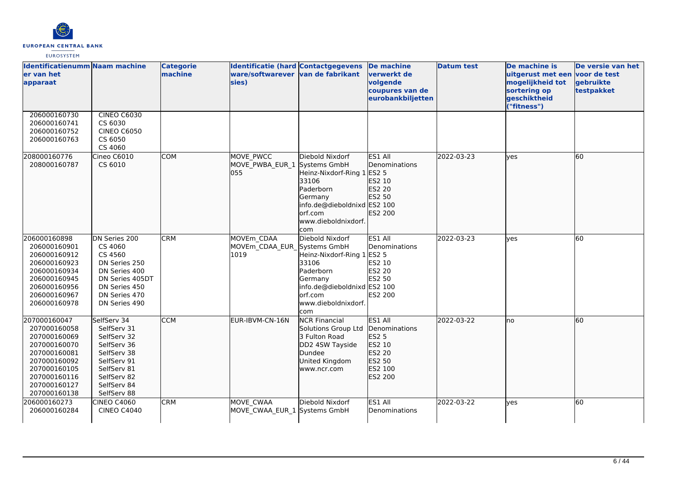

| Identificatienumm Naam machine<br>er van het<br>apparaat                                                                                                     |                                                                                                                                                    | <b>Categorie</b><br>machine | <b>Identificatie (hard Contactgegevens</b><br>ware/softwarever van de fabrikant<br>sies) |                                                                                                                                                                        | <b>De machine</b><br>verwerkt de<br>volgende<br>coupures van de<br>eurobankbiljetten  | <b>Datum test</b> | De machine is<br>uitgerust met een voor de test<br>mogelijkheid tot<br>sortering op<br>geschiktheid<br>("fitness") | De versie van het<br>gebruikte<br>testpakket |
|--------------------------------------------------------------------------------------------------------------------------------------------------------------|----------------------------------------------------------------------------------------------------------------------------------------------------|-----------------------------|------------------------------------------------------------------------------------------|------------------------------------------------------------------------------------------------------------------------------------------------------------------------|---------------------------------------------------------------------------------------|-------------------|--------------------------------------------------------------------------------------------------------------------|----------------------------------------------|
| 206000160730<br>206000160741<br>206000160752<br>206000160763                                                                                                 | <b>CINEO C6030</b><br>CS 6030<br><b>CINEO C6050</b><br>CS 6050<br>CS 4060                                                                          |                             |                                                                                          |                                                                                                                                                                        |                                                                                       |                   |                                                                                                                    |                                              |
| 208000160776<br>208000160787                                                                                                                                 | Cineo C6010<br>CS 6010                                                                                                                             | <b>COM</b>                  | MOVE PWCC<br>MOVE PWBA EUR 1<br>055                                                      | Diebold Nixdorf<br>Systems GmbH<br>Heinz-Nixdorf-Ring 1 ES2 5<br>33106<br>Paderborn<br>Germany<br>info.de@dieboldnixd ES2 100<br>orf.com<br>www.dieboldnixdorf.<br>com | ES1 All<br><b>IDenominations</b><br>ES2 10<br>ES2 20<br>ES2 50<br>ES2 200             | 2022-03-23        | lves                                                                                                               | 60                                           |
| 206000160898<br>206000160901<br>206000160912<br>206000160923<br>206000160934<br>206000160945<br>206000160956<br>206000160967<br>206000160978                 | DN Series 200<br>CS 4060<br>CS 4560<br>DN Series 250<br>DN Series 400<br>DN Series 405DT<br>DN Series 450<br>DN Series 470<br>DN Series 490        | <b>CRM</b>                  | MOVEm CDAA<br>MOVEm CDAA EUR Systems GmbH<br>1019                                        | Diebold Nixdorf<br>Heinz-Nixdorf-Ring 1 ES2 5<br>33106<br>Paderborn<br>Germany<br>info.de@dieboldnixd ES2 100<br>orf.com<br>www.dieboldnixdorf.<br>com                 | ES1 All<br>Denominations<br>ES2 10<br><b>ES2 20</b><br>ES2 50<br><b>ES2 200</b>       | 2022-03-23        | lves                                                                                                               | 60                                           |
| 207000160047<br>207000160058<br>207000160069<br>207000160070<br>207000160081<br>207000160092<br>207000160105<br>207000160116<br>207000160127<br>207000160138 | SelfServ 34<br>SelfServ 31<br>SelfServ 32<br>SelfServ 36<br>SelfServ 38<br>SelfServ 91<br>SelfServ 81<br>SelfServ 82<br>SelfServ 84<br>SelfServ 88 | <b>CCM</b>                  | EUR-IBVM-CN-16N                                                                          | <b>NCR Financial</b><br>Solutions Group Ltd<br>3 Fulton Road<br>DD2 4SW Tayside<br>Dundee<br>United Kingdom<br>www.ncr.com                                             | ES1 All<br>Denominations<br>ES2 5<br>ES2 10<br>ES2 20<br>ES2 50<br>ES2 100<br>ES2 200 | 2022-03-22        | lno                                                                                                                | 60                                           |
| 206000160273<br>206000160284                                                                                                                                 | <b>CINEO C4060</b><br><b>CINEO C4040</b>                                                                                                           | <b>CRM</b>                  | MOVE CWAA<br>MOVE CWAA EUR 1 Systems GmbH                                                | Diebold Nixdorf                                                                                                                                                        | ES1 All<br>Denominations                                                              | 2022-03-22        | lyes                                                                                                               | 60                                           |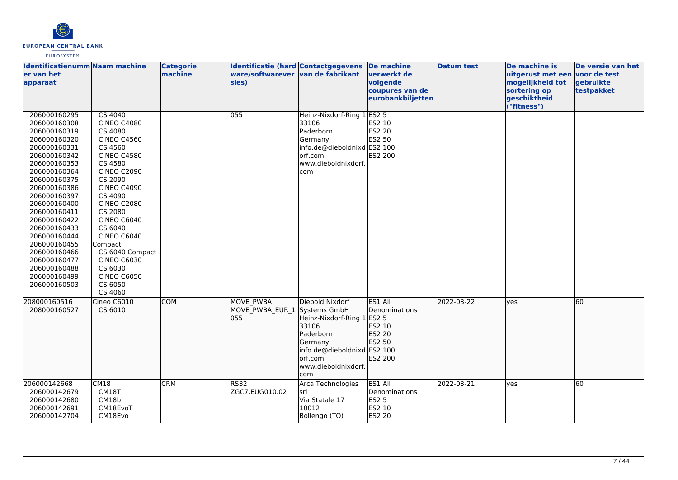

| Identificatienumm Naam machine<br>er van het<br>apparaat                                                                                                                                                                                                                                                                                                     |                                                                                                                                                                                                                                                                                                                                                                                        | <b>Categorie</b><br>machine | Identificatie (hard Contactgegevens<br>ware/softwarever van de fabrikant<br>sies) |                                                                                                                                                                         | De machine<br>verwerkt de<br>volgende<br>coupures van de<br>eurobankbiljetten | <b>Datum test</b> | De machine is<br>uitgerust met een voor de test<br>mogelijkheid tot<br>sortering op<br>geschiktheid<br>("fitness") | De versie van het<br>gebruikte<br>testpakket |
|--------------------------------------------------------------------------------------------------------------------------------------------------------------------------------------------------------------------------------------------------------------------------------------------------------------------------------------------------------------|----------------------------------------------------------------------------------------------------------------------------------------------------------------------------------------------------------------------------------------------------------------------------------------------------------------------------------------------------------------------------------------|-----------------------------|-----------------------------------------------------------------------------------|-------------------------------------------------------------------------------------------------------------------------------------------------------------------------|-------------------------------------------------------------------------------|-------------------|--------------------------------------------------------------------------------------------------------------------|----------------------------------------------|
| 206000160295<br>206000160308<br>206000160319<br>206000160320<br>206000160331<br>206000160342<br>206000160353<br>206000160364<br>206000160375<br>206000160386<br>206000160397<br>206000160400<br>206000160411<br>206000160422<br>206000160433<br>206000160444<br>206000160455<br>206000160466<br>206000160477<br>206000160488<br>206000160499<br>206000160503 | <b>CS 4040</b><br><b>CINEO C4080</b><br>CS 4080<br><b>CINEO C4560</b><br>CS 4560<br><b>CINEO C4580</b><br>CS 4580<br><b>CINEO C2090</b><br>CS 2090<br><b>CINEO C4090</b><br>CS 4090<br><b>CINEO C2080</b><br>CS 2080<br><b>CINEO C6040</b><br>CS 6040<br><b>CINEO C6040</b><br>Compact<br>CS 6040 Compact<br><b>CINEO C6030</b><br>CS 6030<br><b>CINEO C6050</b><br>CS 6050<br>CS 4060 |                             | 055                                                                               | Heinz-Nixdorf-Ring 1<br>33106<br>Paderborn<br>Germany<br>info.de@dieboldnixd ES2 100<br>orf.com<br>www.dieboldnixdorf.<br>com                                           | $E$ S2 5<br>ES2 10<br><b>ES2 20</b><br>ES2 50<br>ES2 200                      |                   |                                                                                                                    |                                              |
| 208000160516<br>208000160527                                                                                                                                                                                                                                                                                                                                 | Cineo C6010<br>CS 6010                                                                                                                                                                                                                                                                                                                                                                 | <b>COM</b>                  | <b>MOVE PWBA</b><br>MOVE PWBA EUR 1<br>055                                        | Diebold Nixdorf<br>Systems GmbH<br>Heinz-Nixdorf-Ring 1 ES2 5<br>33106<br>Paderborn<br>Germany<br>info.de@dieboldnixd ES2 100<br>lorf.com<br>www.dieboldnixdorf.<br>com | ES1 All<br>Denominations<br>ES2 10<br>ES2 20<br>ES2 50<br>ES2 200             | 2022-03-22        | <b>l</b> ves                                                                                                       | 60                                           |
| 206000142668<br>CM18<br>206000142679<br>206000142680<br>206000142691<br>206000142704                                                                                                                                                                                                                                                                         | CM18T<br>CM18b<br>CM18EvoT<br>CM18Evo                                                                                                                                                                                                                                                                                                                                                  | <b>CRM</b>                  | <b>RS32</b><br>ZGC7.EUG010.02                                                     | Arca Technologies<br>İsrl<br>Via Statale 17<br>10012<br>Bollengo (TO)                                                                                                   | ES1 All<br>Denominations<br><b>ES2 5</b><br>ES2 10<br>ES2 20                  | 2022-03-21        | lyes                                                                                                               | 60                                           |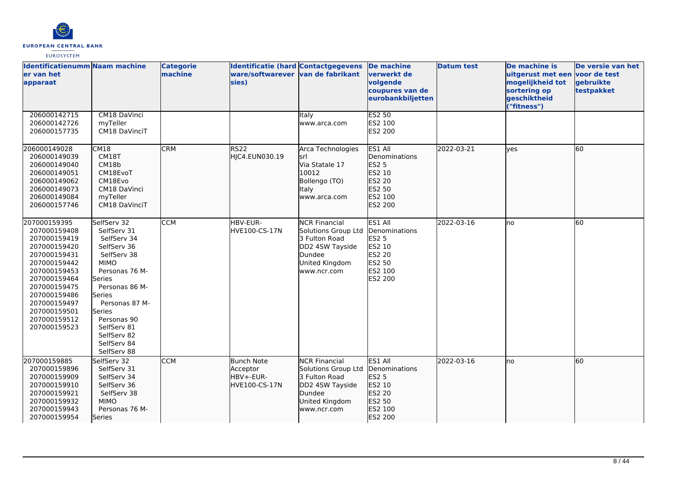

| Identificatienumm Naam machine<br>ler van het<br>apparaat                                                                                                                                                                    |                                                                                                                                                                                                                                                       | <b>Categorie</b><br>machine | <b>Identificatie (hard Contactgegevens</b><br>ware/softwarever van de fabrikant<br>sies) |                                                                                                                            | De machine<br>verwerkt de<br>volgende<br>coupures van de<br>eurobankbiljetten                              | <b>Datum test</b> | De machine is<br>uitgerust met een voor de test<br>mogelijkheid tot<br>sortering op<br>geschiktheid<br>"fitness") | De versie van het<br>gebruikte<br>testpakket |
|------------------------------------------------------------------------------------------------------------------------------------------------------------------------------------------------------------------------------|-------------------------------------------------------------------------------------------------------------------------------------------------------------------------------------------------------------------------------------------------------|-----------------------------|------------------------------------------------------------------------------------------|----------------------------------------------------------------------------------------------------------------------------|------------------------------------------------------------------------------------------------------------|-------------------|-------------------------------------------------------------------------------------------------------------------|----------------------------------------------|
| 206000142715<br>206000142726<br>206000157735                                                                                                                                                                                 | CM18 DaVinci<br>myTeller<br>CM18 DaVinciT                                                                                                                                                                                                             |                             |                                                                                          | Italy<br>www.arca.com                                                                                                      | <b>ES2 50</b><br>ES2 100<br>ES2 200                                                                        |                   |                                                                                                                   |                                              |
| 206000149028<br>206000149039<br>206000149040<br>206000149051<br>206000149062<br>206000149073<br>206000149084<br>206000157746                                                                                                 | CM18<br>CM18T<br>CM18b<br>CM18EvoT<br>CM18Evo<br>CM18 DaVinci<br>myTeller<br>CM18 DaVinciT                                                                                                                                                            | <b>CRM</b>                  | <b>RS22</b><br>HJC4.EUN030.19                                                            | Arca Technologies<br>İsrl<br>Via Statale 17<br>10012<br>Bollengo (TO)<br>Italy<br>www.arca.com                             | ES1 All<br>Denominations<br><b>IES25</b><br>ES2 10<br>ES2 20<br>ES2 50<br>ES2 100<br>ES2 200               | 2022-03-21        | ves                                                                                                               | 60                                           |
| 207000159395<br>207000159408<br>207000159419<br>207000159420<br>207000159431<br>207000159442<br>207000159453<br>207000159464<br>207000159475<br>207000159486<br>207000159497<br>207000159501<br>207000159512<br>207000159523 | SelfServ 32<br>SelfServ 31<br>SelfServ 34<br>SelfServ 36<br>SelfServ 38<br><b>MIMO</b><br>Personas 76 M-<br>Series<br>Personas 86 M-<br>Series<br>Personas 87 M-<br>Series<br>Personas 90<br>SelfServ 81<br>SelfServ 82<br>SelfServ 84<br>SelfServ 88 | <b>CCM</b>                  | HBV-EUR-<br>HVE100-CS-17N                                                                | <b>NCR Financial</b><br>Solutions Group Ltd<br>3 Fulton Road<br>DD2 4SW Tayside<br>Dundee<br>United Kingdom<br>www.ncr.com | ES1 All<br>Denominations<br><b>ES2 5</b><br><b>ES2 10</b><br><b>ES2 20</b><br>ES2 50<br>ES2 100<br>ES2 200 | 2022-03-16        | lno                                                                                                               | 60                                           |
| 207000159885<br>207000159896<br>207000159909<br>207000159910<br>207000159921<br>207000159932<br>207000159943<br>207000159954                                                                                                 | SelfServ 32<br>SelfServ 31<br>SelfServ 34<br>SelfServ 36<br>SelfServ 38<br><b>MIMO</b><br>Personas 76 M-<br>Series                                                                                                                                    | <b>CCM</b>                  | <b>Bunch Note</b><br>Acceptor<br>HBV+-EUR-<br>HVE100-CS-17N                              | <b>NCR Financial</b><br>Solutions Group Ltd<br>3 Fulton Road<br>DD2 4SW Tayside<br>Dundee<br>United Kingdom<br>www.ncr.com | ES1 All<br>Denominations<br><b>ES2 5</b><br>ES2 10<br>ES2 20<br>ES2 50<br>ES2 100<br>ES2 200               | 2022-03-16        | Ino                                                                                                               | 60                                           |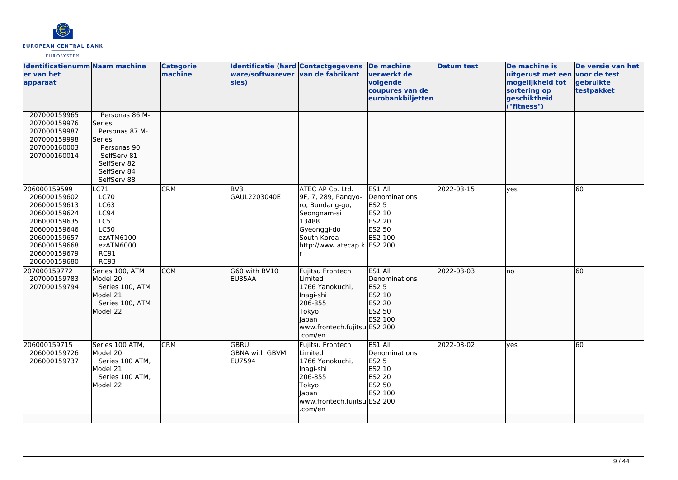

| <b>Identificatienumm Naam machine</b><br>er van het<br>apparaat                                                                                              |                                                                                                                                 | <b>Categorie</b><br>machine | Identificatie (hard Contactgegevens<br>ware/softwarever van de fabrikant<br>sies) |                                                                                                                                                 | <b>De machine</b><br>verwerkt de<br>volgende<br>coupures van de<br>eurobankbiljetten     | <b>Datum test</b> | De machine is<br>uitgerust met een voor de test<br>mogelijkheid tot<br>sortering op<br>geschiktheid<br>("fitness") | De versie van het<br>gebruikte<br>testpakket |
|--------------------------------------------------------------------------------------------------------------------------------------------------------------|---------------------------------------------------------------------------------------------------------------------------------|-----------------------------|-----------------------------------------------------------------------------------|-------------------------------------------------------------------------------------------------------------------------------------------------|------------------------------------------------------------------------------------------|-------------------|--------------------------------------------------------------------------------------------------------------------|----------------------------------------------|
| 207000159965<br>207000159976<br>207000159987<br>207000159998<br>207000160003<br>207000160014                                                                 | Personas 86 M-<br>Series<br>Personas 87 M-<br>Series<br>Personas 90<br>SelfServ 81<br>SelfServ 82<br>SelfServ 84<br>SelfServ 88 |                             |                                                                                   |                                                                                                                                                 |                                                                                          |                   |                                                                                                                    |                                              |
| 206000159599<br>206000159602<br>206000159613<br>206000159624<br>206000159635<br>206000159646<br>206000159657<br>206000159668<br>206000159679<br>206000159680 | C71<br><b>LC70</b><br>LC63<br>LC94<br>LC51<br><b>LC50</b><br>ezATM6100<br>ezATM6000<br><b>RC91</b><br><b>RC93</b>               | <b>CRM</b>                  | BV <sub>3</sub><br>GAUL2203040E                                                   | ATEC AP Co. Ltd.<br>9F, 7, 289, Pangyo-<br>ro, Bundang-gu,<br>Seongnam-si<br>13488<br>Gyeonggi-do<br>South Korea<br>http://www.atecap.k ES2 200 | ES1 All<br>Denominations<br><b>ES2 5</b><br><b>ES2 10</b><br>ES2 20<br>ES2 50<br>ES2 100 | 2022-03-15        | lyes                                                                                                               | 60                                           |
| 207000159772<br>207000159783<br>207000159794                                                                                                                 | Series 100, ATM<br>Model 20<br>Series 100, ATM<br>Model 21<br>Series 100, ATM<br>Model 22                                       | <b>CCM</b>                  | G60 with BV10<br>EU35AA                                                           | Fujitsu Frontech<br>Limited<br>1766 Yanokuchi,<br>Inagi-shi<br>206-855<br>Tokyo<br>lapan<br>www.frontech.fujitsu ES2 200<br>.com/en             | ES1 All<br>Denominations<br>ES2 5<br>ES2 10<br>ES2 20<br>ES2 50<br>ES2 100               | 2022-03-03        | Ino                                                                                                                | 60                                           |
| 206000159715<br>206000159726<br>206000159737                                                                                                                 | Series 100 ATM,<br>Model 20<br>Series 100 ATM,<br>Model 21<br>Series 100 ATM,<br>Model 22                                       | <b>CRM</b>                  | <b>GBRU</b><br><b>GBNA</b> with GBVM<br>EU7594                                    | Fujitsu Frontech<br>Limited<br>1766 Yanokuchi,<br>Inagi-shi<br>206-855<br>Tokyo<br>Japan<br>www.frontech.fujitsu ES2 200<br>.com/en             | ES1 All<br>Denominations<br><b>ES2 5</b><br>ES2 10<br><b>ES2 20</b><br>ES2 50<br>ES2 100 | 2022-03-02        | lyes                                                                                                               | 60                                           |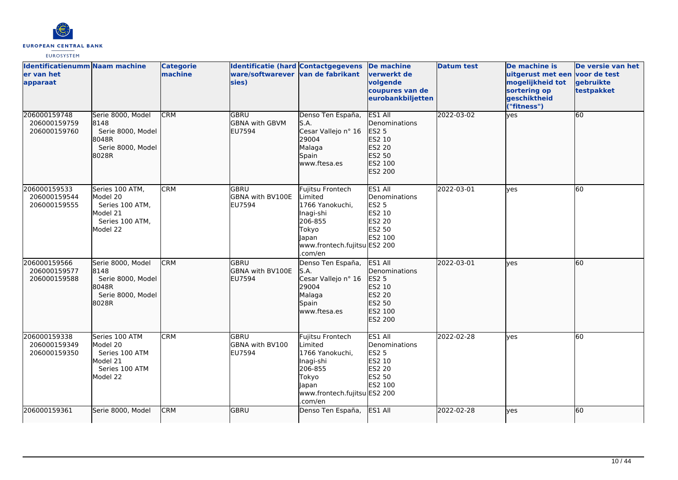

| <b>Identificatienumm Naam machine</b><br>er van het<br>apparaat |                                                                                           | <b>Categorie</b><br>machine | Identificatie (hard Contactgegevens<br>ware/softwarever van de fabrikant<br>sies) |                                                                                                                                     | <b>De machine</b><br>verwerkt de<br>volgende<br>coupures van de<br>eurobankbiljetten         | <b>Datum test</b> | De machine is<br>uitgerust met een voor de test<br>mogelijkheid tot<br>sortering op<br>geschiktheid<br>("fitness") | De versie van het<br>gebruikte<br>testpakket |
|-----------------------------------------------------------------|-------------------------------------------------------------------------------------------|-----------------------------|-----------------------------------------------------------------------------------|-------------------------------------------------------------------------------------------------------------------------------------|----------------------------------------------------------------------------------------------|-------------------|--------------------------------------------------------------------------------------------------------------------|----------------------------------------------|
| 206000159748<br>206000159759<br>206000159760                    | Serie 8000, Model<br>8148<br>Serie 8000, Model<br>18048R<br>Serie 8000, Model<br>8028R    | <b>CRM</b>                  | <b>GBRU</b><br><b>GBNA</b> with GBVM<br><b>EU7594</b>                             | Denso Ten España,<br>S.A.<br>Cesar Vallejo nº 16<br>29004<br>Malaga<br>Spain<br>www.ftesa.es                                        | <b>ES1 All</b><br>Denominations<br>ES2 5<br>ES2 10<br>ES2 20<br>ES2 50<br>ES2 100<br>ES2 200 | 2022-03-02        | lyes                                                                                                               | 60                                           |
| 206000159533<br>206000159544<br>206000159555                    | Series 100 ATM.<br>Model 20<br>Series 100 ATM,<br>Model 21<br>Series 100 ATM.<br>Model 22 | <b>CRM</b>                  | lgbru<br><b>GBNA with BV100E</b><br><b>EU7594</b>                                 | Fujitsu Frontech<br>Limited<br>1766 Yanokuchi,<br>Inagi-shi<br>206-855<br>Tokyo<br>lapan<br>www.frontech.fujitsu ES2 200<br>.com/en | ES1 All<br>Denominations<br><b>ES2 5</b><br>ES2 10<br>ES2 20<br>ES2 50<br>ES2 100            | 2022-03-01        | lves                                                                                                               | 60                                           |
| 206000159566<br>206000159577<br>206000159588                    | Serie 8000, Model<br>8148<br>Serie 8000, Model<br>18048R<br>Serie 8000, Model<br>8028R    | <b>CRM</b>                  | <b>GBRU</b><br><b>GBNA with BV100E</b><br><b>EU7594</b>                           | Denso Ten España,<br>lS.A.<br>Cesar Vallejo nº 16<br>29004<br>Malaga<br>Spain<br>www.ftesa.es                                       | ES1 All<br>Denominations<br><b>ES2 5</b><br>ES2 10<br>ES2 20<br>ES2 50<br>ES2 100<br>ES2 200 | 2022-03-01        | lyes                                                                                                               | 60                                           |
| 206000159338<br>206000159349<br>206000159350                    | Series 100 ATM<br>Model 20<br>Series 100 ATM<br>Model 21<br>Series 100 ATM<br>Model 22    | <b>CRM</b>                  | lgbru<br><b>GBNA with BV100</b><br><b>EU7594</b>                                  | Fujitsu Frontech<br>Limited<br>1766 Yanokuchi,<br>Inagi-shi<br>206-855<br>Tokyo<br>apan<br>www.frontech.fujitsu ES2 200<br>.com/en  | ES1 All<br>Denominations<br><b>ES2 5</b><br>ES2 10<br>ES2 20<br>ES2 50<br>ES2 100            | 2022-02-28        | lves                                                                                                               | 60                                           |
| 206000159361                                                    | Serie 8000, Model                                                                         | <b>CRM</b>                  | <b>GBRU</b>                                                                       | Denso Ten España,                                                                                                                   | ES1 All                                                                                      | 2022-02-28        | lves                                                                                                               | 60                                           |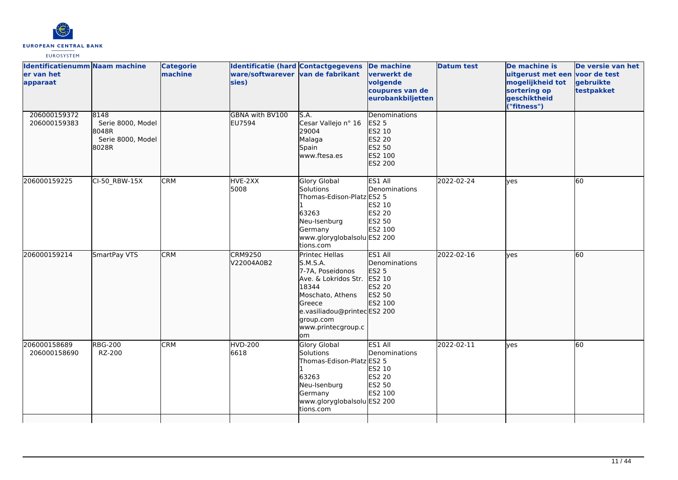

| <b>Identificatienumm Naam machine</b><br>ler van het<br>apparaat |                                                                  | <b>Categorie</b><br>machine | <b>Identificatie (hard Contactgegevens</b><br>ware/softwarever van de fabrikant<br>sies) |                                                                                                                                                                                       | De machine<br>verwerkt de<br>volgende<br>coupures van de<br>eurobankbiljetten     | <b>Datum test</b> | De machine is<br>uitgerust met een voor de test<br>mogelijkheid tot<br>sortering op<br>geschiktheid<br>("fitness") | De versie van het<br>gebruikte<br>testpakket |
|------------------------------------------------------------------|------------------------------------------------------------------|-----------------------------|------------------------------------------------------------------------------------------|---------------------------------------------------------------------------------------------------------------------------------------------------------------------------------------|-----------------------------------------------------------------------------------|-------------------|--------------------------------------------------------------------------------------------------------------------|----------------------------------------------|
| 206000159372<br>206000159383                                     | 8148<br>Serie 8000, Model<br>8048R<br>Serie 8000, Model<br>8028R |                             | GBNA with BV100<br><b>EU7594</b>                                                         | S.A.<br>Cesar Vallejo nº 16<br>29004<br>Malaga<br>Spain<br>www.ftesa.es                                                                                                               | Denominations<br><b>ES2 5</b><br>ES2 10<br>ES2 20<br>ES2 50<br>ES2 100<br>ES2 200 |                   |                                                                                                                    |                                              |
| 206000159225                                                     | CI-50 RBW-15X                                                    | <b>CRM</b>                  | HVE-2XX<br>5008                                                                          | Glory Global<br>Solutions<br>Thomas-Edison-Platz ES2 5<br>63263<br>Neu-Isenburg<br>Germany<br>www.gloryglobalsolu ES2 200<br>tions.com                                                | ES1 All<br>Denominations<br><b>ES2 10</b><br><b>ES2 20</b><br>ES2 50<br>ES2 100   | 2022-02-24        | lves                                                                                                               | 60                                           |
| 206000159214                                                     | SmartPay VTS                                                     | <b>CRM</b>                  | <b>CRM9250</b><br>V22004A0B2                                                             | Printec Hellas<br>S.M.S.A.<br>7-7A, Poseidonos<br>Ave. & Lokridos Str.<br>18344<br>Moschato, Athens<br>Greece<br>e.vasiliadou@printecES2 200<br>group.com<br>www.printecgroup.c<br>om | ES1 All<br>Denominations<br>ES2 5<br>ES2 10<br>ES2 20<br>ES2 50<br>ES2 100        | 2022-02-16        | ves                                                                                                                | 60                                           |
| 206000158689<br>206000158690                                     | <b>RBG-200</b><br>RZ-200                                         | <b>CRM</b>                  | <b>HVD-200</b><br>6618                                                                   | <b>Glory Global</b><br>Solutions<br>Thomas-Edison-Platz ES2 5<br>63263<br>Neu-Isenburg<br>Germany<br>www.gloryglobalsolu ES2 200<br>tions.com                                         | ES1 All<br>Denominations<br>ES2 10<br><b>ES2 20</b><br><b>ES2 50</b><br>ES2 100   | 2022-02-11        | <b>ves</b>                                                                                                         | 60                                           |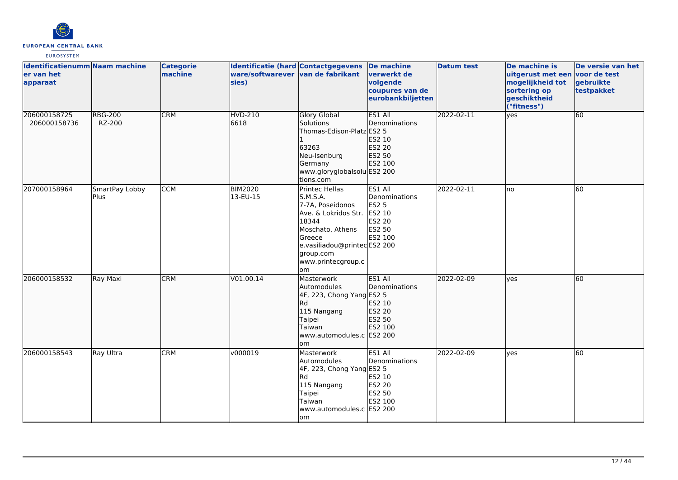

| <b>Identificatienumm Naam machine</b><br>ler van het<br>apparaat |                          | <b>Categorie</b><br>machine | <b>Identificatie (hard Contactgegevens</b><br>ware/softwarever van de fabrikant<br>sies) |                                                                                                                                                                                               | <b>De machine</b><br><u>lverwerkt de</u><br>volgende<br>coupures van de<br>eurobankbiljetten | <b>Datum test</b> | De machine is<br>uitgerust met een voor de test<br>mogelijkheid tot<br>sortering op<br>geschiktheid<br>("fitness") | De versie van het<br>gebruikte<br>testpakket |
|------------------------------------------------------------------|--------------------------|-----------------------------|------------------------------------------------------------------------------------------|-----------------------------------------------------------------------------------------------------------------------------------------------------------------------------------------------|----------------------------------------------------------------------------------------------|-------------------|--------------------------------------------------------------------------------------------------------------------|----------------------------------------------|
| 206000158725<br>206000158736                                     | <b>RBG-200</b><br>RZ-200 | <b>CRM</b>                  | <b>HVD-210</b><br>6618                                                                   | <b>Glory Global</b><br>Solutions<br>Thomas-Edison-Platz ES2 5<br>63263<br>Neu-Isenburg<br>Germany<br>www.gloryglobalsolu ES2 200<br>tions.com                                                 | ES1 All<br>Denominations<br>ES2 10<br>ES2 20<br>ES2 50<br>ES2 100                            | 2022-02-11        | yes                                                                                                                | 60                                           |
| 207000158964                                                     | SmartPay Lobby<br>Plus.  | <b>CCM</b>                  | <b>BIM2020</b><br>13-EU-15                                                               | Printec Hellas<br>S.M.S.A.<br>7-7A, Poseidonos<br>Ave. & Lokridos Str.<br>18344<br>Moschato, Athens<br><b>Greece</b><br>e.vasiliadou@printecES2 200<br>group.com<br>www.printecgroup.c<br>lom | ES1 All<br>Denominations<br><b>ES2 5</b><br>ES2 10<br>ES2 20<br>ES2 50<br>ES2 100            | 2022-02-11        | Ino                                                                                                                | 60                                           |
| 206000158532                                                     | Ray Maxi                 | <b>CRM</b>                  | V01.00.14                                                                                | Masterwork<br>Automodules<br>4F, 223, Chong Yang ES2 5<br><b>I</b> Rd<br>115 Nangang<br>Taipei<br>Taiwan<br>www.automodules.c ES2 200<br>om                                                   | ES1 All<br>Denominations<br>ES2 10<br>ES2 20<br>ES2 50<br><b>ES2 100</b>                     | 2022-02-09        | lyes                                                                                                               | 60                                           |
| 206000158543                                                     | Ray Ultra                | <b>CRM</b>                  | v000019                                                                                  | Masterwork<br>Automodules<br>4F, 223, Chong Yang ES2 5<br><b>Rd</b><br>115 Nangang<br>Taipei<br>Taiwan<br>www.automodules.c ES2 200<br>lom                                                    | ES1 All<br>Denominations<br>ES2 10<br>ES2 20<br>ES2 50<br>ES2 100                            | 2022-02-09        | lyes                                                                                                               | 60                                           |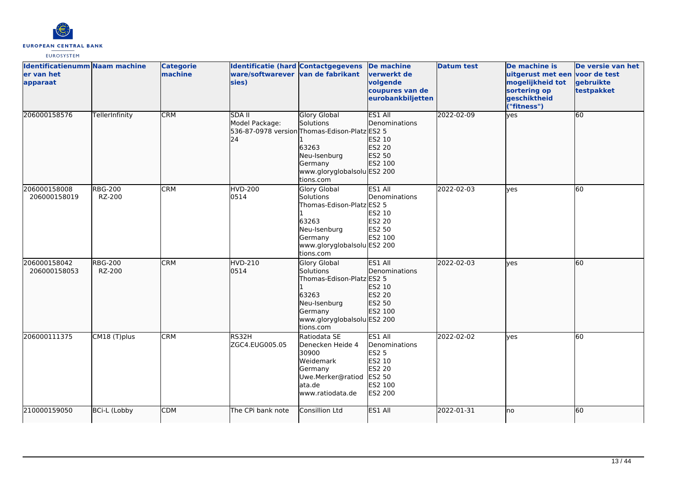

| <b>Identificatienumm Naam machine</b><br>er van het<br>apparaat |                          | <b>Categorie</b><br>machine | <b>Identificatie (hard Contactgegevens</b><br>ware/softwarever van de fabrikant<br>sies) |                                                                                                                                                                   | <b>De machine</b><br>verwerkt de<br>volgende<br>coupures van de<br>eurobankbiljetten         | <b>Datum test</b> | De machine is<br>uitgerust met een voor de test<br>mogelijkheid tot<br>sortering op<br>geschiktheid<br>("fitness") | De versie van het<br>gebruikte<br>testpakket |
|-----------------------------------------------------------------|--------------------------|-----------------------------|------------------------------------------------------------------------------------------|-------------------------------------------------------------------------------------------------------------------------------------------------------------------|----------------------------------------------------------------------------------------------|-------------------|--------------------------------------------------------------------------------------------------------------------|----------------------------------------------|
| 206000158576                                                    | TellerInfinity           | <b>CRM</b>                  | <b>SDA II</b><br>Model Package:<br>24                                                    | <b>Glory Global</b><br>Solutions<br>536-87-0978 version Thomas-Edison-Platz ES2 5<br>63263<br>Neu-Isenburg<br>Germany<br>www.gloryglobalsolu ES2 200<br>tions.com | ES1 All<br>Denominations<br>ES2 10<br>ES2 20<br>ES2 50<br>ES2 100                            | 2022-02-09        | $\overline{yes}$                                                                                                   | 60                                           |
| 206000158008<br>206000158019                                    | <b>RBG-200</b><br>RZ-200 | <b>CRM</b>                  | <b>HVD-200</b><br>0514                                                                   | Glory Global<br>Solutions<br>Thomas-Edison-Platz ES2 5<br>63263<br>Neu-Isenburg<br>Germany<br>www.gloryglobalsolu ES2 200<br>tions.com                            | ES1 All<br>Denominations<br>ES2 10<br>ES2 20<br>ES2 50<br>ES2 100                            | 2022-02-03        | <b>ves</b>                                                                                                         | 60                                           |
| 206000158042<br>206000158053                                    | <b>RBG-200</b><br>RZ-200 | <b>CRM</b>                  | HVD-210<br>0514                                                                          | <b>Glory Global</b><br>Solutions<br>Thomas-Edison-Platz ES2 5<br>63263<br>Neu-Isenburg<br>Germany<br>www.gloryglobalsolu ES2 200<br>tions.com                     | ES1 All<br>Denominations<br>ES2 10<br>ES2 20<br>ES2 50<br>ES2 100                            | 2022-02-03        | lyes                                                                                                               | 60                                           |
| 206000111375                                                    | CM18 (T)plus             | <b>CRM</b>                  | RS32H<br>ZGC4.EUG005.05                                                                  | Ratiodata SE<br>Denecken Heide 4<br>30900<br>Weidemark<br>Germany<br>Uwe.Merker@ratiod<br>ata.de<br>www.ratiodata.de                                              | ES1 All<br>Denominations<br><b>ES2 5</b><br>ES2 10<br>ES2 20<br>ES2 50<br>ES2 100<br>ES2 200 | 2022-02-02        | lves                                                                                                               | 60                                           |
| 210000159050                                                    | <b>BCi-L (Lobby</b>      | <b>CDM</b>                  | The CPi bank note                                                                        | Consillion Ltd                                                                                                                                                    | ES1 All                                                                                      | 2022-01-31        | lno                                                                                                                | 60                                           |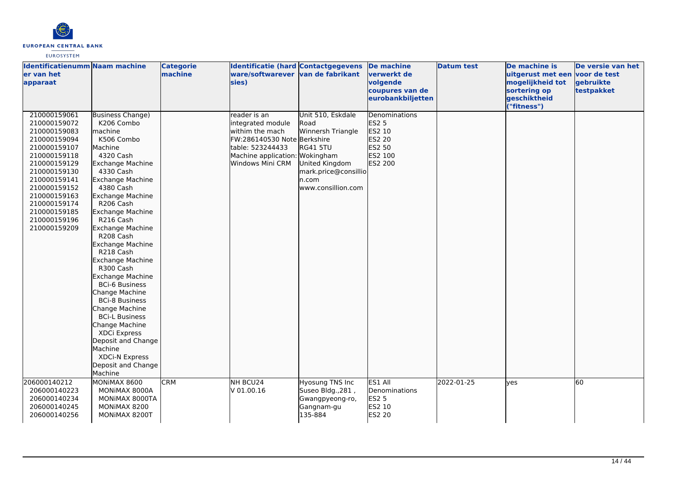

| <b>Identificatienumm Naam machine</b><br>er van het<br>apparaat                                                                                                                                                                                                                                                                                                                                                                                                                                                                                                                                                                                                                                                                                                                                                                                                            | <b>Categorie</b><br>machine | <b>Identificatie (hard Contactgegevens</b><br>ware/softwarever van de fabrikant<br>sies)                                                                      |                                                                                                                                            | <b>De machine</b><br>verwerkt de<br>volgende<br>coupures van de<br>eurobankbiljetten | <b>Datum test</b> | De machine is<br>uitgerust met een voor de test<br>mogelijkheid tot<br>sortering op<br>geschiktheid<br>("fitness") | De versie van het<br>gebruikte<br>testpakket |
|----------------------------------------------------------------------------------------------------------------------------------------------------------------------------------------------------------------------------------------------------------------------------------------------------------------------------------------------------------------------------------------------------------------------------------------------------------------------------------------------------------------------------------------------------------------------------------------------------------------------------------------------------------------------------------------------------------------------------------------------------------------------------------------------------------------------------------------------------------------------------|-----------------------------|---------------------------------------------------------------------------------------------------------------------------------------------------------------|--------------------------------------------------------------------------------------------------------------------------------------------|--------------------------------------------------------------------------------------|-------------------|--------------------------------------------------------------------------------------------------------------------|----------------------------------------------|
| 210000159061<br><b>Business Change)</b><br>210000159072<br>K206 Combo<br>210000159083<br>lmachine<br>K506 Combo<br>210000159094<br>210000159107<br>Machine<br>4320 Cash<br>210000159118<br>210000159129<br><b>Exchange Machine</b><br>210000159130<br>4330 Cash<br>210000159141<br>Exchange Machine<br>4380 Cash<br>210000159152<br>210000159163<br>Exchange Machine<br>210000159174<br>R206 Cash<br><b>Exchange Machine</b><br>210000159185<br>210000159196<br>R216 Cash<br>210000159209<br><b>Exchange Machine</b><br>R208 Cash<br><b>Exchange Machine</b><br>R218 Cash<br><b>Exchange Machine</b><br>R300 Cash<br>Exchange Machine<br><b>BCi-6 Business</b><br>Change Machine<br><b>BCi-8 Business</b><br>Change Machine<br><b>BCi-L Business</b><br>Change Machine<br>XDCi Express<br>Deposit and Change<br>Machine<br>XDCi-N Express<br>Deposit and Change<br>Machine |                             | reader is an<br>integrated module<br>withim the mach<br>FW:286140530 Note Berkshire<br>table: 523244433<br>Machine application: Wokingham<br>Windows Mini CRM | Unit 510, Eskdale<br>Road<br>Winnersh Triangle<br><b>RG41 5TU</b><br>United Kingdom<br>mark.price@consillio<br>n.com<br>www.consillion.com | Denominations<br><b>ES2 5</b><br>ES2 10<br>ES2 20<br>ES2 50<br>ES2 100<br>ES2 200    |                   |                                                                                                                    |                                              |
| 206000140212<br>MONIMAX 8600<br>206000140223<br>MONIMAX 8000A<br>206000140234<br>MONIMAX 8000TA<br>206000140245<br>MONIMAX 8200<br>206000140256<br>MONIMAX 8200T                                                                                                                                                                                                                                                                                                                                                                                                                                                                                                                                                                                                                                                                                                           | <b>CRM</b>                  | NH BCU24<br>$V$ 01.00.16                                                                                                                                      | Hyosung TNS Inc<br>Suseo Bldg., 281,<br>Gwangpyeong-ro,<br>Gangnam-gu<br>135-884                                                           | ES1 All<br>Denominations<br>ES2 5<br>ES2 10<br><b>ES2 20</b>                         | 2022-01-25        | lyes                                                                                                               | 60                                           |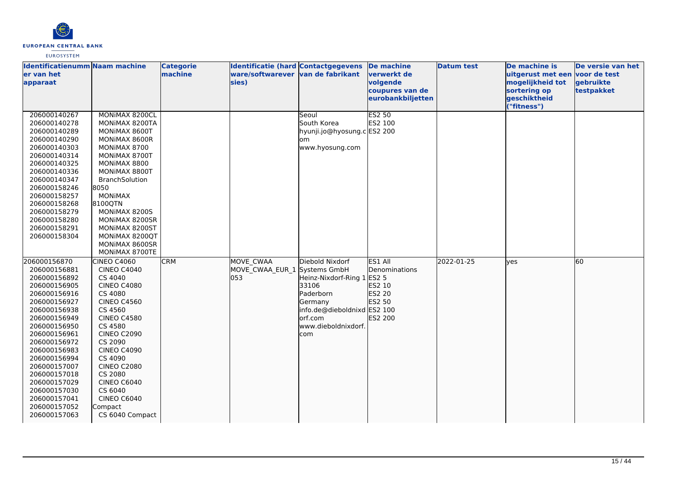

| <b>Identificatienumm Naam machine</b><br>er van het                                                                                                                                                                                                                                                                          |                                                                                                                                                                                                                                                                                                                                                | <b>Categorie</b><br>machine | <b>Identificatie (hard Contactgegevens</b><br>ware/softwarever van de fabrikant |                                                                                                                                          | De machine<br>verwerkt de                                                                    | <b>Datum test</b> | De machine is<br>uitgerust met een voor de test                 | De versie van het       |
|------------------------------------------------------------------------------------------------------------------------------------------------------------------------------------------------------------------------------------------------------------------------------------------------------------------------------|------------------------------------------------------------------------------------------------------------------------------------------------------------------------------------------------------------------------------------------------------------------------------------------------------------------------------------------------|-----------------------------|---------------------------------------------------------------------------------|------------------------------------------------------------------------------------------------------------------------------------------|----------------------------------------------------------------------------------------------|-------------------|-----------------------------------------------------------------|-------------------------|
| apparaat                                                                                                                                                                                                                                                                                                                     |                                                                                                                                                                                                                                                                                                                                                |                             | sies)                                                                           |                                                                                                                                          | volgende<br>coupures van de<br>eurobankbiljetten                                             |                   | mogelijkheid tot<br>sortering op<br>geschiktheid<br>("fitness") | gebruikte<br>testpakket |
| 206000140267<br>206000140278<br>206000140289<br>206000140290<br>206000140303<br>206000140314<br>206000140325<br>206000140336<br>206000140347<br>206000158246<br>206000158257<br>206000158268<br>206000158279<br>206000158280<br>206000158291<br>206000158304                                                                 | MONIMAX 8200CL<br>MONIMAX 8200TA<br>MONIMAX 8600T<br>MONIMAX 8600R<br>MONIMAX 8700<br>MONIMAX 8700T<br>MONIMAX 8800<br>MONIMAX 8800T<br>BranchSolution<br>8050<br><b>MONIMAX</b><br>8100QTN<br>MONIMAX 8200S<br>MONIMAX 8200SR<br>MONIMAX 8200ST<br>MONIMAX 8200QT<br>MONIMAX 8600SR<br>MONIMAX 8700TE                                         |                             |                                                                                 | Seoul<br>South Korea<br>hyunji.jo@hyosung.c ES2 200<br>om<br>www.hyosung.com                                                             | <b>ES2 50</b><br>ES2 100                                                                     |                   |                                                                 |                         |
| 206000156870<br>206000156881<br>206000156892<br>206000156905<br>206000156916<br>206000156927<br>206000156938<br>206000156949<br>206000156950<br>206000156961<br>206000156972<br>206000156983<br>206000156994<br>206000157007<br>206000157018<br>206000157029<br>206000157030<br>206000157041<br>206000157052<br>206000157063 | <b>CINEO C4060</b><br><b>CINEO C4040</b><br>CS 4040<br><b>CINEO C4080</b><br>CS 4080<br><b>CINEO C4560</b><br>CS 4560<br><b>CINEO C4580</b><br>CS 4580<br><b>CINEO C2090</b><br>CS 2090<br><b>CINEO C4090</b><br>CS 4090<br><b>CINEO C2080</b><br>CS 2080<br><b>CINEO C6040</b><br>CS 6040<br><b>CINEO C6040</b><br>Compact<br>CS 6040 Compact | <b>CRM</b>                  | MOVE CWAA<br>MOVE_CWAA_EUR_1 Systems GmbH<br>l053                               | Diebold Nixdorf<br>Heinz-Nixdorf-Ring 1<br>33106<br>Paderborn<br>Germany<br>info.de@dieboldnixd<br>orf.com<br>www.dieboldnixdorf.<br>com | ES1 All<br>Denominations<br><b>ES2 5</b><br>ES2 10<br>ES2 20<br>ES2 50<br>ES2 100<br>ES2 200 | 2022-01-25        | lyes                                                            | 60                      |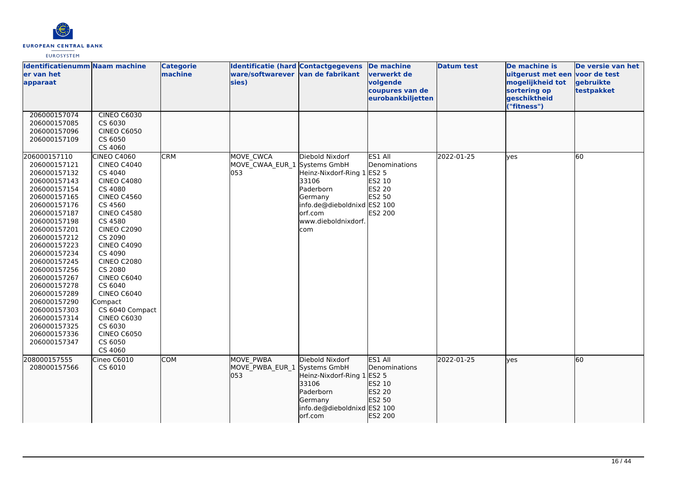

| <b>Identificatienumm Naam machine</b><br>ler van het<br>apparaat                                                                                                                                                                                                                                                                                                                             |                                                                                                                                                                                                                                                                                                                                                                                                                      | <b>Categorie</b><br>machine | <b>Identificatie (hard Contactgegevens</b><br>ware/softwarever van de fabrikant<br>sies) |                                                                                                                                                                  | <b>De machine</b><br><b>verwerkt</b> de<br>volgende<br>coupures van de<br>eurobankbiljetten | <b>Datum test</b> | De machine is<br>uitgerust met een voor de test<br>mogelijkheid tot<br>sortering op<br>geschiktheid<br>("fitness") | De versie van het<br>gebruikte<br>testpakket |
|----------------------------------------------------------------------------------------------------------------------------------------------------------------------------------------------------------------------------------------------------------------------------------------------------------------------------------------------------------------------------------------------|----------------------------------------------------------------------------------------------------------------------------------------------------------------------------------------------------------------------------------------------------------------------------------------------------------------------------------------------------------------------------------------------------------------------|-----------------------------|------------------------------------------------------------------------------------------|------------------------------------------------------------------------------------------------------------------------------------------------------------------|---------------------------------------------------------------------------------------------|-------------------|--------------------------------------------------------------------------------------------------------------------|----------------------------------------------|
| 206000157074<br>206000157085<br>206000157096<br>206000157109                                                                                                                                                                                                                                                                                                                                 | CINEO C6030<br>CS 6030<br><b>CINEO C6050</b><br>CS 6050<br>CS 4060                                                                                                                                                                                                                                                                                                                                                   |                             |                                                                                          |                                                                                                                                                                  |                                                                                             |                   |                                                                                                                    |                                              |
| 206000157110<br>206000157121<br>206000157132<br>206000157143<br>206000157154<br>206000157165<br>206000157176<br>206000157187<br>206000157198<br>206000157201<br>206000157212<br>206000157223<br>206000157234<br>206000157245<br>206000157256<br>206000157267<br>206000157278<br>206000157289<br>206000157290<br>206000157303<br>206000157314<br>206000157325<br>206000157336<br>206000157347 | <b>CINEO C4060</b><br><b>CINEO C4040</b><br>CS 4040<br><b>CINEO C4080</b><br>CS 4080<br><b>CINEO C4560</b><br>CS 4560<br><b>CINEO C4580</b><br>CS 4580<br><b>CINEO C2090</b><br>CS 2090<br><b>CINEO C4090</b><br>CS 4090<br><b>CINEO C2080</b><br>CS 2080<br><b>CINEO C6040</b><br>CS 6040<br><b>CINEO C6040</b><br>Compact<br>CS 6040 Compact<br>CINEO C6030<br>CS 6030<br><b>CINEO C6050</b><br>CS 6050<br>CS 4060 | <b>CRM</b>                  | <b>MOVE CWCA</b><br>MOVE CWAA EUR 1<br>053                                               | Diebold Nixdorf<br>Systems GmbH<br>Heinz-Nixdorf-Ring 1<br>33106<br>Paderborn<br>Germany<br>info.de@dieboldnixd ES2 100<br>orf.com<br>www.dieboldnixdorf.<br>com | ES1 All<br>Denominations<br><b>ES2 5</b><br>ES2 10<br><b>ES2 20</b><br>ES2 50<br>ES2 200    | 2022-01-25        | <b>ves</b>                                                                                                         | 60                                           |
| 208000157555<br>208000157566                                                                                                                                                                                                                                                                                                                                                                 | Cineo C6010<br>CS 6010                                                                                                                                                                                                                                                                                                                                                                                               | <b>COM</b>                  | <b>MOVE PWBA</b><br>MOVE_PWBA_EUR_1<br>053                                               | Diebold Nixdorf<br>Systems GmbH<br>Heinz-Nixdorf-Ring 1 ES2 5<br>33106<br>Paderborn<br>Germany<br>info.de@dieboldnixd ES2 100<br>orf.com                         | ES1 All<br>Denominations<br>ES2 10<br>ES2 20<br>ES2 50<br>ES2 200                           | 2022-01-25        | lves                                                                                                               | 60                                           |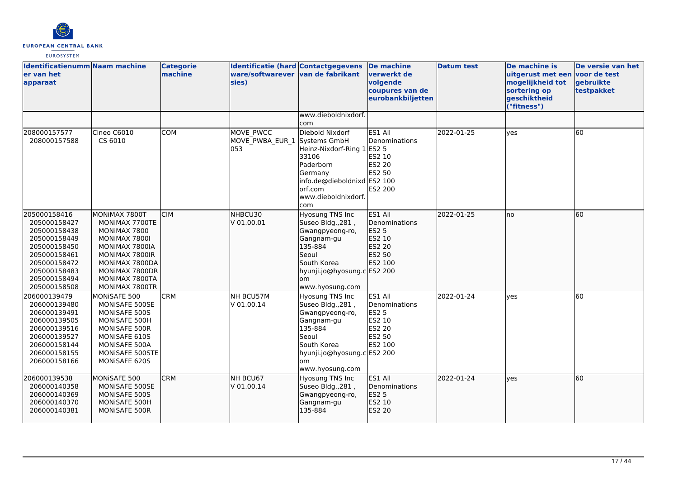

| <b>Identificatienumm Naam machine</b><br>er van het<br>apparaat                                                                                              |                                                                                                                                                                              | <b>Categorie</b><br>machine | Identificatie (hard Contactgegevens<br>ware/softwarever van de fabrikant<br>sies) |                                                                                                                                                                         | De machine<br>verwerkt de<br>volgende<br>coupures van de<br>eurobankbiljetten                   | <b>Datum test</b> | De machine is<br>uitgerust met een voor de test<br>mogelijkheid tot<br>sortering op<br>geschiktheid<br>"fitness") | De versie van het<br>gebruikte<br>testpakket |
|--------------------------------------------------------------------------------------------------------------------------------------------------------------|------------------------------------------------------------------------------------------------------------------------------------------------------------------------------|-----------------------------|-----------------------------------------------------------------------------------|-------------------------------------------------------------------------------------------------------------------------------------------------------------------------|-------------------------------------------------------------------------------------------------|-------------------|-------------------------------------------------------------------------------------------------------------------|----------------------------------------------|
|                                                                                                                                                              |                                                                                                                                                                              |                             |                                                                                   | www.dieboldnixdorf.<br>com                                                                                                                                              |                                                                                                 |                   |                                                                                                                   |                                              |
| 208000157577<br>208000157588                                                                                                                                 | Cineo C6010<br>CS 6010                                                                                                                                                       | <b>COM</b>                  | MOVE PWCC<br>MOVE PWBA EUR 1<br>053                                               | Diebold Nixdorf<br>Systems GmbH<br>Heinz-Nixdorf-Ring 1<br>33106<br>Paderborn<br>Germany<br>info.de@dieboldnixd ES2 100<br>lorf.com<br>www.dieboldnixdorf.<br>com       | ES1 All<br>Denominations<br><b>ES2 5</b><br>ES2 10<br><b>ES2 20</b><br>ES2 50<br><b>ES2 200</b> | 2022-01-25        | yes                                                                                                               | 60                                           |
| 205000158416<br>205000158427<br>205000158438<br>205000158449<br>205000158450<br>205000158461<br>205000158472<br>205000158483<br>205000158494<br>205000158508 | MONIMAX 7800T<br>MONIMAX 7700TE<br>MONIMAX 7800<br>MONIMAX 7800I<br>MONIMAX 7800IA<br>MONIMAX 7800IR<br>MONIMAX 7800DA<br>MONIMAX 7800DR<br>MONIMAX 7800TA<br>MONIMAX 7800TR | <b>CIM</b>                  | NHBCU30<br>V 01.00.01                                                             | <b>Hyosung TNS Inc</b><br>Suseo Bldg., 281,<br>Gwangpyeong-ro,<br>Gangnam-gu<br>135-884<br>Seoul<br>South Korea<br>hyunji.jo@hyosung.c ES2 200<br>om<br>www.hyosung.com | ES1 All<br>Denominations<br><b>ES2 5</b><br>ES2 10<br>ES2 20<br>ES2 50<br>ES2 100               | 2022-01-25        | lno                                                                                                               | 60                                           |
| 206000139479<br>206000139480<br>206000139491<br>206000139505<br>206000139516<br>206000139527<br>206000158144<br>206000158155<br>206000158166                 | MONISAFE 500<br>MONISAFE 500SE<br>MONISAFE 500S<br>MONISAFE 500H<br>MONISAFE 500R<br>MONISAFE 610S<br>MONISAFE 500A<br>MONISAFE 500STE<br>MONISAFE 620S                      | <b>CRM</b>                  | NH BCU57M<br>V 01.00.14                                                           | Hyosung TNS Inc<br>Suseo Bldg., 281,<br>Gwangpyeong-ro,<br>Gangnam-gu<br>135-884<br>lSeoul<br>South Korea<br>hyunji.jo@hyosung.c ES2 200<br>lom<br>www.hyosung.com      | ES1 All<br>Denominations<br><b>ES2 5</b><br>ES2 10<br>ES2 20<br>ES2 50<br>ES2 100               | 2022-01-24        | <b>l</b> ves                                                                                                      | 60                                           |
| 206000139538<br>206000140358<br>206000140369<br>206000140370<br>206000140381                                                                                 | MONISAFE 500<br>MONISAFE 500SE<br>MONISAFE 500S<br>MONISAFE 500H<br>MONISAFE 500R                                                                                            | <b>CRM</b>                  | NH BCU67<br>V 01.00.14                                                            | Hyosung TNS Inc<br>Suseo Bldg., 281,<br>Gwangpyeong-ro,<br>Gangnam-gu<br>135-884                                                                                        | ES1 All<br>Denominations<br>ES2 5<br>ES2 10<br>ES2 20                                           | 2022-01-24        | lyes                                                                                                              | 60                                           |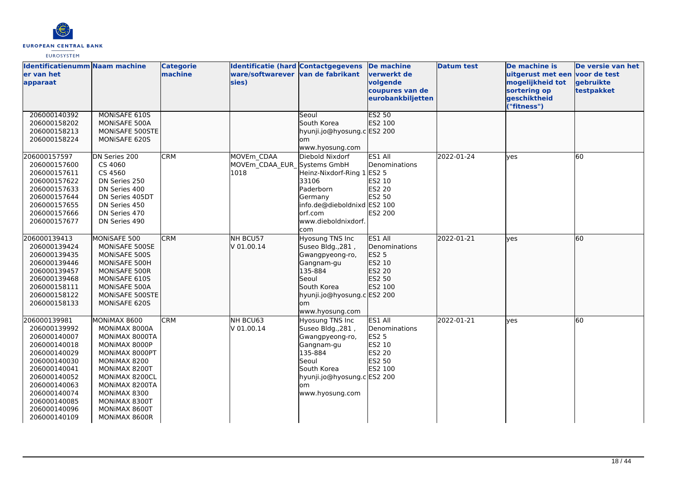

| <b>Identificatienumm Naam machine</b><br>er van het<br>apparaat                                                                                                                                              |                                                                                                                                                                                                                            | <b>Categorie</b><br>machine | Identificatie (hard Contactgegevens<br>ware/softwarever van de fabrikant<br>sies) |                                                                                                                                                                   | De machine<br>verwerkt de<br>volgende<br>coupures van de<br>eurobankbiljetten     | <b>Datum test</b> | De machine is<br>uitgerust met een<br>mogelijkheid tot<br>sortering op<br>geschiktheid<br>("fitness") | De versie van het<br>voor de test<br>gebruikte<br>testpakket |
|--------------------------------------------------------------------------------------------------------------------------------------------------------------------------------------------------------------|----------------------------------------------------------------------------------------------------------------------------------------------------------------------------------------------------------------------------|-----------------------------|-----------------------------------------------------------------------------------|-------------------------------------------------------------------------------------------------------------------------------------------------------------------|-----------------------------------------------------------------------------------|-------------------|-------------------------------------------------------------------------------------------------------|--------------------------------------------------------------|
| 206000140392<br>206000158202<br>206000158213<br>206000158224                                                                                                                                                 | MONISAFE 610S<br>MONISAFE 500A<br>MONISAFE 500STE<br>MONISAFE 620S                                                                                                                                                         |                             |                                                                                   | Seoul<br>South Korea<br>hyunji.jo@hyosung.c ES2 200<br>om<br>www.hyosung.com                                                                                      | <b>ES2 50</b><br>ES2 100                                                          |                   |                                                                                                       |                                                              |
| 206000157597<br>206000157600<br>206000157611<br>206000157622<br>206000157633<br>206000157644<br>206000157655<br>206000157666<br>206000157677                                                                 | DN Series 200<br>CS 4060<br>CS 4560<br>DN Series 250<br>DN Series 400<br>DN Series 405DT<br>DN Series 450<br>DN Series 470<br>DN Series 490                                                                                | <b>CRM</b>                  | MOVEm CDAA<br>MOVEm CDAA EUR Systems GmbH<br>1018                                 | Diebold Nixdorf<br>Heinz-Nixdorf-Ring 1 ES2 5<br>33106<br>Paderborn<br>Germany<br>info.de@dieboldnixd ES2 100<br>lorf.com<br>www.dieboldnixdorf.<br>com           | ES1 All<br>Denominations<br>ES2 10<br><b>ES2 20</b><br>ES2 50<br><b>ES2 200</b>   | 2022-01-24        | ves                                                                                                   | 60                                                           |
| 206000139413<br>206000139424<br>206000139435<br>206000139446<br>206000139457<br>206000139468<br>206000158111<br>206000158122<br>206000158133                                                                 | MONISAFE 500<br>MONISAFE 500SE<br>MONISAFE 500S<br>MONISAFE 500H<br>MONISAFE 500R<br>MONISAFE 610S<br>MONISAFE 500A<br>MONISAFE 500STE<br>MONISAFE 620S                                                                    | <b>CRM</b>                  | NH BCU57<br>V 01.00.14                                                            | Hyosung TNS Inc<br>Suseo Bldg., 281,<br>Gwangpyeong-ro,<br>Gangnam-gu<br>135-884<br>Seoul<br>South Korea<br>hyunji.jo@hyosung.c ES2 200<br>om<br>www.hyosung.com  | ES1 All<br>Denominations<br><b>ES2 5</b><br>ES2 10<br>ES2 20<br>ES2 50<br>ES2 100 | 2022-01-21        | lyes                                                                                                  | 60                                                           |
| 206000139981<br>206000139992<br>206000140007<br>206000140018<br>206000140029<br>206000140030<br>206000140041<br>206000140052<br>206000140063<br>206000140074<br>206000140085<br>206000140096<br>206000140109 | MONIMAX 8600<br>MONIMAX 8000A<br>MONIMAX 8000TA<br>MONIMAX 8000P<br>MONIMAX 8000PT<br>MONIMAX 8200<br>MONIMAX 8200T<br>MONIMAX 8200CL<br>MONIMAX 8200TA<br>MONIMAX 8300<br>MONIMAX 8300T<br>MONIMAX 8600T<br>MONIMAX 8600R | <b>CRM</b>                  | NH BCU63<br>V 01.00.14                                                            | Hyosung TNS Inc<br>Suseo Bldg., 281,<br>Gwangpyeong-ro,<br>Gangnam-gu<br>135-884<br>Seoul<br>South Korea<br>hyunji.jo@hyosung.c ES2 200<br>lom<br>www.hyosung.com | ES1 All<br>Denominations<br><b>ES2 5</b><br>ES2 10<br>ES2 20<br>ES2 50<br>ES2 100 | 2022-01-21        | yes                                                                                                   | 60                                                           |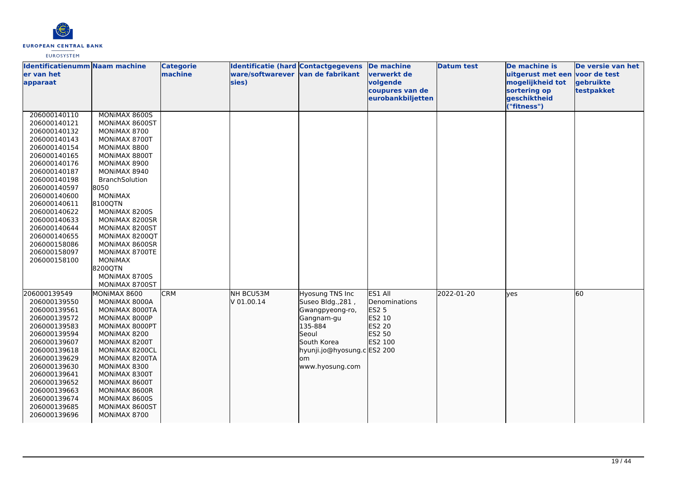

| Identificatienumm Naam machine<br>ler van het                                                                                                                                                                                                                                                                |                                                                                                                                                                                                                                                                                                                                                                     | <b>Categorie</b><br>machine | <b>Identificatie (hard Contactgegevens</b><br>ware/softwarever van de fabrikant |                                                                                                                                                                   | <b>De machine</b><br><u>lverwerkt de</u>                                   | <b>Datum test</b> | De machine is<br>uitgerust met een voor de test                 | De versie van het       |
|--------------------------------------------------------------------------------------------------------------------------------------------------------------------------------------------------------------------------------------------------------------------------------------------------------------|---------------------------------------------------------------------------------------------------------------------------------------------------------------------------------------------------------------------------------------------------------------------------------------------------------------------------------------------------------------------|-----------------------------|---------------------------------------------------------------------------------|-------------------------------------------------------------------------------------------------------------------------------------------------------------------|----------------------------------------------------------------------------|-------------------|-----------------------------------------------------------------|-------------------------|
| apparaat                                                                                                                                                                                                                                                                                                     |                                                                                                                                                                                                                                                                                                                                                                     |                             | sies)                                                                           |                                                                                                                                                                   | volgende<br>coupures van de<br>eurobankbiljetten                           |                   | mogelijkheid tot<br>sortering op<br>geschiktheid<br>("fitness") | gebruikte<br>testpakket |
| 206000140110<br>206000140121<br>206000140132<br>206000140143<br>206000140154<br>206000140165<br>206000140176<br>206000140187<br>206000140198<br>206000140597<br>206000140600<br>206000140611<br>206000140622<br>206000140633<br>206000140644<br>206000140655<br>206000158086<br>206000158097<br>206000158100 | MONIMAX 8600S<br>MONIMAX 8600ST<br>MONIMAX 8700<br>MONIMAX 8700T<br>MONIMAX 8800<br>MONIMAX 8800T<br>MONIMAX 8900<br>MONIMAX 8940<br>BranchSolution<br>8050<br><b>MONIMAX</b><br>8100QTN<br>MONIMAX 8200S<br>MONIMAX 8200SR<br>MONIMAX 8200ST<br>MONIMAX 8200QT<br>MONIMAX 8600SR<br>MONIMAX 8700TE<br><b>MONIMAX</b><br>8200QTN<br>MONIMAX 8700S<br>MONIMAX 8700ST |                             |                                                                                 |                                                                                                                                                                   |                                                                            |                   |                                                                 |                         |
| 206000139549<br>206000139550<br>206000139561<br>206000139572<br>206000139583<br>206000139594<br>206000139607<br>206000139618<br>206000139629<br>206000139630<br>206000139641<br>206000139652<br>206000139663<br>206000139674<br>206000139685<br>206000139696                                                 | MONIMAX 8600<br>MONIMAX 8000A<br>MONIMAX 8000TA<br>MONIMAX 8000P<br>MONIMAX 8000PT<br>MONIMAX 8200<br>MONIMAX 8200T<br>MONIMAX 8200CL<br>MONIMAX 8200TA<br>MONIMAX 8300<br>MONIMAX 8300T<br>MONIMAX 8600T<br>MONIMAX 8600R<br>MONIMAX 8600S<br>MONIMAX 8600ST<br>MONIMAX 8700                                                                                       | <b>CRM</b>                  | NH BCU53M<br>V 01.00.14                                                         | Hyosung TNS Inc<br>Suseo Bldg., 281,<br>Gwangpyeong-ro,<br>Gangnam-gu<br>135-884<br>Seoul<br>South Korea<br>hyunji.jo@hyosung.c ES2 200<br>lom<br>www.hyosung.com | ES1 All<br>Denominations<br>ES2 5<br>ES2 10<br>ES2 20<br>ES2 50<br>ES2 100 | 2022-01-20        | lves                                                            | 60                      |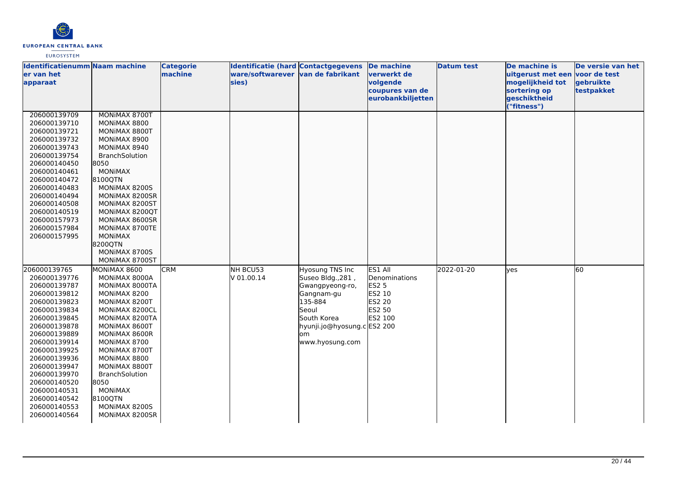

| <b>Identificatienumm Naam machine</b><br>ler van het<br>apparaat                                                                                                                                                                                                                                             |                                                                                                                                                                                                                                                                                                                    | <b>Categorie</b><br>machine | <b>Identificatie (hard Contactgegevens</b><br>ware/softwarever van de fabrikant<br>sies) |                                                                                                                                                                   | <b>De machine</b><br><u>lverwerkt de</u><br>volgende<br>coupures van de<br>eurobankbiljetten | <b>Datum test</b> | De machine is<br>uitgerust met een voor de test<br>mogelijkheid tot<br>sortering op<br>geschiktheid<br>("fitness") | De versie van het<br>gebruikte<br>testpakket |
|--------------------------------------------------------------------------------------------------------------------------------------------------------------------------------------------------------------------------------------------------------------------------------------------------------------|--------------------------------------------------------------------------------------------------------------------------------------------------------------------------------------------------------------------------------------------------------------------------------------------------------------------|-----------------------------|------------------------------------------------------------------------------------------|-------------------------------------------------------------------------------------------------------------------------------------------------------------------|----------------------------------------------------------------------------------------------|-------------------|--------------------------------------------------------------------------------------------------------------------|----------------------------------------------|
| 206000139709<br>206000139710<br>206000139721<br>206000139732<br>206000139743<br>206000139754<br>206000140450<br>206000140461<br>206000140472<br>206000140483<br>206000140494<br>206000140508<br>206000140519<br>206000157973<br>206000157984<br>206000157995                                                 | MONIMAX 8700T<br>MONIMAX 8800<br>MONIMAX 8800T<br>MONIMAX 8900<br>MONIMAX 8940<br>BranchSolution<br>8050<br><b>MONIMAX</b><br>8100QTN<br>MONIMAX 8200S<br>MONIMAX 8200SR<br>MONIMAX 8200ST<br>MONIMAX 8200QT<br>MONIMAX 8600SR<br>MONIMAX 8700TE<br><b>MONIMAX</b><br>8200QTN<br>MONIMAX 8700S<br>MONIMAX 8700ST   |                             |                                                                                          |                                                                                                                                                                   |                                                                                              |                   |                                                                                                                    |                                              |
| 206000139765<br>206000139776<br>206000139787<br>206000139812<br>206000139823<br>206000139834<br>206000139845<br>206000139878<br>206000139889<br>206000139914<br>206000139925<br>206000139936<br>206000139947<br>206000139970<br>206000140520<br>206000140531<br>206000140542<br>206000140553<br>206000140564 | MONIMAX 8600<br>MONIMAX 8000A<br>MONIMAX 8000TA<br>MONIMAX 8200<br>MONIMAX 8200T<br>MONIMAX 8200CL<br>MONIMAX 8200TA<br>MONIMAX 8600T<br>MONIMAX 8600R<br>MONIMAX 8700<br>MONIMAX 8700T<br>MONIMAX 8800<br>MONIMAX 8800T<br>BranchSolution<br>8050<br><b>MONIMAX</b><br>8100QTN<br>MONIMAX 8200S<br>MONIMAX 8200SR | <b>CRM</b>                  | NH BCU53<br>V 01.00.14                                                                   | Hyosung TNS Inc<br>Suseo Bldg., 281,<br>Gwangpyeong-ro,<br>Gangnam-gu<br>135-884<br>Seoul<br>South Korea<br>hyunji.jo@hyosung.c ES2 200<br>lom<br>www.hyosung.com | ES1 All<br>Denominations<br><b>ES2 5</b><br>ES2 10<br>ES2 20<br>ES2 50<br>ES2 100            | 2022-01-20        | lves                                                                                                               | 60                                           |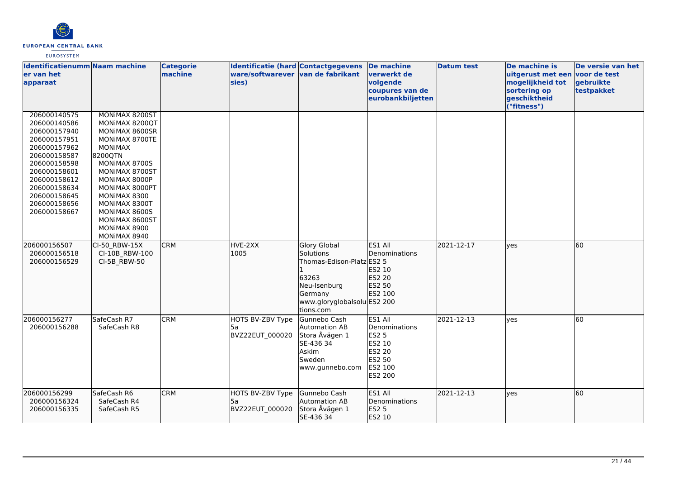

| <b>Identificatienumm Naam machine</b><br>er van het<br>apparaat                                                                                                                                              |                                                                                                                                                                                                                                                                             | <b>Categorie</b><br>machine | <b>Identificatie (hard Contactgegevens</b><br>ware/softwarever van de fabrikant<br>sies) |                                                                                                                                               | <b>De machine</b><br>verwerkt de<br>volgende<br>coupures van de<br>eurobankbiljetten         | <b>Datum test</b> | De machine is<br>uitgerust met een voor de test<br>mogelijkheid tot<br>sortering op<br>geschiktheid<br>("fitness") | De versie van het<br>gebruikte<br>testpakket |
|--------------------------------------------------------------------------------------------------------------------------------------------------------------------------------------------------------------|-----------------------------------------------------------------------------------------------------------------------------------------------------------------------------------------------------------------------------------------------------------------------------|-----------------------------|------------------------------------------------------------------------------------------|-----------------------------------------------------------------------------------------------------------------------------------------------|----------------------------------------------------------------------------------------------|-------------------|--------------------------------------------------------------------------------------------------------------------|----------------------------------------------|
| 206000140575<br>206000140586<br>206000157940<br>206000157951<br>206000157962<br>206000158587<br>206000158598<br>206000158601<br>206000158612<br>206000158634<br>206000158645<br>206000158656<br>206000158667 | MONIMAX 8200ST<br>MONIMAX 8200QT<br>MONIMAX 8600SR<br>MONIMAX 8700TE<br><b>MONIMAX</b><br>8200QTN<br>MONIMAX 8700S<br>MONIMAX 8700ST<br>MONIMAX 8000P<br>MONIMAX 8000PT<br>MONIMAX 8300<br>MONIMAX 8300T<br>MONIMAX 8600S<br>MONIMAX 8600ST<br>MONIMAX 8900<br>MONIMAX 8940 |                             |                                                                                          |                                                                                                                                               |                                                                                              |                   |                                                                                                                    |                                              |
| 206000156507<br>206000156518<br>206000156529                                                                                                                                                                 | CI-50 RBW-15X<br>CI-10B_RBW-100<br>CI-5B_RBW-50                                                                                                                                                                                                                             | <b>CRM</b>                  | HVE-2XX<br>1005                                                                          | <b>Glory Global</b><br>Solutions<br>Thomas-Edison-Platz ES2 5<br>63263<br>Neu-Isenburg<br>Germany<br>www.gloryglobalsolu ES2 200<br>tions.com | ES1 All<br>Denominations<br>ES2 10<br>ES2 20<br>ES2 50<br>ES2 100                            | 2021-12-17        | lyes                                                                                                               | 60                                           |
| 206000156277<br>206000156288                                                                                                                                                                                 | SafeCash R7<br>SafeCash R8                                                                                                                                                                                                                                                  | <b>CRM</b>                  | HOTS BV-ZBV Type<br>l5a<br>BVZ22EUT_000020                                               | Gunnebo Cash<br>Automation AB<br>Stora Åvägen 1<br>SE-436 34<br>Askim<br>Sweden<br>www.gunnebo.com                                            | ES1 All<br>Denominations<br><b>ES2 5</b><br>ES2 10<br>ES2 20<br>ES2 50<br>ES2 100<br>ES2 200 | 2021-12-13        | yes                                                                                                                | 60                                           |
| 206000156299<br>206000156324<br>206000156335                                                                                                                                                                 | SafeCash R6<br>SafeCash R4<br>SafeCash R5                                                                                                                                                                                                                                   | <b>CRM</b>                  | HOTS BV-ZBV Type<br>l5a<br>BVZ22EUT_000020                                               | Gunnebo Cash<br>Automation AB<br>Stora Åvägen 1<br>SE-436 34                                                                                  | ES1 All<br>Denominations<br><b>ES2 5</b><br>ES2 10                                           | 2021-12-13        | lves                                                                                                               | 60                                           |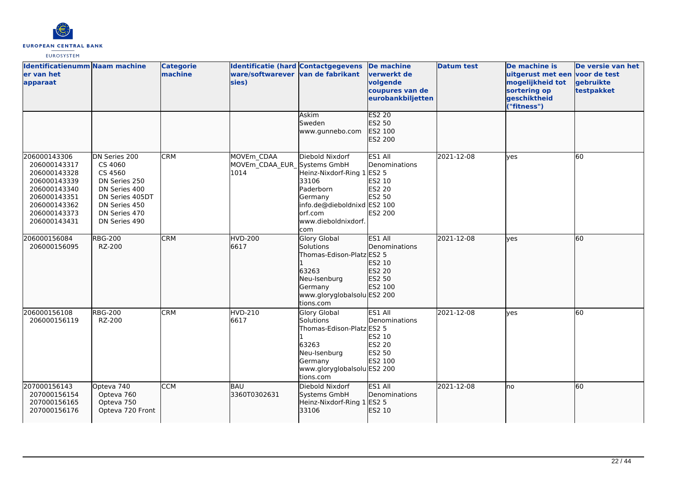

| <b>Identificatienumm Naam machine</b><br>er van het<br>apparaat                                                                              |                                                                                                                                             | <b>Categorie</b><br>machine | <b>Identificatie (hard Contactgegevens</b><br>ware/softwarever van de fabrikant<br>sies) |                                                                                                                                                        | De machine<br>verwerkt de<br>volgende<br>coupures van de<br>eurobankbiljetten   | <b>Datum test</b> | De machine is<br>uitgerust met een voor de test<br>mogelijkheid tot<br>sortering op<br>geschiktheid<br>("fitness") | De versie van het<br>gebruikte<br>testpakket |
|----------------------------------------------------------------------------------------------------------------------------------------------|---------------------------------------------------------------------------------------------------------------------------------------------|-----------------------------|------------------------------------------------------------------------------------------|--------------------------------------------------------------------------------------------------------------------------------------------------------|---------------------------------------------------------------------------------|-------------------|--------------------------------------------------------------------------------------------------------------------|----------------------------------------------|
|                                                                                                                                              |                                                                                                                                             |                             |                                                                                          | Askim<br>Sweden<br>www.gunnebo.com                                                                                                                     | <b>ES2 20</b><br>ES2 50<br>ES2 100<br>ES2 200                                   |                   |                                                                                                                    |                                              |
| 206000143306<br>206000143317<br>206000143328<br>206000143339<br>206000143340<br>206000143351<br>206000143362<br>206000143373<br>206000143431 | DN Series 200<br>CS 4060<br>CS 4560<br>DN Series 250<br>DN Series 400<br>DN Series 405DT<br>DN Series 450<br>DN Series 470<br>DN Series 490 | <b>CRM</b>                  | MOVEm_CDAA<br>MOVEm CDAA EUR Systems GmbH<br>1014                                        | Diebold Nixdorf<br>Heinz-Nixdorf-Ring 1 ES2 5<br>33106<br>Paderborn<br>Germany<br>info.de@dieboldnixd ES2 100<br>orf.com<br>www.dieboldnixdorf.<br>com | ES1 All<br>Denominations<br>ES2 10<br>ES2 20<br><b>ES2 50</b><br><b>ES2 200</b> | 2021-12-08        | lyes                                                                                                               | 60                                           |
| 206000156084<br>206000156095                                                                                                                 | <b>RBG-200</b><br>RZ-200                                                                                                                    | <b>CRM</b>                  | <b>HVD-200</b><br>6617                                                                   | <b>Glory Global</b><br>Solutions<br>Thomas-Edison-Platz ES2 5<br>63263<br>Neu-Isenburg<br>Germany<br>www.gloryglobalsolu ES2 200<br>tions.com          | ES1 All<br><b>IDenominations</b><br>ES2 10<br>ES2 20<br>ES2 50<br>ES2 100       | 2021-12-08        | lves                                                                                                               | 60                                           |
| 206000156108<br>206000156119                                                                                                                 | <b>RBG-200</b><br>RZ-200                                                                                                                    | <b>CRM</b>                  | <b>HVD-210</b><br>6617                                                                   | <b>Glory Global</b><br>Solutions<br>Thomas-Edison-Platz ES2 5<br>63263<br>Neu-Isenburg<br>Germany<br>www.gloryglobalsolu ES2 200<br>tions.com          | ES1 All<br>Denominations<br>ES2 10<br><b>ES2 20</b><br><b>ES2 50</b><br>ES2 100 | 2021-12-08        | ves                                                                                                                | 60                                           |
| 207000156143<br>207000156154<br>207000156165<br>207000156176                                                                                 | Opteva 740<br>Opteva 760<br>Opteva 750<br>Opteva 720 Front                                                                                  | <b>CCM</b>                  | BAU<br>3360T0302631                                                                      | Diebold Nixdorf<br>Systems GmbH<br>Heinz-Nixdorf-Ring 1<br>33106                                                                                       | ES1 All<br>Denominations<br>ES2 5<br>ES2 10                                     | 2021-12-08        | lno                                                                                                                | 60                                           |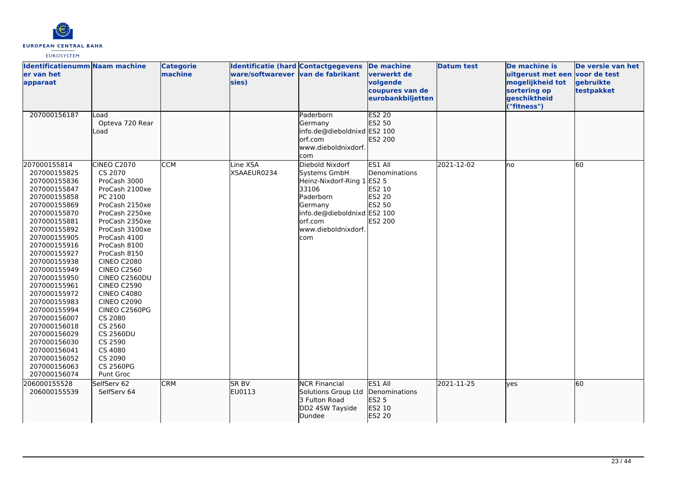

| <b>Identificatienumm Naam machine</b><br>ler van het<br>apparaat                                                                                                                                                                                                                                                                                                                                                                             |                                                                                                                                                                                                                                                                                                                                                                                                                                                  | <b>Categorie</b><br>machine | <b>Identificatie (hard Contactgegevens</b><br>ware/softwarever van de fabrikant<br>sies) |                                                                                                                                                                  | De machine<br><b>verwerkt</b> de<br>volgende<br>coupures van de<br>eurobankbiljetten | <b>Datum test</b> | De machine is<br>uitgerust met een voor de test<br>mogelijkheid tot<br>sortering op<br>geschiktheid<br>"fitness") | De versie van het<br>gebruikte<br>testpakket |
|----------------------------------------------------------------------------------------------------------------------------------------------------------------------------------------------------------------------------------------------------------------------------------------------------------------------------------------------------------------------------------------------------------------------------------------------|--------------------------------------------------------------------------------------------------------------------------------------------------------------------------------------------------------------------------------------------------------------------------------------------------------------------------------------------------------------------------------------------------------------------------------------------------|-----------------------------|------------------------------------------------------------------------------------------|------------------------------------------------------------------------------------------------------------------------------------------------------------------|--------------------------------------------------------------------------------------|-------------------|-------------------------------------------------------------------------------------------------------------------|----------------------------------------------|
| 207000156187                                                                                                                                                                                                                                                                                                                                                                                                                                 | Load<br>Opteva 720 Rear<br>Load                                                                                                                                                                                                                                                                                                                                                                                                                  |                             |                                                                                          | Paderborn<br>Germany<br>info.de@dieboldnixd ES2 100<br>orf.com<br>www.dieboldnixdorf.<br>com                                                                     | <b>ES2 20</b><br>ES2 50<br>ES2 200                                                   |                   |                                                                                                                   |                                              |
| 207000155814<br>207000155825<br>207000155836<br>207000155847<br>207000155858<br>207000155869<br>207000155870<br>207000155881<br>207000155892<br>207000155905<br>207000155916<br>207000155927<br>207000155938<br>207000155949<br>207000155950<br>207000155961<br>207000155972<br>207000155983<br>207000155994<br>207000156007<br>207000156018<br>207000156029<br>207000156030<br>207000156041<br>207000156052<br>207000156063<br>207000156074 | CINEO C2070<br>CS 2070<br>ProCash 3000<br>ProCash 2100xe<br>PC 2100<br>ProCash 2150xe<br>ProCash 2250xe<br>ProCash 2350xe<br>ProCash 3100xe<br>ProCash 4100<br>ProCash 8100<br>ProCash 8150<br><b>CINEO C2080</b><br><b>CINEO C2560</b><br>CINEO C2560DU<br><b>CINEO C2590</b><br><b>CINEO C4080</b><br><b>CINEO C2090</b><br>CINEO C2560PG<br>CS 2080<br>CS 2560<br><b>CS 2560DU</b><br>CS 2590<br>CS 4080<br>CS 2090<br>CS 2560PG<br>Punt Groc | <b>CCM</b>                  | Line XSA<br>XSAAEUR0234                                                                  | Diebold Nixdorf<br>Systems GmbH<br>Heinz-Nixdorf-Ring 1<br>33106<br>Paderborn<br>Germany<br>info.de@dieboldnixd ES2 100<br>orf.com<br>www.dieboldnixdorf.<br>com | ES1 All<br>Denominations<br><b>ES2 5</b><br>ES2 10<br>ES2 20<br>ES2 50<br>ES2 200    | 2021-12-02        | no                                                                                                                | 60                                           |
| 206000155528<br>206000155539                                                                                                                                                                                                                                                                                                                                                                                                                 | SelfServ 62<br>SelfServ 64                                                                                                                                                                                                                                                                                                                                                                                                                       | <b>CRM</b>                  | <b>SR BV</b><br>EU0113                                                                   | <b>NCR Financial</b><br>Solutions Group Ltd<br>3 Fulton Road<br>DD2 4SW Tayside<br>Dundee                                                                        | ES1 All<br>Denominations<br><b>ES2 5</b><br>ES2 10<br>ES2 20                         | 2021-11-25        | ves                                                                                                               | 60                                           |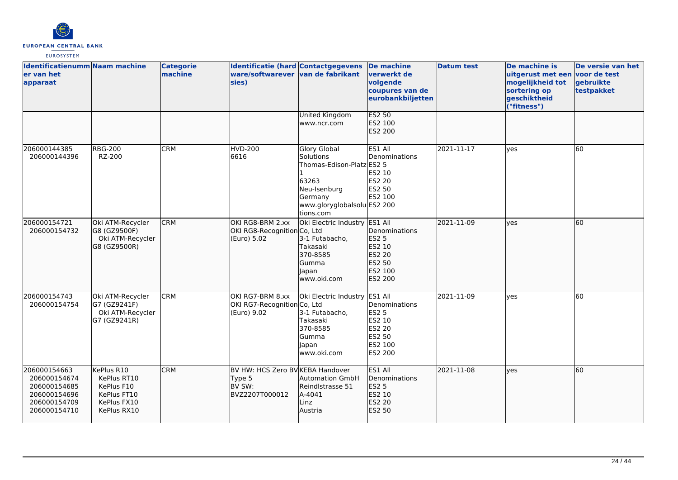

| <b>Identificatienumm Naam machine</b><br>er van het<br>apparaat                              |                                                                                      | <b>Categorie</b><br>machine | Identificatie (hard Contactgegevens<br>ware/softwarever van de fabrikant<br>sies) |                                                                                                                                        | <b>De machine</b><br>verwerkt de<br>volgende<br>coupures van de<br>eurobankbiljetten         | <b>Datum test</b> | De machine is<br>uitgerust met een voor de test<br>mogelijkheid tot<br>sortering op<br>geschiktheid<br>("fitness") | De versie van het<br>gebruikte<br>testpakket |
|----------------------------------------------------------------------------------------------|--------------------------------------------------------------------------------------|-----------------------------|-----------------------------------------------------------------------------------|----------------------------------------------------------------------------------------------------------------------------------------|----------------------------------------------------------------------------------------------|-------------------|--------------------------------------------------------------------------------------------------------------------|----------------------------------------------|
|                                                                                              |                                                                                      |                             |                                                                                   | <b>United Kingdom</b><br>www.ncr.com                                                                                                   | <b>ES2 50</b><br>ES2 100<br>ES2 200                                                          |                   |                                                                                                                    |                                              |
| 206000144385<br>206000144396                                                                 | <b>RBG-200</b><br>RZ-200                                                             | <b>CRM</b>                  | <b>HVD-200</b><br>6616                                                            | Glory Global<br>Solutions<br>Thomas-Edison-Platz ES2 5<br>63263<br>Neu-Isenburg<br>Germany<br>www.gloryglobalsolu ES2 200<br>tions.com | ES1 All<br>Denominations<br>ES2 10<br>ES2 20<br>ES2 50<br>ES2 100                            | 2021-11-17        | lyes                                                                                                               | 60                                           |
| 206000154721<br>206000154732                                                                 | Oki ATM-Recycler<br>G8 (GZ9500F)<br>Oki ATM-Recycler<br>G8 (GZ9500R)                 | <b>CRM</b>                  | OKI RG8-BRM 2.xx<br>OKI RG8-Recognition Co, Ltd<br>(Euro) 5.02                    | Oki Electric Industry ES1 All<br>3-1 Futabacho,<br>Takasaki<br>370-8585<br>lGumma<br>lapan<br>www.oki.com                              | Denominations<br>ES2 5<br>ES2 10<br>ES2 20<br>ES2 50<br>ES2 100<br>ES2 200                   | 2021-11-09        | lyes                                                                                                               | 60                                           |
| 206000154743<br>206000154754                                                                 | Oki ATM-Recycler<br>G7 (GZ9241F)<br>Oki ATM-Recycler<br>G7 (GZ9241R)                 | <b>CRM</b>                  | OKI RG7-BRM 8.xx<br>OKI RG7-Recognition Co, Ltd<br>(Euro) 9.02                    | Oki Electric Industry<br>3-1 Futabacho,<br>Takasaki<br>370-8585<br>Gumma<br>lapan<br>www.oki.com                                       | ES1 All<br>Denominations<br><b>ES2 5</b><br>ES2 10<br>ES2 20<br>ES2 50<br>ES2 100<br>ES2 200 | 2021-11-09        | <b>ves</b>                                                                                                         | 60                                           |
| 206000154663<br>206000154674<br>206000154685<br>206000154696<br>206000154709<br>206000154710 | KePlus R10<br>KePlus RT10<br>KePlus F10<br>KePlus FT10<br>KePlus FX10<br>KePlus RX10 | <b>CRM</b>                  | BV HW: HCS Zero BV KEBA Handover<br>Type 5<br>BV SW:<br>BVZ2207T000012            | <b>Automation GmbH</b><br>Reindlstrasse 51<br>A-4041<br>Linz<br>Austria                                                                | ES1 All<br>Denominations<br>ES2 5<br>ES2 10<br>ES2 20<br>ES2 50                              | 2021-11-08        | lyes                                                                                                               | 60                                           |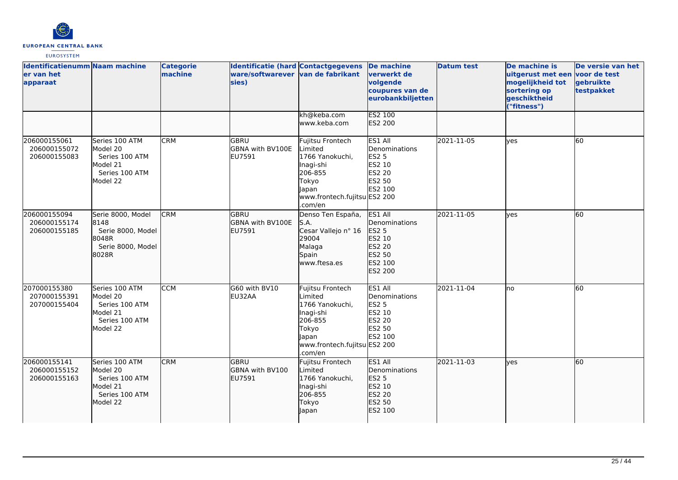

| <b>Identificatienumm Naam machine</b><br>er van het<br>apparaat |                                                                                        | <b>Categorie</b><br>machine | <b>Identificatie (hard Contactgegevens</b><br>ware/softwarever van de fabrikant<br>sies) |                                                                                                                                     | De machine<br>verwerkt de<br>volgende<br>coupures van de<br>eurobankbiljetten                | <b>Datum test</b> | De machine is<br>uitgerust met een voor de test<br>mogelijkheid tot<br>sortering op<br>geschiktheid<br>("fitness") | De versie van het<br>gebruikte<br>testpakket |
|-----------------------------------------------------------------|----------------------------------------------------------------------------------------|-----------------------------|------------------------------------------------------------------------------------------|-------------------------------------------------------------------------------------------------------------------------------------|----------------------------------------------------------------------------------------------|-------------------|--------------------------------------------------------------------------------------------------------------------|----------------------------------------------|
|                                                                 |                                                                                        |                             |                                                                                          | kh@keba.com<br>www.keba.com                                                                                                         | <b>ES2 100</b><br>ES2 200                                                                    |                   |                                                                                                                    |                                              |
| 206000155061<br>206000155072<br>206000155083                    | Series 100 ATM<br>Model 20<br>Series 100 ATM<br>Model 21<br>Series 100 ATM<br>Model 22 | <b>CRM</b>                  | lgbru.<br><b>GBNA with BV100E</b><br>EU7591                                              | Fujitsu Frontech<br>Limited<br>1766 Yanokuchi,<br>Inagi-shi<br>206-855<br>Tokyo<br>Japan<br>www.frontech.fujitsu ES2 200<br>.com/en | ES1 All<br>Denominations<br><b>ES2 5</b><br>ES2 10<br>ES2 20<br>ES2 50<br>ES2 100            | 2021-11-05        | lves                                                                                                               | 60                                           |
| 206000155094<br>206000155174<br>206000155185                    | Serie 8000, Model<br>8148<br>Serie 8000, Model<br>8048R<br>Serie 8000, Model<br>8028R  | <b>CRM</b>                  | lgbru<br>GBNA with BV100E<br>EU7591                                                      | Denso Ten España,<br>S.A.<br>Cesar Vallejo nº 16<br>29004<br>Malaga<br>Spain<br>www.ftesa.es                                        | ES1 All<br><b>Denominations</b><br>ES2 5<br>ES2 10<br>ES2 20<br>ES2 50<br>ES2 100<br>ES2 200 | 2021-11-05        | yes                                                                                                                | 60                                           |
| 207000155380<br>207000155391<br>207000155404                    | Series 100 ATM<br>Model 20<br>Series 100 ATM<br>Model 21<br>Series 100 ATM<br>Model 22 | <b>CCM</b>                  | G60 with BV10<br>EU32AA                                                                  | Fujitsu Frontech<br>Limited<br>1766 Yanokuchi.<br>Inagi-shi<br>206-855<br>Tokyo<br>lapan<br>www.frontech.fujitsu ES2 200<br>.com/en | ES1 All<br>Denominations<br><b>ES2 5</b><br><b>ES2 10</b><br>ES2 20<br>ES2 50<br>ES2 100     | 2021-11-04        | lno                                                                                                                | 60                                           |
| 206000155141<br>206000155152<br>206000155163                    | Series 100 ATM<br>Model 20<br>Series 100 ATM<br>Model 21<br>Series 100 ATM<br>Model 22 | <b>CRM</b>                  | lgbru<br><b>GBNA with BV100</b><br>EU7591                                                | Fujitsu Frontech<br>Limited<br>1766 Yanokuchi,<br>Inagi-shi<br>206-855<br>Tokyo<br>Japan                                            | ES1 All<br>Denominations<br><b>ES2 5</b><br>ES2 10<br>ES2 20<br>ES2 50<br>ES2 100            | 2021-11-03        | ves                                                                                                                | 60                                           |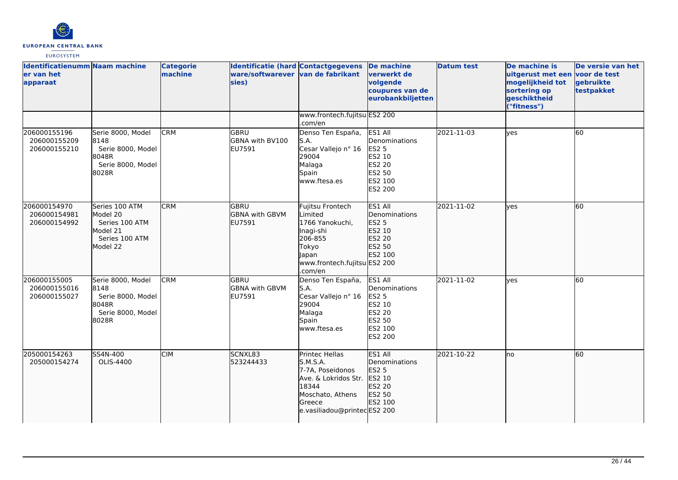

| <b>Identificatienumm Naam machine</b><br>er van het<br>apparaat |                                                                                        | <b>Categorie</b><br>machine | <b>Identificatie (hard Contactgegevens</b><br>ware/softwarever van de fabrikant<br>sies) |                                                                                                                                              | De machine<br>verwerkt de<br>volgende<br>coupures van de<br>eurobankbiljetten                       | <b>Datum test</b> | De machine is<br>uitgerust met een voor de test<br>mogelijkheid tot<br>sortering op<br>geschiktheid<br>("fitness") | De versie van het<br>gebruikte<br>testpakket |
|-----------------------------------------------------------------|----------------------------------------------------------------------------------------|-----------------------------|------------------------------------------------------------------------------------------|----------------------------------------------------------------------------------------------------------------------------------------------|-----------------------------------------------------------------------------------------------------|-------------------|--------------------------------------------------------------------------------------------------------------------|----------------------------------------------|
|                                                                 |                                                                                        |                             |                                                                                          | www.frontech.fujitsu ES2 200<br>.com/en                                                                                                      |                                                                                                     |                   |                                                                                                                    |                                              |
| 206000155196<br>206000155209<br>206000155210                    | Serie 8000, Model<br>8148<br>Serie 8000, Model<br>8048R<br>Serie 8000, Model<br>8028R  | <b>CRM</b>                  | GBRU<br><b>GBNA with BV100</b><br>EU7591                                                 | Denso Ten España,<br>lS.A.<br>Cesar Vallejo nº 16<br>29004<br>Malaga<br>Spain<br>www.ftesa.es                                                | ES1 All<br>Denominations<br><b>ES2 5</b><br>ES2 10<br><b>ES2 20</b><br>ES2 50<br>ES2 100<br>ES2 200 | 2021-11-03        | <b>ves</b>                                                                                                         | 60                                           |
| 206000154970<br>206000154981<br>206000154992                    | Series 100 ATM<br>Model 20<br>Series 100 ATM<br>Model 21<br>Series 100 ATM<br>Model 22 | <b>CRM</b>                  | lgbru<br><b>GBNA</b> with GBVM<br>EU7591                                                 | Fujitsu Frontech<br>Limited<br>1766 Yanokuchi,<br>Inagi-shi<br>206-855<br>Tokyo<br><b>Japan</b><br>www.frontech.fujitsu ES2 200<br>.com/en   | ES1 All<br>Denominations<br><b>ES2 5</b><br>ES2 10<br>ES2 20<br>ES2 50<br>ES2 100                   | 2021-11-02        | lves                                                                                                               | 60                                           |
| 206000155005<br>206000155016<br>206000155027                    | Serie 8000, Model<br>8148<br>Serie 8000, Model<br>8048R<br>Serie 8000, Model<br>8028R  | <b>CRM</b>                  | <b>GBRU</b><br><b>GBNA with GBVM</b><br>EU7591                                           | Denso Ten España,<br>S.A.<br>Cesar Vallejo nº 16<br>29004<br>Malaga<br>Spain<br>www.ftesa.es                                                 | ES1 All<br>Denominations<br><b>ES2 5</b><br>ES2 10<br><b>ES2 20</b><br>ES2 50<br>ES2 100<br>ES2 200 | 2021-11-02        | <b>l</b> ves                                                                                                       | 60                                           |
| 205000154263<br>205000154274                                    | SS4N-400<br>OLIS-4400                                                                  | <b>CIM</b>                  | SCNXL83<br>523244433                                                                     | Printec Hellas<br>S.M.S.A.<br>7-7A, Poseidonos<br>Ave. & Lokridos Str.<br>18344<br>Moschato, Athens<br>Greece<br>e.vasiliadou@printecES2 200 | ES1 All<br><b>Denominations</b><br>ES2 5<br>ES2 10<br>ES2 20<br>ES2 50<br>ES2 100                   | 2021-10-22        | no                                                                                                                 | 60                                           |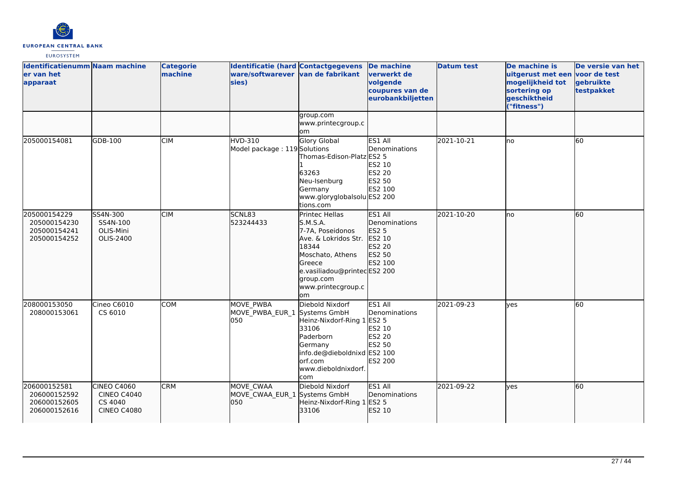

| <b>Identificatienumm Naam machine</b><br>er van het<br>apparaat |                                                                           | <b>Categorie</b><br>machine | <b>Identificatie (hard Contactgegevens</b><br>ware/softwarever van de fabrikant<br>sies) |                                                                                                                                                                                        | <b>De machine</b><br>verwerkt de<br>volgende<br>coupures van de<br>eurobankbiljetten     | <b>Datum test</b> | De machine is<br>uitgerust met een<br>mogelijkheid tot<br>sortering op<br>geschiktheid<br>"fitness") | De versie van het<br>voor de test<br>gebruikte<br>testpakket |
|-----------------------------------------------------------------|---------------------------------------------------------------------------|-----------------------------|------------------------------------------------------------------------------------------|----------------------------------------------------------------------------------------------------------------------------------------------------------------------------------------|------------------------------------------------------------------------------------------|-------------------|------------------------------------------------------------------------------------------------------|--------------------------------------------------------------|
|                                                                 |                                                                           |                             |                                                                                          | group.com<br>www.printecgroup.c<br><b>om</b>                                                                                                                                           |                                                                                          |                   |                                                                                                      |                                                              |
| 205000154081                                                    | GDB-100                                                                   | <b>CIM</b>                  | HVD-310<br>Model package: 119 Solutions                                                  | Glory Global<br>Thomas-Edison-Platz ES2 5<br>63263<br>Neu-Isenburg<br>Germany<br>www.gloryglobalsolu ES2 200<br>tions.com                                                              | ES1 All<br>Denominations<br>ES2 10<br>ES2 20<br>ES2 50<br>ES2 100                        | 2021-10-21        | lno                                                                                                  | 60                                                           |
| 205000154229<br>205000154230<br>205000154241<br>205000154252    | SS4N-300<br>SS4N-100<br>OLIS-Mini<br>OLIS-2400                            | <b>CIM</b>                  | SCNL83<br>523244433                                                                      | Printec Hellas<br>S.M.S.A.<br>7-7A, Poseidonos<br>Ave. & Lokridos Str.<br>18344<br>Moschato, Athens<br>lGreece<br>e.vasiliadou@printecES2 200<br>group.com<br>www.printecgroup.c<br>om | ES1 All<br>Denominations<br><b>ES2 5</b><br>ES2 10<br>ES2 20<br>ES2 50<br>ES2 100        | 2021-10-20        | Ino                                                                                                  | 60                                                           |
| 208000153050<br>208000153061                                    | Cineo C6010<br>CS 6010                                                    | <b>COM</b>                  | MOVE PWBA<br>MOVE_PWBA_EUR_1 Systems GmbH<br>050                                         | Diebold Nixdorf<br>Heinz-Nixdorf-Ring 1<br>33106<br>Paderborn<br>Germany<br>info.de@dieboldnixd ES2 100<br>orf.com<br>www.dieboldnixdorf.<br>com                                       | ES1 All<br>Denominations<br><b>ES2 5</b><br>ES2 10<br>ES2 20<br><b>ES2 50</b><br>ES2 200 | 2021-09-23        | ves                                                                                                  | 60                                                           |
| 206000152581<br>206000152592<br>206000152605<br>206000152616    | <b>CINEO C4060</b><br><b>CINEO C4040</b><br>CS 4040<br><b>CINEO C4080</b> | <b>CRM</b>                  | MOVE CWAA<br>MOVE_CWAA_EUR_1 Systems GmbH<br>050                                         | Diebold Nixdorf<br>Heinz-Nixdorf-Ring 1<br>33106                                                                                                                                       | ES1 All<br>Denominations<br><b>ES2 5</b><br>ES2 10                                       | 2021-09-22        | yes                                                                                                  | 60                                                           |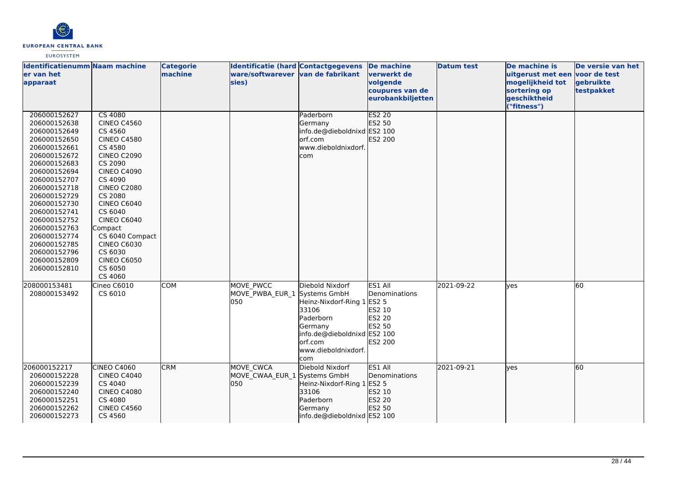

| <b>Identificatienumm Naam machine</b><br>er van het<br>apparaat                                                                                                                                                                                                                                                              |                                                                                                                                                                                                                                                                                                                                                       | <b>Categorie</b><br>machine | <b>Identificatie (hard Contactgegevens</b><br>ware/softwarever van de fabrikant<br>sies) |                                                                                                                                                         | <b>De machine</b><br>verwerkt de<br>volgende<br>coupures van de<br>eurobankbiljetten | <b>Datum test</b> | De machine is<br>uitgerust met een voor de test<br>mogelijkheid tot<br>sortering op<br>geschiktheid<br>("fitness") | De versie van het<br>gebruikte<br>testpakket |
|------------------------------------------------------------------------------------------------------------------------------------------------------------------------------------------------------------------------------------------------------------------------------------------------------------------------------|-------------------------------------------------------------------------------------------------------------------------------------------------------------------------------------------------------------------------------------------------------------------------------------------------------------------------------------------------------|-----------------------------|------------------------------------------------------------------------------------------|---------------------------------------------------------------------------------------------------------------------------------------------------------|--------------------------------------------------------------------------------------|-------------------|--------------------------------------------------------------------------------------------------------------------|----------------------------------------------|
| 206000152627<br>206000152638<br>206000152649<br>206000152650<br>206000152661<br>206000152672<br>206000152683<br>206000152694<br>206000152707<br>206000152718<br>206000152729<br>206000152730<br>206000152741<br>206000152752<br>206000152763<br>206000152774<br>206000152785<br>206000152796<br>206000152809<br>206000152810 | <b>CS 4080</b><br><b>CINEO C4560</b><br>CS 4560<br><b>CINEO C4580</b><br>CS 4580<br><b>CINEO C2090</b><br>CS 2090<br><b>CINEO C4090</b><br>CS 4090<br><b>CINEO C2080</b><br>CS 2080<br><b>CINEO C6040</b><br>CS 6040<br><b>CINEO C6040</b><br>Compact<br>CS 6040 Compact<br><b>CINEO C6030</b><br>CS 6030<br><b>CINEO C6050</b><br>CS 6050<br>CS 4060 |                             |                                                                                          | Paderborn<br>Germany<br>info.de@dieboldnixd ES2 100<br>orf.com<br>www.dieboldnixdorf.<br>com                                                            | <b>ES2 20</b><br>ES2 50<br>ES2 200                                                   |                   |                                                                                                                    |                                              |
| 208000153481<br>208000153492                                                                                                                                                                                                                                                                                                 | Cineo C6010<br>CS 6010                                                                                                                                                                                                                                                                                                                                | <b>COM</b>                  | MOVE PWCC<br>MOVE PWBA EUR 1 Systems GmbH<br>050                                         | Diebold Nixdorf<br>Heinz-Nixdorf-Ring 1 ES2 5<br>33106<br>Paderborn<br>Germany<br>info.de@dieboldnixd ES2 100<br>lorf.com<br>www.dieboldnixdorf.<br>com | ES1 All<br>Denominations<br>ES2 10<br>ES2 20<br>ES2 50<br><b>ES2 200</b>             | 2021-09-22        | yes                                                                                                                | 60                                           |
| 206000152217<br>206000152228<br>206000152239<br>206000152240<br>206000152251<br>206000152262<br>206000152273                                                                                                                                                                                                                 | CINEO C4060<br><b>CINEO C4040</b><br>CS 4040<br><b>CINEO C4080</b><br>CS 4080<br><b>CINEO C4560</b><br>CS 4560                                                                                                                                                                                                                                        | <b>CRM</b>                  | MOVE CWCA<br>MOVE CWAA EUR 1 Systems GmbH<br>050                                         | Diebold Nixdorf<br>Heinz-Nixdorf-Ring 1 ES2 5<br>33106<br>Paderborn<br>Germany<br>info.de@dieboldnixd ES2 100                                           | ES1 All<br>Denominations<br>ES2 10<br>ES2 20<br>ES2 50                               | 2021-09-21        | lyes                                                                                                               | 60                                           |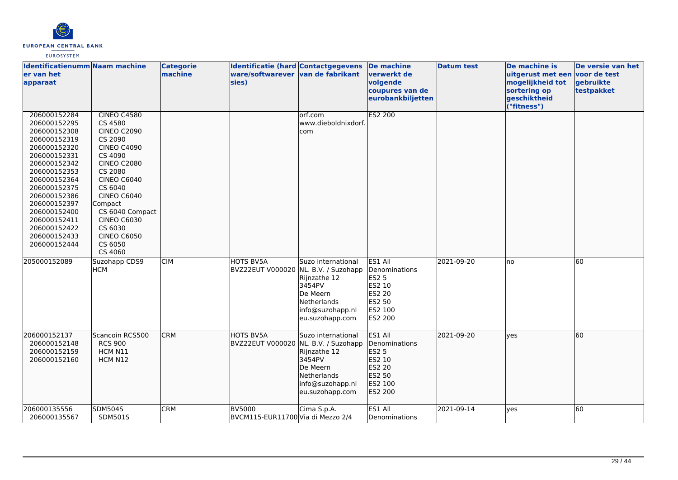

| Identificatienumm Naam machine<br>ler van het<br>apparaat                                                                                                                                                                                                                    |                                                                                                                                                                                                                                                                                             | <b>Categorie</b><br>machine | <b>Identificatie (hard Contactgegevens</b><br>ware/softwarever van de fabrikant<br>sies) |                                                                                                                | De machine<br>verwerkt de<br>volgende<br>coupures van de<br>eurobankbiljetten                | <b>Datum test</b> | De machine is<br>uitgerust met een voor de test<br>mogelijkheid tot<br>sortering op<br>geschiktheid<br>"fitness") | De versie van het<br>gebruikte<br>testpakket |
|------------------------------------------------------------------------------------------------------------------------------------------------------------------------------------------------------------------------------------------------------------------------------|---------------------------------------------------------------------------------------------------------------------------------------------------------------------------------------------------------------------------------------------------------------------------------------------|-----------------------------|------------------------------------------------------------------------------------------|----------------------------------------------------------------------------------------------------------------|----------------------------------------------------------------------------------------------|-------------------|-------------------------------------------------------------------------------------------------------------------|----------------------------------------------|
| 206000152284<br>206000152295<br>206000152308<br>206000152319<br>206000152320<br>206000152331<br>206000152342<br>206000152353<br>206000152364<br>206000152375<br>206000152386<br>206000152397<br>206000152400<br>206000152411<br>206000152422<br>206000152433<br>206000152444 | CINEO C4580<br>CS 4580<br><b>CINEO C2090</b><br>CS 2090<br><b>CINEO C4090</b><br>CS 4090<br><b>CINEO C2080</b><br>CS 2080<br><b>CINEO C6040</b><br>CS 6040<br><b>CINEO C6040</b><br>Compact<br>CS 6040 Compact<br><b>CINEO C6030</b><br>CS 6030<br><b>CINEO C6050</b><br>CS 6050<br>CS 4060 |                             |                                                                                          | orf.com<br>www.dieboldnixdorf.<br>com                                                                          | <b>ES2 200</b>                                                                               |                   |                                                                                                                   |                                              |
| 205000152089                                                                                                                                                                                                                                                                 | Suzohapp CDS9<br><b>HCM</b>                                                                                                                                                                                                                                                                 | <b>CIM</b>                  | HOTS BV5A<br>BVZ22EUT V000020 NL. B.V. / Suzohapp                                        | Suzo international<br>Rijnzathe 12<br>3454PV<br>De Meern<br>Netherlands<br>info@suzohapp.nl<br>eu.suzohapp.com | ES1 All<br>Denominations<br>ES2 5<br>ES2 10<br>ES2 20<br>ES2 50<br>ES2 100<br>ES2 200        | 2021-09-20        | Ino                                                                                                               | 60                                           |
| 206000152137<br>206000152148<br>206000152159<br>206000152160                                                                                                                                                                                                                 | Scancoin RCS500<br><b>RCS 900</b><br>HCM N11<br>HCM N12                                                                                                                                                                                                                                     | <b>CRM</b>                  | HOTS BV5A<br>BVZ22EUT V000020 NL. B.V. / Suzohapp                                        | Suzo international<br>Rijnzathe 12<br>3454PV<br>De Meern<br>Netherlands<br>info@suzohapp.nl<br>eu.suzohapp.com | ES1 All<br>Denominations<br><b>ES2 5</b><br>ES2 10<br>ES2 20<br>ES2 50<br>ES2 100<br>ES2 200 | 2021-09-20        | lves                                                                                                              | 60                                           |
| 206000135556<br>206000135567                                                                                                                                                                                                                                                 | <b>SDM504S</b><br><b>SDM501S</b>                                                                                                                                                                                                                                                            | <b>CRM</b>                  | <b>BV5000</b><br>BVCM115-EUR11700 Via di Mezzo 2/4                                       | Cima S.p.A.                                                                                                    | ES1 All<br>Denominations                                                                     | 2021-09-14        | lyes                                                                                                              | 60                                           |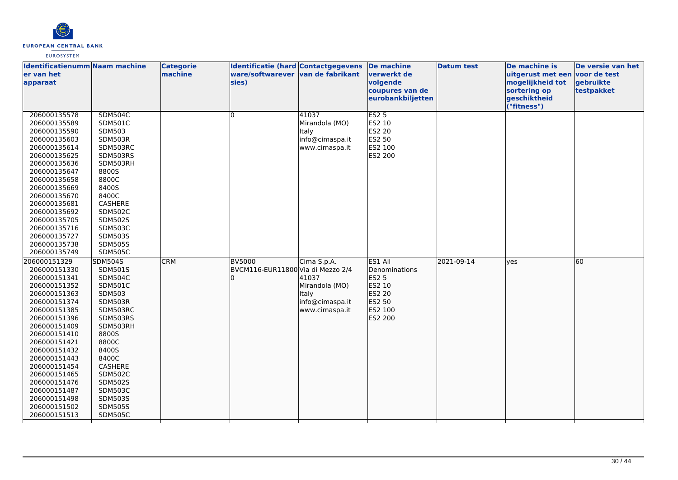

| <b>Identificatienumm Naam machine</b><br>er van het<br>apparaat                                                                                                                                                                                                                                                              |                                                                                                                                                                                                                                                                                          | <b>Categorie</b><br>machine | Identificatie (hard Contactgegevens<br>ware/softwarever van de fabrikant<br>sies) |                                                                                      | De machine<br>verwerkt de<br>volgende<br>coupures van de<br>eurobankbiljetten                | <b>Datum test</b> | De machine is<br>uitgerust met een voor de test<br>mogelijkheid tot<br>sortering op<br>geschiktheid<br>"fitness") | De versie van het<br>gebruikte<br>testpakket |
|------------------------------------------------------------------------------------------------------------------------------------------------------------------------------------------------------------------------------------------------------------------------------------------------------------------------------|------------------------------------------------------------------------------------------------------------------------------------------------------------------------------------------------------------------------------------------------------------------------------------------|-----------------------------|-----------------------------------------------------------------------------------|--------------------------------------------------------------------------------------|----------------------------------------------------------------------------------------------|-------------------|-------------------------------------------------------------------------------------------------------------------|----------------------------------------------|
| 206000135578<br>206000135589<br>206000135590<br>206000135603<br>206000135614<br>206000135625<br>206000135636<br>206000135647<br>206000135658<br>206000135669<br>206000135670<br>206000135681<br>206000135692<br>206000135705<br>206000135716<br>206000135727<br>206000135738<br>206000135749                                 | <b>SDM504C</b><br><b>SDM501C</b><br><b>SDM503</b><br>SDM503R<br>SDM503RC<br>SDM503RS<br>SDM503RH<br>8800S<br>8800C<br>8400S<br>8400C<br>CASHERE<br><b>SDM502C</b><br><b>SDM502S</b><br><b>SDM503C</b><br><b>SDM503S</b><br><b>SDM505S</b><br><b>SDM505C</b>                              |                             | lo.                                                                               | 41037<br>Mirandola (MO)<br>Italy<br>info@cimaspa.it<br>www.cimaspa.it                | ES2 <sub>5</sub><br>ES2 10<br>ES2 20<br>ES2 50<br>ES2 100<br>ES2 200                         |                   |                                                                                                                   |                                              |
| 206000151329<br>206000151330<br>206000151341<br>206000151352<br>206000151363<br>206000151374<br>206000151385<br>206000151396<br>206000151409<br>206000151410<br>206000151421<br>206000151432<br>206000151443<br>206000151454<br>206000151465<br>206000151476<br>206000151487<br>206000151498<br>206000151502<br>206000151513 | <b>SDM504S</b><br>SDM501S<br><b>SDM504C</b><br><b>SDM501C</b><br><b>SDM503</b><br>SDM503R<br>SDM503RC<br>SDM503RS<br>SDM503RH<br>8800S<br>8800C<br>8400S<br>8400C<br>CASHERE<br><b>SDM502C</b><br><b>SDM502S</b><br><b>SDM503C</b><br><b>SDM503S</b><br><b>SDM505S</b><br><b>SDM505C</b> | <b>CRM</b>                  | BV5000<br>BVCM116-EUR11800 Via di Mezzo 2/4                                       | Cima S.p.A.<br>41037<br>Mirandola (MO)<br>Italy<br>info@cimaspa.it<br>www.cimaspa.it | ES1 All<br>Denominations<br><b>ES2 5</b><br>ES2 10<br>ES2 20<br>ES2 50<br>ES2 100<br>ES2 200 | 2021-09-14        | lves                                                                                                              | 60                                           |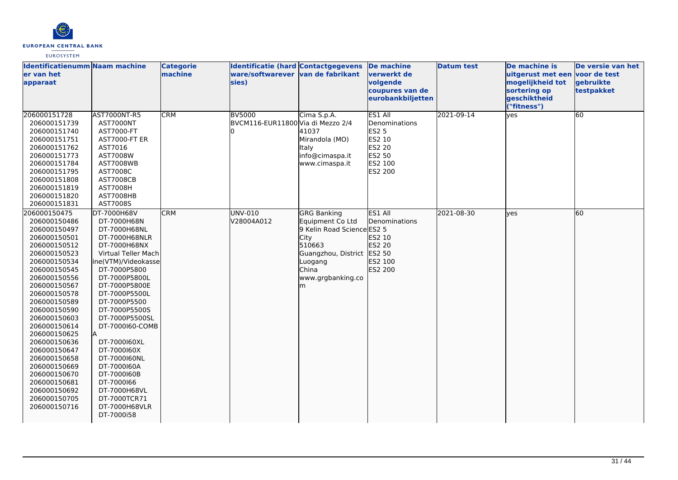

| <b>Identificatienumm Naam machine</b><br>er van het<br>apparaat                                                                                                                                                                                                                                                                                                                                              |                                                                                                                                                                                                                                                                                                                                                                                                                                     | <b>Categorie</b><br>machine | <b>Identificatie (hard Contactgegevens</b><br>ware/softwarever van de fabrikant<br>sies) |                                                                                                                                                                      | De machine<br>verwerkt de<br>volgende<br>coupures van de<br>eurobankbiljetten                              | <b>Datum test</b> | De machine is<br>uitgerust met een voor de test<br>mogelijkheid tot<br>sortering op<br>geschiktheid<br>("fitness") | De versie van het<br>gebruikte<br>testpakket |
|--------------------------------------------------------------------------------------------------------------------------------------------------------------------------------------------------------------------------------------------------------------------------------------------------------------------------------------------------------------------------------------------------------------|-------------------------------------------------------------------------------------------------------------------------------------------------------------------------------------------------------------------------------------------------------------------------------------------------------------------------------------------------------------------------------------------------------------------------------------|-----------------------------|------------------------------------------------------------------------------------------|----------------------------------------------------------------------------------------------------------------------------------------------------------------------|------------------------------------------------------------------------------------------------------------|-------------------|--------------------------------------------------------------------------------------------------------------------|----------------------------------------------|
| 206000151728<br>206000151739<br>206000151740<br>206000151751<br>206000151762<br>206000151773<br>206000151784<br>206000151795<br>206000151808<br>206000151819<br>206000151820<br>206000151831                                                                                                                                                                                                                 | AST7000NT-R5<br><b>AST7000NT</b><br>AST7000-FT<br><b>AST7000-FT ER</b><br>AST7016<br>AST7008W<br><b>AST7008WB</b><br>AST7008C<br><b>AST7008CB</b><br><b>AST7008H</b><br>AST7008HB<br>AST7008S                                                                                                                                                                                                                                       | <b>CRM</b>                  | <b>BV5000</b><br>BVCM116-EUR11800 Via di Mezzo 2/4                                       | Cima S.p.A.<br>41037<br>Mirandola (MO)<br>Italy<br>info@cimaspa.it<br>www.cimaspa.it                                                                                 | <b>ES1 All</b><br>Denominations<br><b>ES2 5</b><br>ES2 10<br><b>ES2 20</b><br>ES2 50<br>ES2 100<br>ES2 200 | 2021-09-14        | yes                                                                                                                | 60                                           |
| 206000150475<br>206000150486<br>206000150497<br>206000150501<br>206000150512<br>206000150523<br>206000150534<br>206000150545<br>206000150556<br>206000150567<br>206000150578<br>206000150589<br>206000150590<br>206000150603<br>206000150614<br>206000150625<br>206000150636<br>206000150647<br>206000150658<br>206000150669<br>206000150670<br>206000150681<br>206000150692<br>206000150705<br>206000150716 | DT-7000H68V<br>DT-7000H68N<br>DT-7000H68NL<br>DT-7000H68NLR<br>DT-7000H68NX<br>Virtual Teller Mach<br>ine(VTM)/Videokasse<br>DT-7000P5800<br>DT-7000P5800L<br>DT-7000P5800E<br>DT-7000P5500L<br>DT-7000P5500<br>DT-7000P5500S<br>DT-7000P5500SL<br>DT-7000160-COMB<br>la.<br>DT-7000160XL<br>DT-7000160X<br>DT-7000160NL<br>DT-7000160A<br>DT-7000160B<br>DT-7000166<br>DT-7000H68VL<br>DT-7000TCR71<br>DT-7000H68VLR<br>DT-7000i58 | <b>CRM</b>                  | UNV-010<br>V28004A012                                                                    | <b>GRG Banking</b><br>Equipment Co Ltd<br>9 Kelin Road Science ES2 5<br>City<br>510663<br>Guangzhou, District ES2 50<br>Luogang<br><b>China</b><br>www.grgbanking.co | ES1 All<br><b>Denominations</b><br>ES2 10<br>ES2 20<br>ES2 100<br>ES2 200                                  | 2021-08-30        | lves                                                                                                               | 60                                           |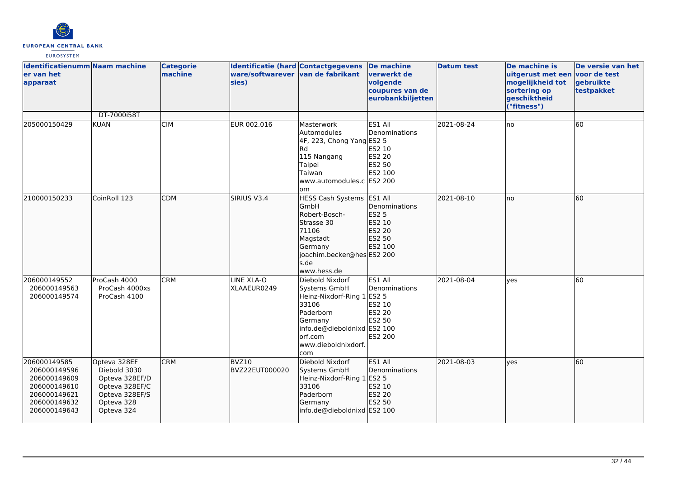

| <b>Identificatienumm Naam machine</b><br>er van het<br>apparaat                                              |                                                                                                                | <b>Categorie</b><br>machine | Identificatie (hard Contactgegevens<br>ware/softwarever van de fabrikant<br>sies) |                                                                                                                                                                        | <b>De machine</b><br><b>verwerkt</b> de<br>volgende<br>coupures van de<br>eurobankbiljetten | <b>Datum test</b> | De machine is<br>uitgerust met een voor de test<br>mogelijkheid tot<br>sortering op<br>geschiktheid<br>("fitness") | De versie van het<br>gebruikte<br>testpakket |
|--------------------------------------------------------------------------------------------------------------|----------------------------------------------------------------------------------------------------------------|-----------------------------|-----------------------------------------------------------------------------------|------------------------------------------------------------------------------------------------------------------------------------------------------------------------|---------------------------------------------------------------------------------------------|-------------------|--------------------------------------------------------------------------------------------------------------------|----------------------------------------------|
| 205000150429                                                                                                 | DT-7000i58T<br>KUAN                                                                                            | <b>CIM</b>                  | EUR 002.016                                                                       | Masterwork<br>Automodules<br>4F, 223, Chong Yang ES2 5<br>Rd<br>115 Nangang<br>Taipei<br>Taiwan<br>www.automodules.c ES2 200<br>om                                     | ES1 All<br>Denominations<br>ES2 10<br><b>ES2 20</b><br>ES2 50<br>ES2 100                    | 2021-08-24        | lno                                                                                                                | 60                                           |
| 210000150233                                                                                                 | CoinRoll 123                                                                                                   | <b>CDM</b>                  | SIRIUS V3.4                                                                       | HESS Cash Systems ES1 All<br>GmbH<br>Robert-Bosch-<br>Strasse 30<br>71106<br>Magstadt<br>Germany<br>joachim.becker@hes ES2 200<br>s.de<br>www.hess.de                  | Denominations<br><b>ES2 5</b><br>ES2 10<br>ES2 20<br>ES2 50<br>ES2 100                      | 2021-08-10        | lno                                                                                                                | 60                                           |
| 206000149552<br>206000149563<br>206000149574                                                                 | ProCash 4000<br>ProCash 4000xs<br>ProCash 4100                                                                 | <b>CRM</b>                  | LINE XLA-O<br>XLAAEUR0249                                                         | Diebold Nixdorf<br>Systems GmbH<br>Heinz-Nixdorf-Ring 1 ES2 5<br>33106<br>Paderborn<br>Germany<br>info.de@dieboldnixd ES2 100<br>orf.com<br>www.dieboldnixdorf.<br>com | ES1 All<br>Denominations<br>ES2 10<br>ES2 20<br>ES2 50<br>ES2 200                           | 2021-08-04        | lves                                                                                                               | 60                                           |
| 206000149585<br>206000149596<br>206000149609<br>206000149610<br>206000149621<br>206000149632<br>206000149643 | Opteva 328EF<br>Diebold 3030<br>Opteva 328EF/D<br>Opteva 328EF/C<br>Opteva 328EF/S<br>Opteva 328<br>Opteva 324 | <b>CRM</b>                  | BVZ10<br>BVZ22EUT000020                                                           | Diebold Nixdorf<br>Systems GmbH<br>Heinz-Nixdorf-Ring 1<br>33106<br>Paderborn<br>Germany<br>info.de@dieboldnixd ES2 100                                                | ES1 All<br>Denominations<br>ES2 5<br>ES2 10<br>ES2 20<br>ES2 50                             | 2021-08-03        | lves                                                                                                               | 60                                           |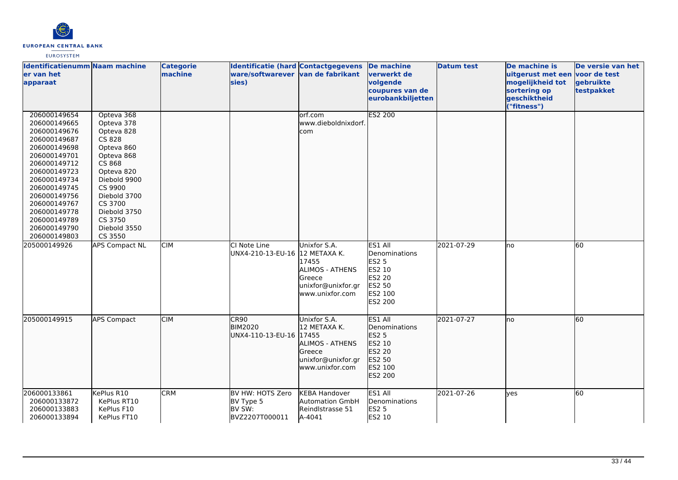

| <b>Identificatienumm Naam machine</b><br>ler van het<br>apparaat                                                                                                                                                                                             |                                                                                                                                                                                                                  | <b>Categorie</b><br>machine | <b>Identificatie (hard Contactgegevens</b><br>ware/softwarever van de fabrikant<br>sies) |                                                                                                           | De machine<br>verwerkt de<br>volgende<br>coupures van de<br>eurobankbiljetten                       | <b>Datum test</b> | De machine is<br>uitgerust met een voor de test<br>mogelijkheid tot<br>sortering op<br>geschiktheid<br>("fitness") | De versie van het<br>gebruikte<br>testpakket |
|--------------------------------------------------------------------------------------------------------------------------------------------------------------------------------------------------------------------------------------------------------------|------------------------------------------------------------------------------------------------------------------------------------------------------------------------------------------------------------------|-----------------------------|------------------------------------------------------------------------------------------|-----------------------------------------------------------------------------------------------------------|-----------------------------------------------------------------------------------------------------|-------------------|--------------------------------------------------------------------------------------------------------------------|----------------------------------------------|
| 206000149654<br>206000149665<br>206000149676<br>206000149687<br>206000149698<br>206000149701<br>206000149712<br>206000149723<br>206000149734<br>206000149745<br>206000149756<br>206000149767<br>206000149778<br>206000149789<br>206000149790<br>206000149803 | Opteva 368<br>Opteva 378<br>Opteva 828<br>CS 828<br>Opteva 860<br>Opteva 868<br>CS 868<br>Opteva 820<br>Diebold 9900<br>CS 9900<br>Diebold 3700<br>CS 3700<br>Diebold 3750<br>CS 3750<br>Diebold 3550<br>CS 3550 |                             |                                                                                          | orf.com<br>www.dieboldnixdorf.<br>com                                                                     | <b>ES2 200</b>                                                                                      |                   |                                                                                                                    |                                              |
| 205000149926                                                                                                                                                                                                                                                 | <b>APS Compact NL</b>                                                                                                                                                                                            | <b>CIM</b>                  | CI Note Line<br>UNX4-210-13-EU-16 12 METAXA K.                                           | Unixfor S.A.<br>17455<br><b>ALIMOS - ATHENS</b><br>Greece<br>unixfor@unixfor.gr<br>www.unixfor.com        | ES1 All<br>Denominations<br><b>ES2 5</b><br>ES2 10<br><b>ES2 20</b><br>ES2 50<br>ES2 100<br>ES2 200 | 2021-07-29        | Ino                                                                                                                | 60                                           |
| 205000149915                                                                                                                                                                                                                                                 | <b>APS Compact</b>                                                                                                                                                                                               | <b>CIM</b>                  | CR90<br><b>BIM2020</b><br>UNX4-110-13-EU-16 17455                                        | Unixfor S.A.<br>12 METAXA K.<br><b>ALIMOS - ATHENS</b><br>Greece<br>unixfor@unixfor.gr<br>www.unixfor.com | ES1 All<br>Denominations<br><b>ES2 5</b><br>ES2 10<br>ES2 20<br>ES2 50<br>ES2 100<br>ES2 200        | 2021-07-27        | Ino                                                                                                                | 60                                           |
| 206000133861<br>206000133872<br>206000133883<br>206000133894                                                                                                                                                                                                 | KePlus R10<br>KePlus RT10<br>KePlus F10<br>KePlus FT10                                                                                                                                                           | <b>CRM</b>                  | BV HW: HOTS Zero<br>BV Type 5<br>BV SW:<br>BVZ2207T000011                                | <b>KEBA Handover</b><br><b>Automation GmbH</b><br>Reindlstrasse 51<br>A-4041                              | ES1 All<br>Denominations<br><b>ES2 5</b><br>ES2 10                                                  | 2021-07-26        | yes                                                                                                                | 60                                           |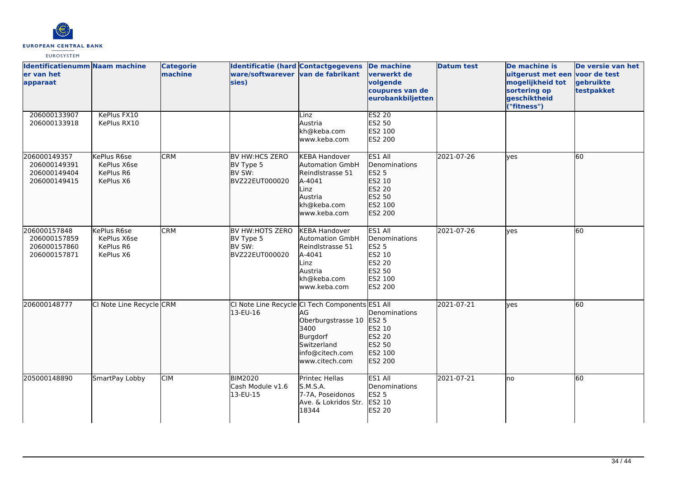

| Identificatienumm Naam machine<br>ler van het<br>apparaat    |                                                      | <b>Categorie</b><br>machine | <b>Identificatie (hard Contactgegevens</b><br>ware/softwarever van de fabrikant<br>sies) |                                                                                                                                | <b>De machine</b><br><u>lverwerkt de</u><br>volgende<br>coupures van de<br>eurobankbiljetten         | <b>Datum test</b> | De machine is<br>uitgerust met een voor de test<br>mogelijkheid tot<br>sortering op<br>geschiktheid<br>("fitness") | De versie van het<br>gebruikte<br>testpakket |
|--------------------------------------------------------------|------------------------------------------------------|-----------------------------|------------------------------------------------------------------------------------------|--------------------------------------------------------------------------------------------------------------------------------|------------------------------------------------------------------------------------------------------|-------------------|--------------------------------------------------------------------------------------------------------------------|----------------------------------------------|
| 206000133907<br>206000133918                                 | KePlus FX10<br>KePlus RX10                           |                             |                                                                                          | Linz<br>Austria<br>kh@keba.com<br>www.keba.com                                                                                 | <b>ES2 20</b><br>ES2 50<br>ES2 100<br><b>ES2 200</b>                                                 |                   |                                                                                                                    |                                              |
| 206000149357<br>206000149391<br>206000149404<br>206000149415 | KePlus R6se<br>KePlus X6se<br>KePlus R6<br>KePlus X6 | <b>CRM</b>                  | BV HW:HCS ZERO<br>BV Type 5<br>BV SW:<br>BVZ22EUT000020                                  | <b>KEBA Handover</b><br><b>Automation GmbH</b><br>Reindlstrasse 51<br>A-4041<br>Linz<br>Austria<br>kh@keba.com<br>www.keba.com | ES1 All<br><b>IDenominations</b><br><b>ES2 5</b><br>ES2 10<br>ES2 20<br>ES2 50<br>ES2 100<br>ES2 200 | 2021-07-26        | lves                                                                                                               | 60                                           |
| 206000157848<br>206000157859<br>206000157860<br>206000157871 | KePlus R6se<br>KePlus X6se<br>KePlus R6<br>KePlus X6 | <b>CRM</b>                  | BV HW:HOTS ZERO<br>BV Type 5<br>BV SW:<br>BVZ22EUT000020                                 | <b>KEBA Handover</b><br><b>Automation GmbH</b><br>Reindlstrasse 51<br>A-4041<br>Linz<br>Austria<br>kh@keba.com<br>www.keba.com | ES1 All<br>Denominations<br><b>ES2 5</b><br>ES2 10<br><b>ES2 20</b><br>ES2 50<br>ES2 100<br>ES2 200  | 2021-07-26        | lves                                                                                                               | 60                                           |
| 206000148777                                                 | CI Note Line Recycle CRM                             |                             | CI Note Line Recycle CI Tech Components ES1 All<br>13-EU-16                              | AG<br>Oberburgstrasse 10<br>3400<br>Burgdorf<br>Switzerland<br>info@citech.com<br>www.citech.com                               | Denominations<br><b>ES2 5</b><br>ES2 10<br>ES2 20<br>ES2 50<br>ES2 100<br>ES2 200                    | 2021-07-21        | lyes                                                                                                               | 60                                           |
| 205000148890                                                 | SmartPay Lobby                                       | <b>CIM</b>                  | <b>BIM2020</b><br>Cash Module v1.6<br>13-EU-15                                           | Printec Hellas<br>S.M.S.A.<br>7-7A, Poseidonos<br>Ave. & Lokridos Str.<br>18344                                                | ES1 All<br>Denominations<br><b>ES2 5</b><br>ES2 10<br>ES2 20                                         | 2021-07-21        | Ino                                                                                                                | 60                                           |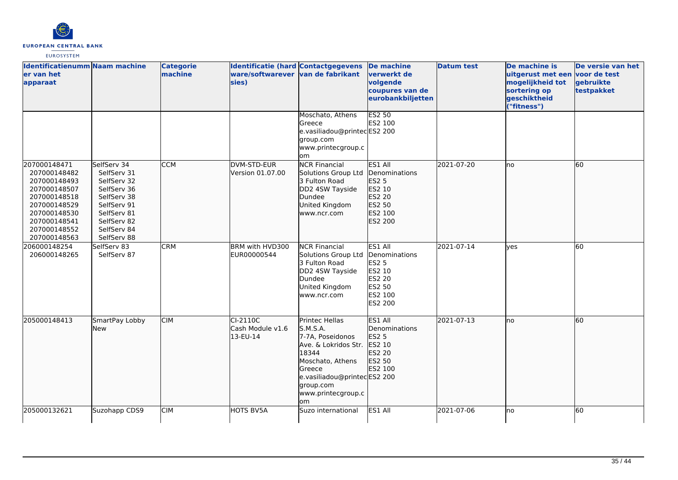

| <b>Identificatienumm Naam machine</b><br>er van het<br>apparaat                                                                                              |                                                                                                                                                    | <b>Categorie</b><br>machine | Identificatie (hard Contactgegevens<br>ware/softwarever van de fabrikant<br>sies) |                                                                                                                                                                                       | De machine<br>verwerkt de<br>volgende<br>coupures van de<br>eurobankbiljetten         | <b>Datum test</b> | De machine is<br>uitgerust met een voor de test<br>mogelijkheid tot<br>sortering op<br>geschiktheid<br>("fitness") | De versie van het<br>gebruikte<br>testpakket |
|--------------------------------------------------------------------------------------------------------------------------------------------------------------|----------------------------------------------------------------------------------------------------------------------------------------------------|-----------------------------|-----------------------------------------------------------------------------------|---------------------------------------------------------------------------------------------------------------------------------------------------------------------------------------|---------------------------------------------------------------------------------------|-------------------|--------------------------------------------------------------------------------------------------------------------|----------------------------------------------|
|                                                                                                                                                              |                                                                                                                                                    |                             |                                                                                   | Moschato, Athens<br>Greece<br>e.vasiliadou@printecES2 200<br>group.com<br>www.printecgroup.c<br>om                                                                                    | <b>ES2 50</b><br>ES2 100                                                              |                   |                                                                                                                    |                                              |
| 207000148471<br>207000148482<br>207000148493<br>207000148507<br>207000148518<br>207000148529<br>207000148530<br>207000148541<br>207000148552<br>207000148563 | SelfServ 34<br>SelfServ 31<br>SelfServ 32<br>SelfServ 36<br>SelfServ 38<br>SelfServ 91<br>SelfServ 81<br>SelfServ 82<br>SelfServ 84<br>SelfServ 88 | <b>CCM</b>                  | DVM-STD-EUR<br>Version 01.07.00                                                   | <b>NCR Financial</b><br>Solutions Group Ltd<br>3 Fulton Road<br>DD2 4SW Tayside<br>Dundee<br>United Kingdom<br>www.ncr.com                                                            | ES1 All<br>Denominations<br>ES2 5<br>ES2 10<br>ES2 20<br>ES2 50<br>ES2 100<br>ES2 200 | 2021-07-20        | lno                                                                                                                | 60                                           |
| 206000148254<br>206000148265                                                                                                                                 | SelfServ 83<br>SelfServ 87                                                                                                                         | <b>CRM</b>                  | BRM with HVD300<br>EUR00000544                                                    | <b>NCR Financial</b><br>Solutions Group Ltd Denominations<br>3 Fulton Road<br>DD2 4SW Tayside<br>Dundee<br>United Kingdom<br>www.ncr.com                                              | ES1 All<br><b>ES2 5</b><br>ES2 10<br><b>ES2 20</b><br>ES2 50<br>ES2 100<br>ES2 200    | 2021-07-14        | lves                                                                                                               | 60                                           |
| 205000148413                                                                                                                                                 | SmartPay Lobby<br><b>New</b>                                                                                                                       | <b>CIM</b>                  | $CI-2110C$<br>Cash Module v1.6<br>13-EU-14                                        | Printec Hellas<br>S.M.S.A.<br>7-7A, Poseidonos<br>Ave. & Lokridos Str.<br>18344<br>Moschato, Athens<br>Greece<br>e.vasiliadou@printecES2 200<br>group.com<br>www.printecgroup.c<br>om | ES1 All<br>Denominations<br>ES2 5<br>ES2 10<br>ES2 20<br>ES2 50<br>ES2 100            | 2021-07-13        | lno                                                                                                                | 60                                           |
| 205000132621                                                                                                                                                 | Suzohapp CDS9                                                                                                                                      | <b>CIM</b>                  | <b>HOTS BV5A</b>                                                                  | Suzo international                                                                                                                                                                    | ES1 All                                                                               | 2021-07-06        | lno                                                                                                                | 60                                           |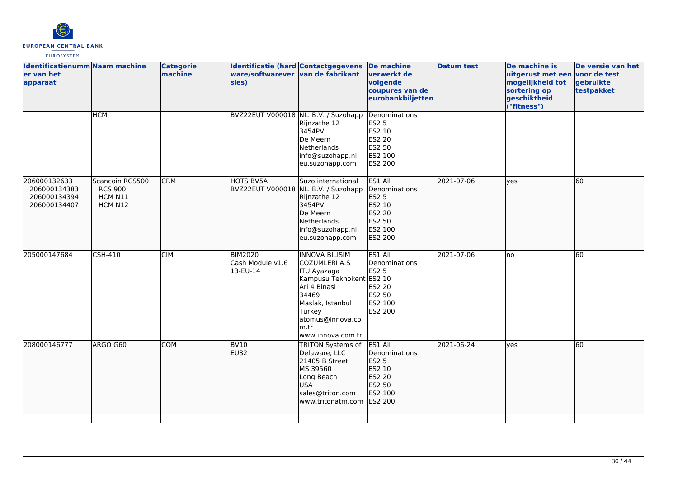

| Identificatienumm Naam machine<br>er van het<br>apparaat     |                                                         | <b>Categorie</b><br>machine | Identificatie (hard Contactgegevens<br>ware/softwarever van de fabrikant<br>sies) |                                                                                                                                                                                                  | <b>De machine</b><br>verwerkt de<br>volgende<br>coupures van de<br>eurobankbiljetten  | <b>Datum test</b> | De machine is<br>uitgerust met een voor de test<br>mogelijkheid tot<br>sortering op<br>geschiktheid<br>("fitness") | De versie van het<br>gebruikte<br>testpakket |
|--------------------------------------------------------------|---------------------------------------------------------|-----------------------------|-----------------------------------------------------------------------------------|--------------------------------------------------------------------------------------------------------------------------------------------------------------------------------------------------|---------------------------------------------------------------------------------------|-------------------|--------------------------------------------------------------------------------------------------------------------|----------------------------------------------|
|                                                              | <b>HCM</b>                                              |                             | BVZ22EUT V000018 NL. B.V. / Suzohapp                                              | Rijnzathe 12<br>3454PV<br>De Meern<br>Netherlands<br>info@suzohapp.nl<br>eu.suzohapp.com                                                                                                         | Denominations<br><b>ES2 5</b><br>ES2 10<br>ES2 20<br>ES2 50<br>ES2 100<br>ES2 200     |                   |                                                                                                                    |                                              |
| 206000132633<br>206000134383<br>206000134394<br>206000134407 | Scancoin RCS500<br><b>RCS 900</b><br>HCM N11<br>HCM N12 | <b>CRM</b>                  | HOTS BV5A<br>BVZ22EUT V000018 NL. B.V. / Suzohapp                                 | Suzo international<br>Rijnzathe 12<br>3454PV<br>De Meern<br>Netherlands<br>info@suzohapp.nl<br>eu.suzohapp.com                                                                                   | ES1 All<br>Denominations<br>ES2 5<br>ES2 10<br>ES2 20<br>ES2 50<br>ES2 100<br>ES2 200 | 2021-07-06        | lyes                                                                                                               | 60                                           |
| 205000147684                                                 | CSH-410                                                 | <b>CIM</b>                  | <b>BIM2020</b><br>Cash Module v1.6<br>13-EU-14                                    | <b>INNOVA BILISIM</b><br><b>COZUMLERI A.S</b><br>ITU Ayazaga<br>Kampusu Teknokent ES2 10<br>Ari 4 Binasi<br>34469<br>Maslak, Istanbul<br>Turkey<br>atomus@innova.co<br>m.tr<br>www.innova.com.tr | ES1 All<br>Denominations<br><b>ES2 5</b><br>ES2 20<br>ES2 50<br>ES2 100<br>ES2 200    | 2021-07-06        | lno                                                                                                                | 60                                           |
| 208000146777                                                 | ARGO G60                                                | <b>COM</b>                  | <b>BV10</b><br>EU32                                                               | TRITON Systems of<br>Delaware, LLC<br>21405 B Street<br>MS 39560<br>Long Beach<br><b>USA</b><br>sales@triton.com<br>www.tritonatm.com                                                            | ES1 All<br>Denominations<br>ES2 5<br>ES2 10<br>ES2 20<br>ES2 50<br>ES2 100<br>ES2 200 | 2021-06-24        | lyes                                                                                                               | 60                                           |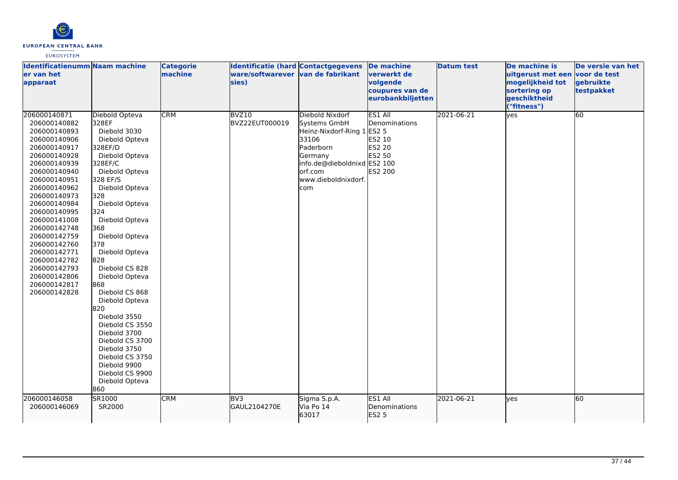

| <b>Identificatienumm Naam machine</b><br>ler van het<br>apparaat                                                                                                                                                                                                                                                                                                             |                                                                                                                                                                                                                                                                                                                                                                                                                                                                                                                         | <b>Categorie</b><br>machine | Identificatie (hard Contactgegevens<br>ware/softwarever van de fabrikant<br>sies) |                                                                                                                                                                        | <b>De machine</b><br>verwerkt de<br>volgende<br>coupures van de<br>eurobankbiljetten   | <b>Datum test</b> | De machine is<br>uitgerust met een voor de test<br>mogelijkheid tot<br>sortering op<br>geschiktheid<br>("fitness") | De versie van het<br>gebruikte<br>testpakket |
|------------------------------------------------------------------------------------------------------------------------------------------------------------------------------------------------------------------------------------------------------------------------------------------------------------------------------------------------------------------------------|-------------------------------------------------------------------------------------------------------------------------------------------------------------------------------------------------------------------------------------------------------------------------------------------------------------------------------------------------------------------------------------------------------------------------------------------------------------------------------------------------------------------------|-----------------------------|-----------------------------------------------------------------------------------|------------------------------------------------------------------------------------------------------------------------------------------------------------------------|----------------------------------------------------------------------------------------|-------------------|--------------------------------------------------------------------------------------------------------------------|----------------------------------------------|
| 206000140871<br>206000140882<br>206000140893<br>206000140906<br>206000140917<br>206000140928<br>206000140939<br>206000140940<br>206000140951<br>206000140962<br>206000140973<br>206000140984<br>206000140995<br>206000141008<br>206000142748<br>206000142759<br>206000142760<br>206000142771<br>206000142782<br>206000142793<br>206000142806<br>206000142817<br>206000142828 | Diebold Opteva<br>328EF<br>Diebold 3030<br>Diebold Opteva<br>328EF/D<br>Diebold Opteva<br>328EF/C<br>Diebold Opteva<br>328 EF/S<br>Diebold Opteva<br>328<br>Diebold Opteva<br>324<br>Diebold Opteva<br>368<br>Diebold Opteva<br>378<br>Diebold Opteva<br>828<br>Diebold CS 828<br>Diebold Opteva<br>868<br>Diebold CS 868<br>Diebold Opteva<br>820<br>Diebold 3550<br>Diebold CS 3550<br>Diebold 3700<br>Diebold CS 3700<br>Diebold 3750<br>Diebold CS 3750<br>Diebold 9900<br>Diebold CS 9900<br>Diebold Opteva<br>860 | <b>CRM</b>                  | BVZ10<br>BVZ22EUT000019                                                           | Diebold Nixdorf<br>Systems GmbH<br>Heinz-Nixdorf-Ring 1 ES2 5<br>33106<br>Paderborn<br>Germany<br>info.de@dieboldnixd ES2 100<br>orf.com<br>www.dieboldnixdorf.<br>com | <b>ES1 All</b><br>Denominations<br>ES2 10<br><b>ES2 20</b><br><b>ES2 50</b><br>ES2 200 | 2021-06-21        | yes                                                                                                                | 60                                           |
| 206000146058<br>206000146069                                                                                                                                                                                                                                                                                                                                                 | SR1000<br>SR2000                                                                                                                                                                                                                                                                                                                                                                                                                                                                                                        | <b>CRM</b>                  | BV <sub>3</sub><br>GAUL2104270E                                                   | Sigma S.p.A.<br>Via Po 14<br>63017                                                                                                                                     | ES1 All<br>Denominations<br>ES2 5                                                      | 2021-06-21        | lyes                                                                                                               | 60                                           |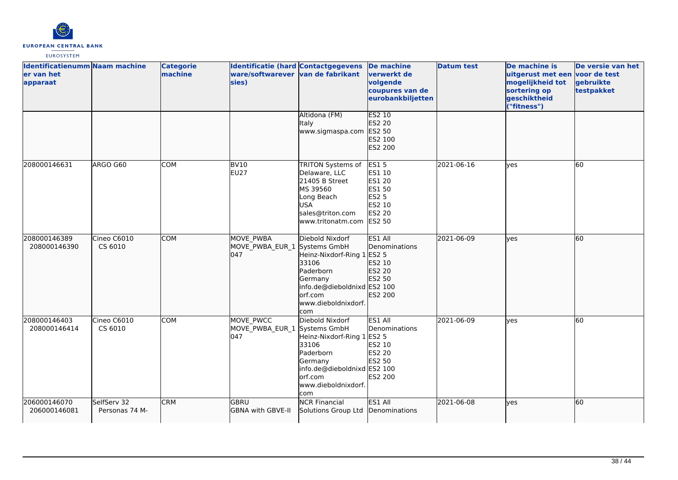

| <b>Identificatienumm Naam machine</b><br>er van het<br>apparaat |                               | <b>Categorie</b><br>machine | <b>Identificatie (hard Contactgegevens</b><br>ware/softwarever van de fabrikant<br>sies) |                                                                                                                                                  | De machine<br>verwerkt de<br>volgende<br>coupures van de<br>eurobankbiljetten                  | <b>Datum test</b> | De machine is<br>uitgerust met een<br>mogelijkheid tot<br>sortering op<br>geschiktheid<br>("fitness") | De versie van het<br>voor de test<br>gebruikte<br>testpakket |
|-----------------------------------------------------------------|-------------------------------|-----------------------------|------------------------------------------------------------------------------------------|--------------------------------------------------------------------------------------------------------------------------------------------------|------------------------------------------------------------------------------------------------|-------------------|-------------------------------------------------------------------------------------------------------|--------------------------------------------------------------|
|                                                                 |                               |                             |                                                                                          | Altidona (FM)<br>Italy<br>www.sigmaspa.com                                                                                                       | <b>ES2 10</b><br>ES2 20<br>ES2 50<br>ES2 100<br>ES2 200                                        |                   |                                                                                                       |                                                              |
| 208000146631                                                    | ARGO G60                      | COM                         | <b>BV10</b><br>EU27                                                                      | TRITON Systems of<br>Delaware, LLC<br>21405 B Street<br>MS 39560<br>Long Beach<br><b>USA</b><br>sales@triton.com<br>www.tritonatm.com            | <b>ES15</b><br>ES1 10<br>ES1 20<br>ES1 50<br><b>ES2 5</b><br>ES2 10<br>ES2 20<br><b>ES2 50</b> | 2021-06-16        | yes                                                                                                   | 60                                                           |
| 208000146389<br>208000146390                                    | Cineo C6010<br>CS 6010        | <b>COM</b>                  | MOVE PWBA<br>MOVE PWBA EUR 1 Systems GmbH<br>1047                                        | Diebold Nixdorf<br>Heinz-Nixdorf-Ring 1<br>33106<br>Paderborn<br>Germany<br>info.de@dieboldnixd ES2 100<br>orf.com<br>www.dieboldnixdorf.<br>com | ES1 All<br>Denominations<br>ES2 5<br>ES2 10<br>ES2 20<br>ES2 50<br>ES2 200                     | 2021-06-09        | lyes                                                                                                  | 60                                                           |
| 208000146403<br>208000146414                                    | Cineo C6010<br>CS 6010        | <b>COM</b>                  | MOVE PWCC<br>MOVE_PWBA_EUR_1 Systems GmbH<br>047                                         | Diebold Nixdorf<br>Heinz-Nixdorf-Ring 1<br>33106<br>Paderborn<br>Germany<br>info.de@dieboldnixd ES2 100<br>orf.com<br>www.dieboldnixdorf.<br>com | ES1 All<br>Denominations<br><b>ES2 5</b><br>ES2 10<br>ES2 20<br>ES2 50<br>ES2 200              | 2021-06-09        | ves                                                                                                   | 60                                                           |
| 206000146070<br>206000146081                                    | SelfServ 32<br>Personas 74 M- | <b>CRM</b>                  | <b>GBRU</b><br><b>GBNA with GBVE-II</b>                                                  | <b>NCR Financial</b><br>Solutions Group Ltd                                                                                                      | ES1 All<br>Denominations                                                                       | 2021-06-08        | lyes                                                                                                  | 60                                                           |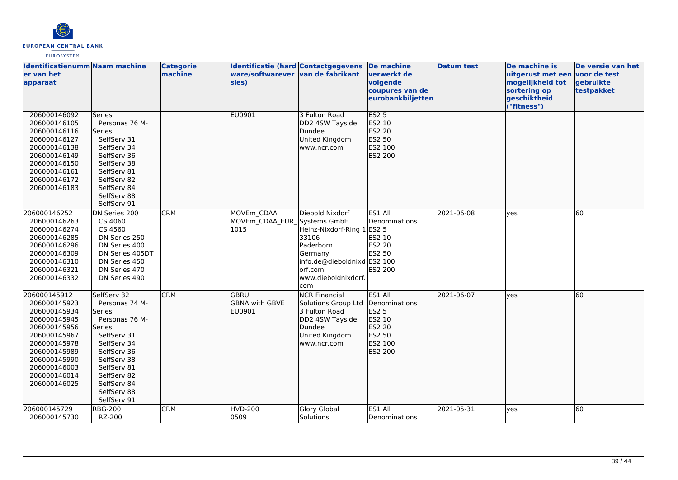

| Identificatienumm Naam machine<br>er van het<br>apparaat                                                                                                                                     |                                                                                                                                                                                                            | <b>Categorie</b><br>machine | <b>Identificatie (hard Contactgegevens</b><br>ware/softwarever van de fabrikant<br>sies) |                                                                                                                                                   | <b>De machine</b><br>verwerkt de<br>volgende<br>coupures van de<br>eurobankbiljetten  | <b>Datum test</b> | De machine is<br>uitgerust met een<br>mogelijkheid tot<br>sortering op<br>geschiktheid | De versie van het<br>voor de test<br>gebruikte<br>testpakket |
|----------------------------------------------------------------------------------------------------------------------------------------------------------------------------------------------|------------------------------------------------------------------------------------------------------------------------------------------------------------------------------------------------------------|-----------------------------|------------------------------------------------------------------------------------------|---------------------------------------------------------------------------------------------------------------------------------------------------|---------------------------------------------------------------------------------------|-------------------|----------------------------------------------------------------------------------------|--------------------------------------------------------------|
| 206000146092<br>206000146105<br>206000146116<br>206000146127<br>206000146138<br>206000146149<br>206000146150<br>206000146161<br>206000146172<br>206000146183                                 | Series<br>Personas 76 M-<br><b>Series</b><br>SelfServ 31<br>SelfServ 34<br>SelfServ 36<br>SelfServ 38<br>SelfServ 81<br>SelfServ 82<br>SelfServ 84<br>SelfServ 88<br>SelfServ 91                           |                             | <b>EU0901</b>                                                                            | 3 Fulton Road<br>DD2 4SW Tayside<br>Dundee<br>United Kingdom<br>www.ncr.com                                                                       | ES2 <sub>5</sub><br>ES2 10<br><b>ES2 20</b><br>ES2 50<br>ES2 100<br>ES2 200           |                   | ("fitness")                                                                            |                                                              |
| 206000146252<br>206000146263<br>206000146274<br>206000146285<br>206000146296<br>206000146309<br>206000146310<br>206000146321<br>206000146332                                                 | DN Series 200<br>CS 4060<br>CS 4560<br>DN Series 250<br>DN Series 400<br>DN Series 405DT<br>DN Series 450<br>DN Series 470<br>DN Series 490                                                                | <b>CRM</b>                  | MOVEm CDAA<br>MOVEm_CDAA_EUR_Systems GmbH<br>1015                                        | Diebold Nixdorf<br>Heinz-Nixdorf-Ring 1<br>33106<br>Paderborn<br>Germany<br>info.de@dieboldnixd ES2 100<br>lorf.com<br>www.dieboldnixdorf.<br>com | ES1 All<br>Denominations<br><b>ES2 5</b><br>ES2 10<br>ES2 20<br>ES2 50<br>ES2 200     | 2021-06-08        | yes                                                                                    | 60                                                           |
| 206000145912<br>206000145923<br>206000145934<br>206000145945<br>206000145956<br>206000145967<br>206000145978<br>206000145989<br>206000145990<br>206000146003<br>206000146014<br>206000146025 | SelfServ 32<br>Personas 74 M-<br>Series<br>Personas 76 M-<br>Series<br>SelfServ 31<br>SelfServ 34<br>SelfServ 36<br>SelfServ 38<br>SelfServ 81<br>SelfServ 82<br>SelfServ 84<br>SelfServ 88<br>SelfServ 91 | <b>CRM</b>                  | lgbru<br><b>GBNA with GBVE</b><br>EU0901                                                 | <b>NCR Financial</b><br>Solutions Group Ltd<br>3 Fulton Road<br>DD2 4SW Tayside<br>Dundee<br>United Kingdom<br>www.ncr.com                        | ES1 All<br>Denominations<br>ES2 5<br>ES2 10<br>ES2 20<br>ES2 50<br>ES2 100<br>ES2 200 | 2021-06-07        | lyes                                                                                   | 60                                                           |
| 206000145729<br>206000145730                                                                                                                                                                 | <b>RBG-200</b><br>RZ-200                                                                                                                                                                                   | <b>CRM</b>                  | <b>HVD-200</b><br>0509                                                                   | <b>Glory Global</b><br>Solutions                                                                                                                  | ES1 All<br>Denominations                                                              | 2021-05-31        | yes                                                                                    | 60                                                           |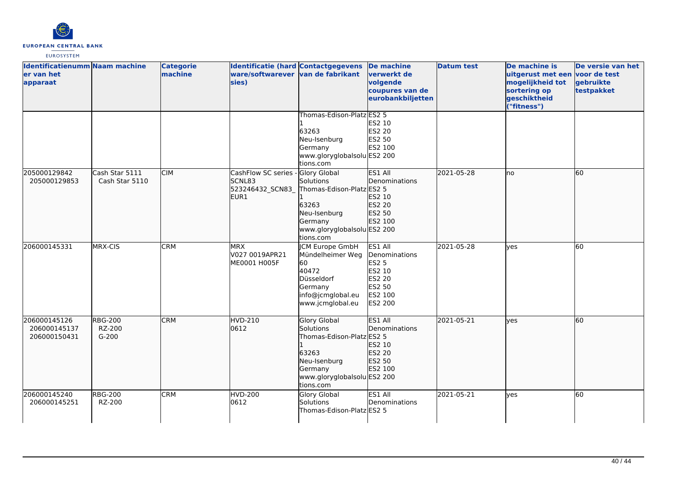

| Identificatienumm Naam machine<br>er van het<br>apparaat |                                     | <b>Categorie</b><br>machine | Identificatie (hard Contactgegevens<br>ware/softwarever van de fabrikant<br>sies) |                                                                                                                                               | De machine<br>verwerkt de<br>volgende<br>coupures van de<br>eurobankbiljetten         | <b>Datum test</b> | De machine is<br>uitgerust met een voor de test<br>mogelijkheid tot<br>sortering op<br>geschiktheid<br>("fitness") | De versie van het<br>gebruikte<br>testpakket |
|----------------------------------------------------------|-------------------------------------|-----------------------------|-----------------------------------------------------------------------------------|-----------------------------------------------------------------------------------------------------------------------------------------------|---------------------------------------------------------------------------------------|-------------------|--------------------------------------------------------------------------------------------------------------------|----------------------------------------------|
|                                                          |                                     |                             |                                                                                   | Thomas-Edison-Platz ES2 5<br>63263<br>Neu-Isenburg<br>Germany<br>www.gloryglobalsolu ES2 200<br>tions.com                                     | ES2 10<br>ES2 20<br>ES2 50<br>ES2 100                                                 |                   |                                                                                                                    |                                              |
| 205000129842<br>205000129853                             | Cash Star 5111<br>Cash Star 5110    | CIM                         | CashFlow SC series -<br>SCNL83<br>523246432_SCN83_<br>EUR <sub>1</sub>            | Glory Global<br>Solutions<br>Thomas-Edison-Platz ES2 5<br>63263<br>Neu-Isenburg<br>Germany<br>www.gloryglobalsolu ES2 200<br>tions.com        | ES1 All<br>Denominations<br>ES2 10<br>ES2 20<br>ES2 50<br>ES2 100                     | 2021-05-28        | lno                                                                                                                | 60                                           |
| 206000145331                                             | MRX-CIS                             | <b>CRM</b>                  | <b>MRX</b><br>V027 0019APR21<br>ME0001 H005F                                      | <b>CM Europe GmbH</b><br>Mündelheimer Weg<br>60<br>40472<br>Düsseldorf<br>Germany<br>info@jcmglobal.eu<br>www.jcmglobal.eu                    | ES1 All<br>Denominations<br>ES2 5<br>ES2 10<br>ES2 20<br>ES2 50<br>ES2 100<br>ES2 200 | 2021-05-28        | yes                                                                                                                | 60                                           |
| 206000145126<br>206000145137<br>206000150431             | <b>RBG-200</b><br>RZ-200<br>$G-200$ | <b>CRM</b>                  | <b>HVD-210</b><br>0612                                                            | <b>Glory Global</b><br>Solutions<br>Thomas-Edison-Platz ES2 5<br>63263<br>Neu-Isenburg<br>Germany<br>www.gloryglobalsolu ES2 200<br>tions.com | ES1 All<br>Denominations<br>ES2 10<br>ES2 20<br>ES2 50<br>ES2 100                     | 2021-05-21        | lyes                                                                                                               | 60                                           |
| 206000145240<br>206000145251                             | <b>RBG-200</b><br>RZ-200            | <b>CRM</b>                  | <b>HVD-200</b><br>0612                                                            | Glory Global<br>Solutions<br>Thomas-Edison-PlatzlES2 5                                                                                        | ES1 All<br>Denominations                                                              | 2021-05-21        | ves                                                                                                                | 60                                           |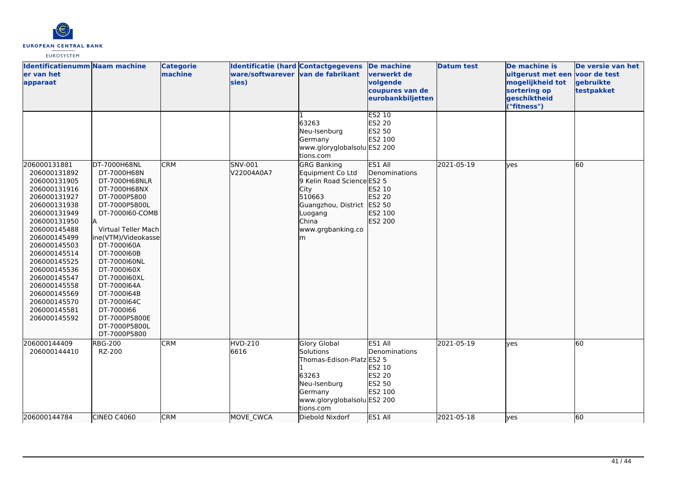

| Identificatienumm Naam machine<br>er van het<br>apparaat                                                                                                                                                                                                                                                                     |                                                                                                                                                                                                                                                                                                                                                          | <b>Categorie</b><br>machine | Identificatie (hard Contactgegevens<br>ware/softwarever van de fabrikant<br>sies) |                                                                                                                                                                    | De machine<br>verwerkt de<br>volgende<br>coupures van de<br>eurobankbiljetten | <b>Datum test</b> | De machine is<br>uitgerust met een voor de test<br>mogelijkheid tot<br>sortering op<br>geschiktheid<br>("fitness") | De versie van het<br>gebruikte<br>testpakket |
|------------------------------------------------------------------------------------------------------------------------------------------------------------------------------------------------------------------------------------------------------------------------------------------------------------------------------|----------------------------------------------------------------------------------------------------------------------------------------------------------------------------------------------------------------------------------------------------------------------------------------------------------------------------------------------------------|-----------------------------|-----------------------------------------------------------------------------------|--------------------------------------------------------------------------------------------------------------------------------------------------------------------|-------------------------------------------------------------------------------|-------------------|--------------------------------------------------------------------------------------------------------------------|----------------------------------------------|
|                                                                                                                                                                                                                                                                                                                              |                                                                                                                                                                                                                                                                                                                                                          |                             |                                                                                   | 63263<br>Neu-Isenburg<br>Germany<br>www.gloryglobalsolu ES2 200<br>tions.com                                                                                       | <b>ES2 10</b><br>ES2 20<br>ES2 50<br>ES2 100                                  |                   |                                                                                                                    |                                              |
| 206000131881<br>206000131892<br>206000131905<br>206000131916<br>206000131927<br>206000131938<br>206000131949<br>206000131950<br>206000145488<br>206000145499<br>206000145503<br>206000145514<br>206000145525<br>206000145536<br>206000145547<br>206000145558<br>206000145569<br>206000145570<br>206000145581<br>206000145592 | DT-7000H68NL<br>DT-7000H68N<br>DT-7000H68NLR<br>DT-7000H68NX<br>DT-7000P5800<br>DT-7000P5800L<br>DT-7000160-COMB<br>Virtual Teller Mach<br>ine(VTM)/Videokasse<br>DT-7000160A<br>DT-7000160B<br>DT-7000160NL<br>DT-7000160X<br>DT-7000160XL<br>DT-7000164A<br>DT-7000164B<br>DT-7000164C<br>DT-7000166<br>DT-7000P5800E<br>DT-7000P5800L<br>DT-7000P5800 | <b>CRM</b>                  | SNV-001<br>V22004A0A7                                                             | <b>GRG Banking</b><br>Equipment Co Ltd<br>9 Kelin Road Science ES2 5<br>City<br>510663<br>Guangzhou, District ES2 50<br>Luogang<br>China<br>www.grgbanking.co<br>m | ES1 All<br>Denominations<br>ES2 10<br>ES2 20<br>ES2 100<br>ES2 200            | 2021-05-19        | lyes                                                                                                               | 60                                           |
| 206000144409<br>206000144410                                                                                                                                                                                                                                                                                                 | <b>RBG-200</b><br>RZ-200                                                                                                                                                                                                                                                                                                                                 | CRM                         | HVD-210<br>6616                                                                   | Glory Global<br>Solutions<br>Thomas-Edison-Platz ES2 5<br>63263<br>Neu-Isenburg<br>Germany<br>www.gloryglobalsolu ES2 200<br>tions.com                             | ES1 All<br>Denominations<br>ES2 10<br>ES2 20<br>ES2 50<br>ES2 100             | 2021-05-19        | lyes                                                                                                               | 60                                           |
| 206000144784                                                                                                                                                                                                                                                                                                                 | CINEO C4060                                                                                                                                                                                                                                                                                                                                              | <b>CRM</b>                  | MOVE_CWCA                                                                         | Diebold Nixdorf                                                                                                                                                    | ES1 All                                                                       | 2021-05-18        | lyes                                                                                                               | 60                                           |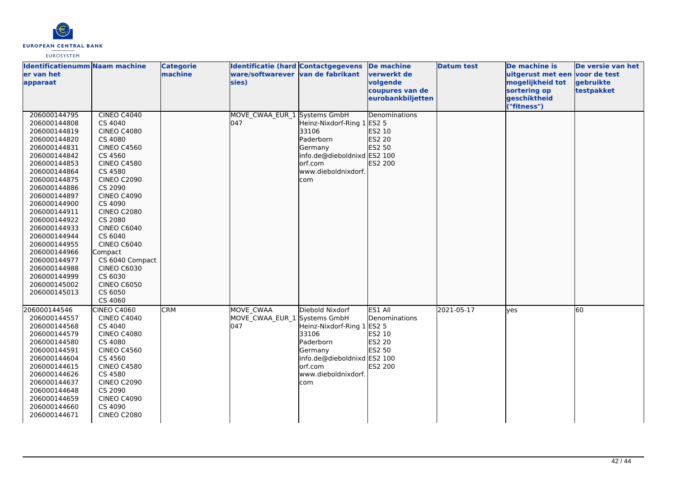

| <b>Identificatienumm Naam machine</b><br>ler van het<br>apparaat                                                                                                                                                                                                                                                                                                             |                                                                                                                                                                                                                                                                                                                                                                                                | <b>Categorie</b><br>machine | <b>Identificatie (hard Contactgegevens</b><br>ware/softwarever van de fabrikant<br>sies) |                                                                                                                                                  | <b>De machine</b><br><u>lverwerkt de</u><br>volgende<br>coupures van de<br>eurobankbiljetten | <b>Datum test</b> | De machine is<br>uitgerust met een voor de test<br>mogelijkheid tot<br>sortering op<br>geschiktheid<br>("fitness") | De versie van het<br>gebruikte<br>testpakket |
|------------------------------------------------------------------------------------------------------------------------------------------------------------------------------------------------------------------------------------------------------------------------------------------------------------------------------------------------------------------------------|------------------------------------------------------------------------------------------------------------------------------------------------------------------------------------------------------------------------------------------------------------------------------------------------------------------------------------------------------------------------------------------------|-----------------------------|------------------------------------------------------------------------------------------|--------------------------------------------------------------------------------------------------------------------------------------------------|----------------------------------------------------------------------------------------------|-------------------|--------------------------------------------------------------------------------------------------------------------|----------------------------------------------|
| 206000144795<br>206000144808<br>206000144819<br>206000144820<br>206000144831<br>206000144842<br>206000144853<br>206000144864<br>206000144875<br>206000144886<br>206000144897<br>206000144900<br>206000144911<br>206000144922<br>206000144933<br>206000144944<br>206000144955<br>206000144966<br>206000144977<br>206000144988<br>206000144999<br>206000145002<br>206000145013 | CINEO C4040<br>CS 4040<br><b>CINEO C4080</b><br>CS 4080<br><b>CINEO C4560</b><br>CS 4560<br><b>CINEO C4580</b><br>CS 4580<br><b>CINEO C2090</b><br>CS 2090<br><b>CINEO C4090</b><br>CS 4090<br><b>CINEO C2080</b><br>CS 2080<br><b>CINEO C6040</b><br>CS 6040<br><b>CINEO C6040</b><br>Compact<br>CS 6040 Compact<br><b>CINEO C6030</b><br>CS 6030<br><b>CINEO C6050</b><br>CS 6050<br>CS 4060 |                             | MOVE CWAA EUR 1 Systems GmbH<br>047                                                      | Heinz-Nixdorf-Ring 1 ES2 5<br>33106<br>Paderborn<br>Germany<br>info.de@dieboldnixd ES2 100<br>lorf.com<br>www.dieboldnixdorf.<br>com             | Denominations<br>ES2 10<br>ES2 20<br>ES2 50<br>ES2 200                                       |                   |                                                                                                                    |                                              |
| 206000144546<br>206000144557<br>206000144568<br>206000144579<br>206000144580<br>206000144591<br>206000144604<br>206000144615<br>206000144626<br>206000144637<br>206000144648<br>206000144659<br>206000144660<br>206000144671                                                                                                                                                 | <b>CINEO C4060</b><br><b>CINEO C4040</b><br>CS 4040<br><b>CINEO C4080</b><br>CS 4080<br><b>CINEO C4560</b><br>CS 4560<br><b>CINEO C4580</b><br>CS 4580<br><b>CINEO C2090</b><br>CS 2090<br><b>CINEO C4090</b><br>CS 4090<br><b>CINEO C2080</b>                                                                                                                                                 | <b>CRM</b>                  | MOVE CWAA<br>MOVE CWAA EUR 1 Systems GmbH<br>047                                         | Diebold Nixdorf<br>Heinz-Nixdorf-Ring 1<br>33106<br>Paderborn<br>Germany<br>info.de@dieboldnixd ES2 100<br>orf.com<br>www.dieboldnixdorf.<br>com | ES1 All<br>Denominations<br><b>ES2 5</b><br>ES2 10<br>ES2 20<br>ES2 50<br>ES2 200            | 2021-05-17        | yes                                                                                                                | 60                                           |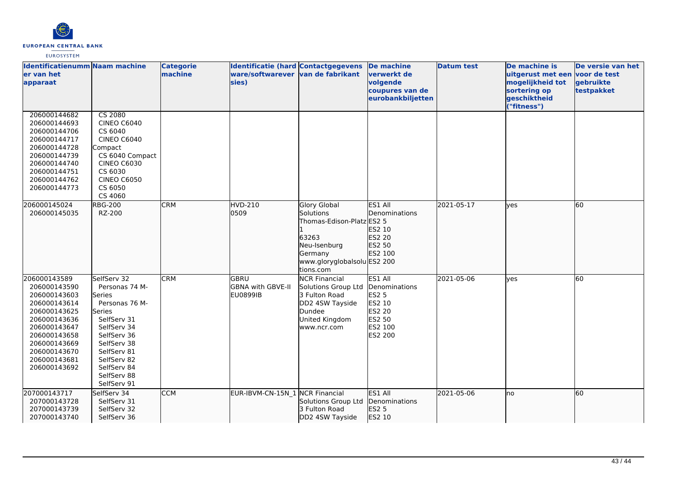

| <b>Identificatienumm Naam machine</b><br>er van het<br>apparaat                                                                                                                              |                                                                                                                                                                                                             | <b>Categorie</b><br>machine | Identificatie (hard Contactgegevens<br>ware/softwarever van de fabrikant<br>sies) |                                                                                                                                               | <b>De machine</b><br>verwerkt de<br>volgende<br>coupures van de<br>eurobankbiljetten         | <b>Datum test</b> | De machine is<br>uitgerust met een<br>mogelijkheid tot<br>sortering op<br>geschiktheid<br>"fitness") | De versie van het<br>voor de test<br>gebruikte<br>testpakket |
|----------------------------------------------------------------------------------------------------------------------------------------------------------------------------------------------|-------------------------------------------------------------------------------------------------------------------------------------------------------------------------------------------------------------|-----------------------------|-----------------------------------------------------------------------------------|-----------------------------------------------------------------------------------------------------------------------------------------------|----------------------------------------------------------------------------------------------|-------------------|------------------------------------------------------------------------------------------------------|--------------------------------------------------------------|
| 206000144682<br>206000144693<br>206000144706<br>206000144717<br>206000144728<br>206000144739<br>206000144740<br>206000144751<br>206000144762<br>206000144773                                 | <b>CS 2080</b><br><b>CINEO C6040</b><br>CS 6040<br><b>CINEO C6040</b><br>Compact<br>CS 6040 Compact<br><b>CINEO C6030</b><br>CS 6030<br><b>CINEO C6050</b><br>CS 6050<br>CS 4060                            |                             |                                                                                   |                                                                                                                                               |                                                                                              |                   |                                                                                                      |                                                              |
| 206000145024<br>206000145035                                                                                                                                                                 | <b>RBG-200</b><br>RZ-200                                                                                                                                                                                    | <b>CRM</b>                  | <b>HVD-210</b><br>0509                                                            | <b>Glory Global</b><br>Solutions<br>Thomas-Edison-Platz ES2 5<br>63263<br>Neu-Isenburg<br>Germany<br>www.gloryglobalsolu ES2 200<br>tions.com | ES1 All<br><b>IDenominations</b><br>ES2 10<br>ES2 20<br>ES2 50<br>ES2 100                    | 2021-05-17        | lves                                                                                                 | 60                                                           |
| 206000143589<br>206000143590<br>206000143603<br>206000143614<br>206000143625<br>206000143636<br>206000143647<br>206000143658<br>206000143669<br>206000143670<br>206000143681<br>206000143692 | SelfServ 32<br>Personas 74 M-<br>lSeries<br>Personas 76 M-<br>Series<br>SelfServ 31<br>SelfServ 34<br>SelfServ 36<br>SelfServ 38<br>SelfServ 81<br>SelfServ 82<br>SelfServ 84<br>SelfServ 88<br>SelfServ 91 | <b>CRM</b>                  | lgbru<br>GBNA with GBVE-II<br><b>EU0899IB</b>                                     | <b>NCR Financial</b><br>Solutions Group Ltd<br>3 Fulton Road<br>DD2 4SW Tayside<br>Dundee<br>United Kingdom<br>www.ncr.com                    | ES1 All<br>Denominations<br><b>ES2 5</b><br>ES2 10<br>ES2 20<br>ES2 50<br>ES2 100<br>ES2 200 | 2021-05-06        | ves                                                                                                  | 60                                                           |
| 207000143717<br>207000143728<br>207000143739<br>207000143740                                                                                                                                 | SelfServ 34<br>SelfServ 31<br>SelfServ 32<br>SelfServ 36                                                                                                                                                    | <b>CCM</b>                  | EUR-IBVM-CN-15N 1 NCR Financial                                                   | Solutions Group Ltd<br>3 Fulton Road<br>DD2 4SW Tayside                                                                                       | ES1 All<br>Denominations<br><b>ES2 5</b><br>ES2 10                                           | 2021-05-06        | lno                                                                                                  | 60                                                           |